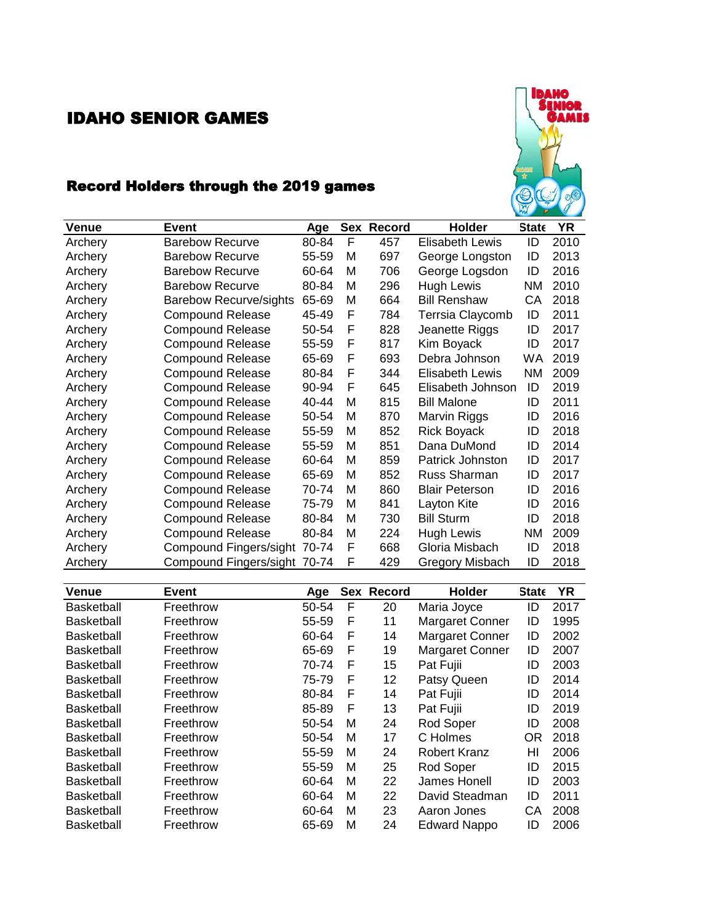## IDAHO SENIOR GAMES



## Record Holders through the 2019 games

| <b>Venue</b> | Event                         | Age   |   | Sex Record | <b>Holder</b>          | <b>State</b> | YR   |
|--------------|-------------------------------|-------|---|------------|------------------------|--------------|------|
| Archery      | <b>Barebow Recurve</b>        | 80-84 | F | 457        | <b>Elisabeth Lewis</b> | ID           | 2010 |
| Archery      | <b>Barebow Recurve</b>        | 55-59 | м | 697        | George Longston        | ID           | 2013 |
| Archery      | <b>Barebow Recurve</b>        | 60-64 | м | 706        | George Logsdon         | ID           | 2016 |
| Archery      | <b>Barebow Recurve</b>        | 80-84 | м | 296        | Hugh Lewis             | ΝM           | 2010 |
| Archery      | <b>Barebow Recurve/sights</b> | 65-69 | м | 664        | <b>Bill Renshaw</b>    | СA           | 2018 |
| Archery      | <b>Compound Release</b>       | 45-49 | F | 784        | Terrsia Claycomb       | ID           | 2011 |
| Archery      | <b>Compound Release</b>       | 50-54 | F | 828        | Jeanette Riggs         | ID           | 2017 |
| Archery      | <b>Compound Release</b>       | 55-59 | F | 817        | Kim Boyack             | ID           | 2017 |
| Archery      | <b>Compound Release</b>       | 65-69 | F | 693        | Debra Johnson          | <b>WA</b>    | 2019 |
| Archery      | <b>Compound Release</b>       | 80-84 | F | 344        | <b>Elisabeth Lewis</b> | ΝM           | 2009 |
| Archery      | <b>Compound Release</b>       | 90-94 | F | 645        | Elisabeth Johnson      | ID           | 2019 |
| Archery      | <b>Compound Release</b>       | 40-44 | М | 815        | <b>Bill Malone</b>     | ID           | 2011 |
| Archery      | <b>Compound Release</b>       | 50-54 | м | 870        | Marvin Riggs           | ID           | 2016 |
| Archery      | <b>Compound Release</b>       | 55-59 | М | 852        | <b>Rick Boyack</b>     | ID           | 2018 |
| Archery      | <b>Compound Release</b>       | 55-59 | м | 851        | Dana DuMond            | ID           | 2014 |
| Archery      | <b>Compound Release</b>       | 60-64 | м | 859        | Patrick Johnston       | ID           | 2017 |
| Archery      | <b>Compound Release</b>       | 65-69 | м | 852        | Russ Sharman           | ID           | 2017 |
| Archery      | <b>Compound Release</b>       | 70-74 | м | 860        | <b>Blair Peterson</b>  | ID           | 2016 |
| Archery      | <b>Compound Release</b>       | 75-79 | м | 841        | Layton Kite            | ID           | 2016 |
| Archery      | <b>Compound Release</b>       | 80-84 | м | 730        | <b>Bill Sturm</b>      | ID           | 2018 |
| Archery      | <b>Compound Release</b>       | 80-84 | м | 224        | Hugh Lewis             | ΝM           | 2009 |
| Archery      | Compound Fingers/sight 70-74  |       | F | 668        | Gloria Misbach         | ID           | 2018 |
| Archery      | Compound Fingers/sight 70-74  |       | F | 429        | Gregory Misbach        | ID           | 2018 |

| Venue             | Event     | Age   |   | Sex Record | <b>Holder</b>          | <b>State</b> | <b>YR</b> |
|-------------------|-----------|-------|---|------------|------------------------|--------------|-----------|
| <b>Basketball</b> | Freethrow | 50-54 | F | 20         | Maria Joyce            | ID           | 2017      |
| Basketball        | Freethrow | 55-59 | F | 11         | <b>Margaret Conner</b> | ID           | 1995      |
| <b>Basketball</b> | Freethrow | 60-64 | F | 14         | <b>Margaret Conner</b> | ID           | 2002      |
| <b>Basketball</b> | Freethrow | 65-69 | F | 19         | <b>Margaret Conner</b> | ID           | 2007      |
| <b>Basketball</b> | Freethrow | 70-74 | F | 15         | Pat Fujii              | ID           | 2003      |
| <b>Basketball</b> | Freethrow | 75-79 | F | 12         | Patsy Queen            | ID           | 2014      |
| Basketball        | Freethrow | 80-84 | F | 14         | Pat Fujii              | ID           | 2014      |
| <b>Basketball</b> | Freethrow | 85-89 | F | 13         | Pat Fujii              | ID           | 2019      |
| <b>Basketball</b> | Freethrow | 50-54 | м | 24         | Rod Soper              | ID           | 2008      |
| Basketball        | Freethrow | 50-54 | М | 17         | C Holmes               | OR           | 2018      |
| Basketball        | Freethrow | 55-59 | М | 24         | <b>Robert Kranz</b>    | HI           | 2006      |
| Basketball        | Freethrow | 55-59 | М | 25         | Rod Soper              | ID           | 2015      |
| <b>Basketball</b> | Freethrow | 60-64 | м | 22         | James Honell           | ID           | 2003      |
| <b>Basketball</b> | Freethrow | 60-64 | М | 22         | David Steadman         | ID           | 2011      |
| Basketball        | Freethrow | 60-64 | М | 23         | Aaron Jones            | CА           | 2008      |
| Basketball        | Freethrow | 65-69 | M | 24         | <b>Edward Nappo</b>    | ID           | 2006      |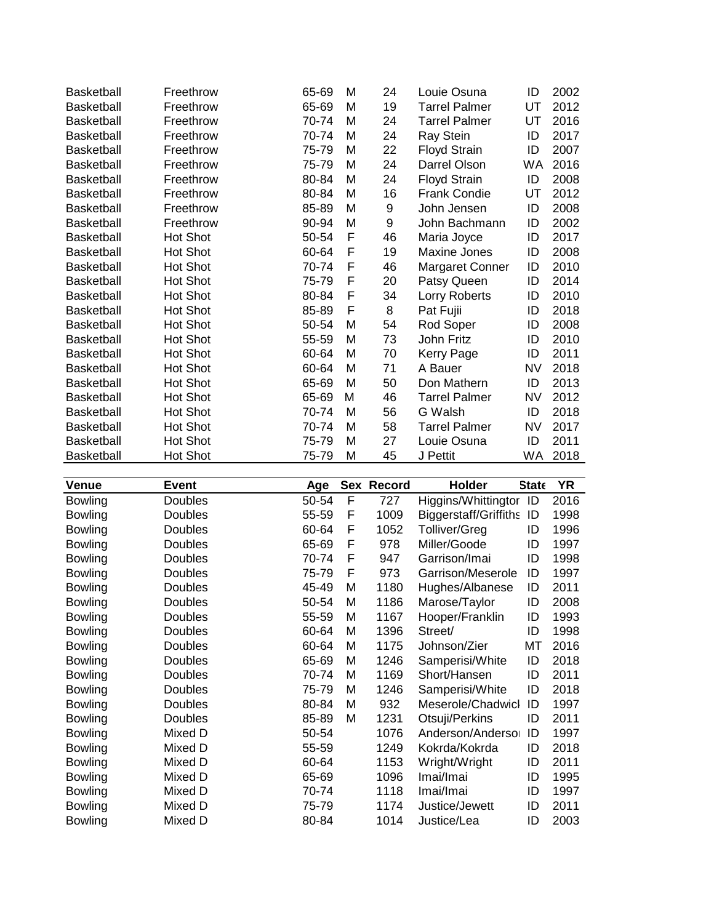| <b>Basketball</b> | Freethrow       | 65-69 | M | 24 | Louie Osuna          | ID        | 2002 |
|-------------------|-----------------|-------|---|----|----------------------|-----------|------|
| <b>Basketball</b> | Freethrow       | 65-69 | M | 19 | <b>Tarrel Palmer</b> | UT        | 2012 |
| <b>Basketball</b> | Freethrow       | 70-74 | м | 24 | <b>Tarrel Palmer</b> | UT        | 2016 |
| <b>Basketball</b> | Freethrow       | 70-74 | M | 24 | Ray Stein            | ID        | 2017 |
| Basketball        | Freethrow       | 75-79 | M | 22 | <b>Floyd Strain</b>  | ID        | 2007 |
| <b>Basketball</b> | Freethrow       | 75-79 | м | 24 | Darrel Olson         | <b>WA</b> | 2016 |
| <b>Basketball</b> | Freethrow       | 80-84 | M | 24 | <b>Floyd Strain</b>  | ID        | 2008 |
| <b>Basketball</b> | Freethrow       | 80-84 | M | 16 | <b>Frank Condie</b>  | UT        | 2012 |
| <b>Basketball</b> | Freethrow       | 85-89 | M | 9  | John Jensen          | ID        | 2008 |
| <b>Basketball</b> | Freethrow       | 90-94 | M | 9  | John Bachmann        | ID        | 2002 |
| <b>Basketball</b> | <b>Hot Shot</b> | 50-54 | F | 46 | Maria Joyce          | ID        | 2017 |
| Basketball        | <b>Hot Shot</b> | 60-64 | F | 19 | Maxine Jones         | ID        | 2008 |
| <b>Basketball</b> | <b>Hot Shot</b> | 70-74 | F | 46 | Margaret Conner      | ID        | 2010 |
| <b>Basketball</b> | Hot Shot        | 75-79 | F | 20 | Patsy Queen          | ID        | 2014 |
| <b>Basketball</b> | <b>Hot Shot</b> | 80-84 | F | 34 | Lorry Roberts        | ID        | 2010 |
| <b>Basketball</b> | <b>Hot Shot</b> | 85-89 | F | 8  | Pat Fujii            | ID        | 2018 |
| Basketball        | <b>Hot Shot</b> | 50-54 | M | 54 | Rod Soper            | ID        | 2008 |
| <b>Basketball</b> | <b>Hot Shot</b> | 55-59 | м | 73 | John Fritz           | ID        | 2010 |
| <b>Basketball</b> | Hot Shot        | 60-64 | M | 70 | Kerry Page           | ID        | 2011 |
| Basketball        | Hot Shot        | 60-64 | M | 71 | A Bauer              | <b>NV</b> | 2018 |
| <b>Basketball</b> | Hot Shot        | 65-69 | M | 50 | Don Mathern          | ID        | 2013 |
| <b>Basketball</b> | <b>Hot Shot</b> | 65-69 | м | 46 | <b>Tarrel Palmer</b> | <b>NV</b> | 2012 |
| <b>Basketball</b> | <b>Hot Shot</b> | 70-74 | M | 56 | G Walsh              | ID        | 2018 |
| <b>Basketball</b> | <b>Hot Shot</b> | 70-74 | M | 58 | <b>Tarrel Palmer</b> | <b>NV</b> | 2017 |
| <b>Basketball</b> | <b>Hot Shot</b> | 75-79 | M | 27 | Louie Osuna          | ID        | 2011 |
| <b>Basketball</b> | Hot Shot        | 75-79 | M | 45 | J Pettit             | WA        | 2018 |
|                   |                 |       |   |    |                      |           |      |

| <b>Venue</b>   | Event   | Age   |   | Sex Record | Holder                       | <b>State</b> | YR   |
|----------------|---------|-------|---|------------|------------------------------|--------------|------|
| <b>Bowling</b> | Doubles | 50-54 | F | 727        | Higgins/Whittingtor          | ID           | 2016 |
| <b>Bowling</b> | Doubles | 55-59 | F | 1009       | <b>Biggerstaff/Griffiths</b> | ID           | 1998 |
| <b>Bowling</b> | Doubles | 60-64 | F | 1052       | Tolliver/Greg                | ID           | 1996 |
| <b>Bowling</b> | Doubles | 65-69 | F | 978        | Miller/Goode                 | ID           | 1997 |
| <b>Bowling</b> | Doubles | 70-74 | F | 947        | Garrison/Imai                | ID           | 1998 |
| <b>Bowling</b> | Doubles | 75-79 | F | 973        | Garrison/Meserole            | ID           | 1997 |
| <b>Bowling</b> | Doubles | 45-49 | M | 1180       | Hughes/Albanese              | ID           | 2011 |
| <b>Bowling</b> | Doubles | 50-54 | М | 1186       | Marose/Taylor                | ID           | 2008 |
| <b>Bowling</b> | Doubles | 55-59 | М | 1167       | Hooper/Franklin              | ID           | 1993 |
| <b>Bowling</b> | Doubles | 60-64 | М | 1396       | Street/                      | ID           | 1998 |
| <b>Bowling</b> | Doubles | 60-64 | м | 1175       | Johnson/Zier                 | МT           | 2016 |
| <b>Bowling</b> | Doubles | 65-69 | M | 1246       | Samperisi/White              | ID           | 2018 |
| <b>Bowling</b> | Doubles | 70-74 | м | 1169       | Short/Hansen                 | ID           | 2011 |
| <b>Bowling</b> | Doubles | 75-79 | M | 1246       | Samperisi/White              | ID           | 2018 |
| <b>Bowling</b> | Doubles | 80-84 | М | 932        | Meserole/Chadwicl            | ID           | 1997 |
| <b>Bowling</b> | Doubles | 85-89 | М | 1231       | Otsuji/Perkins               | ID           | 2011 |
| <b>Bowling</b> | Mixed D | 50-54 |   | 1076       | Anderson/Andersor            | ID           | 1997 |
| <b>Bowling</b> | Mixed D | 55-59 |   | 1249       | Kokrda/Kokrda                | ID           | 2018 |
| <b>Bowling</b> | Mixed D | 60-64 |   | 1153       | Wright/Wright                | ID           | 2011 |
| <b>Bowling</b> | Mixed D | 65-69 |   | 1096       | Imai/Imai                    | ID           | 1995 |
| <b>Bowling</b> | Mixed D | 70-74 |   | 1118       | Imai/Imai                    | ID           | 1997 |
| <b>Bowling</b> | Mixed D | 75-79 |   | 1174       | Justice/Jewett               | ID           | 2011 |
| <b>Bowling</b> | Mixed D | 80-84 |   | 1014       | Justice/Lea                  | ID           | 2003 |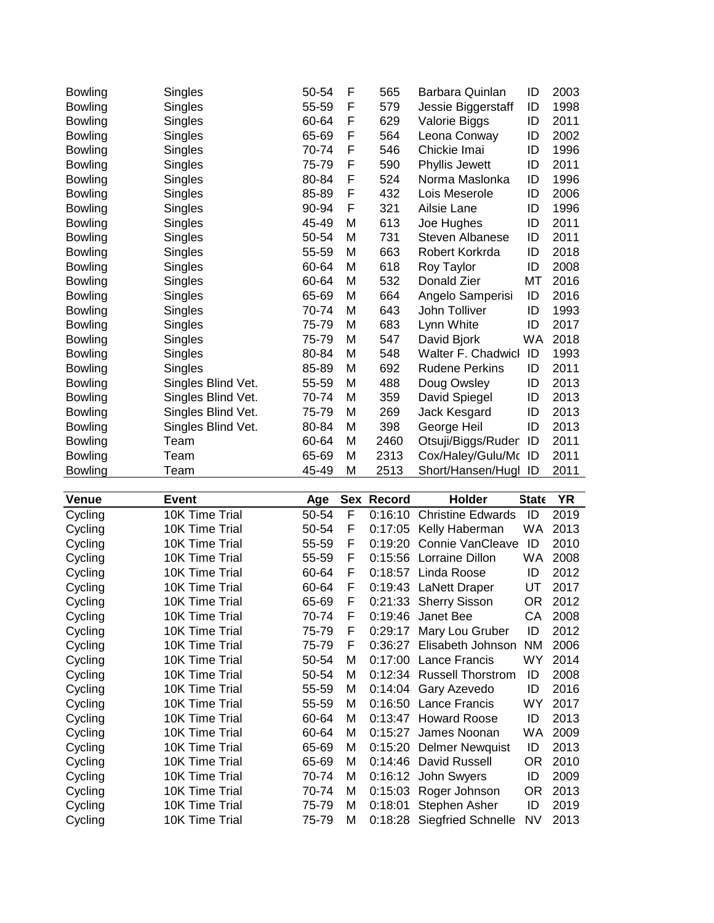| <b>Bowling</b> | Singles            | 50-54 | F | 565  | Barbara Quinlan       | ID  | 2003 |
|----------------|--------------------|-------|---|------|-----------------------|-----|------|
| <b>Bowling</b> | Singles            | 55-59 | F | 579  | Jessie Biggerstaff    | ID  | 1998 |
| <b>Bowling</b> | Singles            | 60-64 | F | 629  | Valorie Biggs         | ID  | 2011 |
| <b>Bowling</b> | Singles            | 65-69 | F | 564  | Leona Conway          | ID  | 2002 |
| <b>Bowling</b> | Singles            | 70-74 | F | 546  | Chickie Imai          | ID  | 1996 |
| <b>Bowling</b> | Singles            | 75-79 | F | 590  | Phyllis Jewett        | ID  | 2011 |
| <b>Bowling</b> | Singles            | 80-84 | F | 524  | Norma Maslonka        | ID  | 1996 |
| <b>Bowling</b> | Singles            | 85-89 | F | 432  | Lois Meserole         | ID  | 2006 |
| <b>Bowling</b> | Singles            | 90-94 | F | 321  | Ailsie Lane           | ID  | 1996 |
| <b>Bowling</b> | Singles            | 45-49 | M | 613  | Joe Hughes            | ID  | 2011 |
| <b>Bowling</b> | Singles            | 50-54 | м | 731  | Steven Albanese       | ID  | 2011 |
| <b>Bowling</b> | Singles            | 55-59 | м | 663  | Robert Korkrda        | ID  | 2018 |
| <b>Bowling</b> | Singles            | 60-64 | M | 618  | Roy Taylor            | ID  | 2008 |
| <b>Bowling</b> | Singles            | 60-64 | М | 532  | Donald Zier           | МT  | 2016 |
| Bowling        | Singles            | 65-69 | M | 664  | Angelo Samperisi      | ID  | 2016 |
| <b>Bowling</b> | Singles            | 70-74 | M | 643  | John Tolliver         | ID  | 1993 |
| <b>Bowling</b> | Singles            | 75-79 | M | 683  | Lynn White            | ID  | 2017 |
| <b>Bowling</b> | Singles            | 75-79 | M | 547  | David Bjork           | WA. | 2018 |
| <b>Bowling</b> | Singles            | 80-84 | M | 548  | Walter F. Chadwicl    | ID  | 1993 |
| <b>Bowling</b> | Singles            | 85-89 | M | 692  | <b>Rudene Perkins</b> | ID  | 2011 |
| Bowling        | Singles Blind Vet. | 55-59 | М | 488  | Doug Owsley           | ID  | 2013 |
| <b>Bowling</b> | Singles Blind Vet. | 70-74 | м | 359  | David Spiegel         | ID  | 2013 |
| <b>Bowling</b> | Singles Blind Vet. | 75-79 | м | 269  | Jack Kesgard          | ID  | 2013 |
| <b>Bowling</b> | Singles Blind Vet. | 80-84 | M | 398  | George Heil           | ID  | 2013 |
| <b>Bowling</b> | Team               | 60-64 | M | 2460 | Otsuji/Biggs/Ruder    | ID  | 2011 |
| <b>Bowling</b> | Team               | 65-69 | M | 2313 | Cox/Haley/Gulu/Mo     | ID  | 2011 |
| <b>Bowling</b> | Team               | 45-49 | M | 2513 | Short/Hansen/Hugl ID  |     | 2011 |

| <b>Venue</b> | Event          | Age   |   | Sex Record | <b>Holder</b>             | <b>State</b> | YR   |
|--------------|----------------|-------|---|------------|---------------------------|--------------|------|
| Cycling      | 10K Time Trial | 50-54 | F | 0:16:10    | <b>Christine Edwards</b>  | ID           | 2019 |
| Cycling      | 10K Time Trial | 50-54 | F | 0:17:05    | Kelly Haberman            | WA.          | 2013 |
| Cycling      | 10K Time Trial | 55-59 | F | 0:19:20    | <b>Connie VanCleave</b>   | ID           | 2010 |
| Cycling      | 10K Time Trial | 55-59 | F | 0:15:56    | Lorraine Dillon           | WA           | 2008 |
| Cycling      | 10K Time Trial | 60-64 | F | 0:18:57    | Linda Roose               | ID           | 2012 |
| Cycling      | 10K Time Trial | 60-64 | F |            | 0:19:43 LaNett Draper     | UT           | 2017 |
| Cycling      | 10K Time Trial | 65-69 | F |            | 0:21:33 Sherry Sisson     | OR.          | 2012 |
| Cycling      | 10K Time Trial | 70-74 | F | 0:19:46    | Janet Bee                 | CA           | 2008 |
| Cycling      | 10K Time Trial | 75-79 | F | 0:29:17    | Mary Lou Gruber           | ID           | 2012 |
| Cycling      | 10K Time Trial | 75-79 | F | 0.36:27    | Elisabeth Johnson         | ΝM           | 2006 |
| Cycling      | 10K Time Trial | 50-54 | м |            | 0:17:00 Lance Francis     | WY           | 2014 |
| Cycling      | 10K Time Trial | 50-54 | м |            | 0:12:34 Russell Thorstrom | ID           | 2008 |
| Cycling      | 10K Time Trial | 55-59 | м | 0:14:04    | Gary Azevedo              | ID           | 2016 |
| Cycling      | 10K Time Trial | 55-59 | м |            | 0:16:50 Lance Francis     | WY           | 2017 |
| Cycling      | 10K Time Trial | 60-64 | м |            | 0:13:47 Howard Roose      | ID           | 2013 |
| Cycling      | 10K Time Trial | 60-64 | м | 0:15:27    | James Noonan              | WA           | 2009 |
| Cycling      | 10K Time Trial | 65-69 | м | 0:15:20    | <b>Delmer Newquist</b>    | ID           | 2013 |
| Cycling      | 10K Time Trial | 65-69 | м | 0:14:46    | David Russell             | OR.          | 2010 |
| Cycling      | 10K Time Trial | 70-74 | м |            | 0:16:12 John Swyers       | ID           | 2009 |
| Cycling      | 10K Time Trial | 70-74 | м |            | 0:15:03 Roger Johnson     | OR.          | 2013 |
| Cycling      | 10K Time Trial | 75-79 | м | 0:18:01    | Stephen Asher             | ID           | 2019 |
| Cycling      | 10K Time Trial | 75-79 | м | 0:18:28    | <b>Siegfried Schnelle</b> | NV           | 2013 |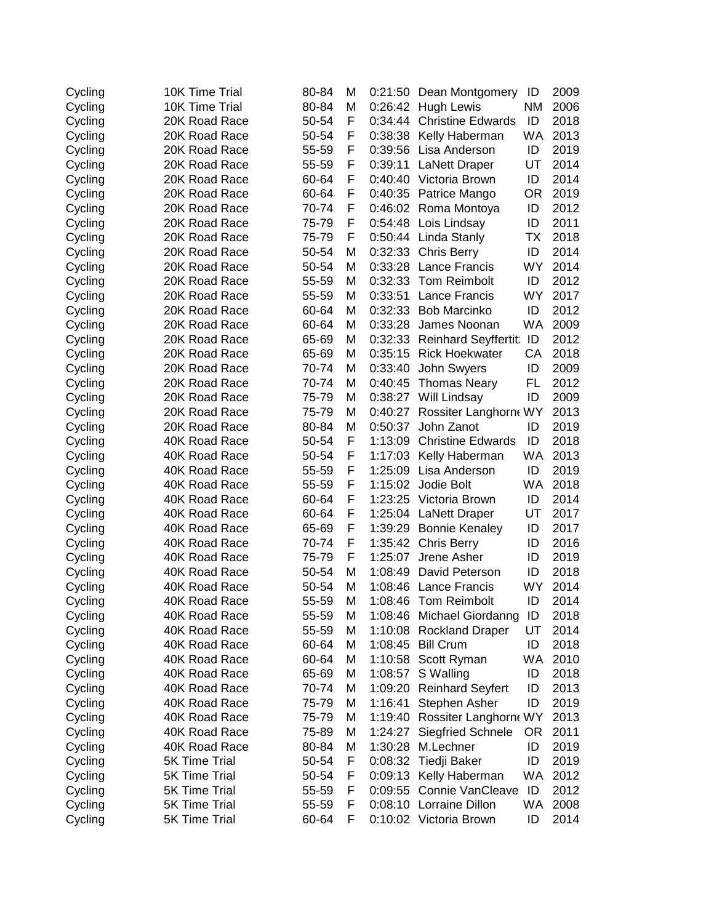| Cycling | 10K Time Trial       | 80-84 | M | 0:21:50 | Dean Montgomery             | ID        | 2009 |
|---------|----------------------|-------|---|---------|-----------------------------|-----------|------|
| Cycling | 10K Time Trial       | 80-84 | M | 0:26:42 | <b>Hugh Lewis</b>           | <b>NM</b> | 2006 |
| Cycling | 20K Road Race        | 50-54 | F | 0:34:44 | <b>Christine Edwards</b>    | ID        | 2018 |
| Cycling | 20K Road Race        | 50-54 | F | 0:38:38 | Kelly Haberman              | WA        | 2013 |
| Cycling | 20K Road Race        | 55-59 | F | 0:39:56 | Lisa Anderson               | ID        | 2019 |
| Cycling | 20K Road Race        | 55-59 | F | 0:39:11 | <b>LaNett Draper</b>        | UT        | 2014 |
| Cycling | 20K Road Race        | 60-64 | F | 0:40:40 | Victoria Brown              | ID        | 2014 |
| Cycling | 20K Road Race        | 60-64 | F |         | 0:40:35 Patrice Mango       | OR        | 2019 |
| Cycling | 20K Road Race        | 70-74 | F |         | 0:46:02 Roma Montoya        | ID        | 2012 |
| Cycling | 20K Road Race        | 75-79 | F | 0:54:48 | Lois Lindsay                | ID        | 2011 |
| Cycling | 20K Road Race        | 75-79 | F |         | 0:50:44 Linda Stanly        | ТX        | 2018 |
| Cycling | 20K Road Race        | 50-54 | M |         | 0:32:33 Chris Berry         | ID        | 2014 |
| Cycling | 20K Road Race        | 50-54 | M | 0:33:28 | <b>Lance Francis</b>        | <b>WY</b> | 2014 |
| Cycling | 20K Road Race        | 55-59 | M | 0:32:33 | <b>Tom Reimbolt</b>         | ID        | 2012 |
| Cycling | 20K Road Race        | 55-59 | M | 0:33:51 | Lance Francis               | <b>WY</b> | 2017 |
| Cycling | 20K Road Race        | 60-64 | M | 0:32:33 | <b>Bob Marcinko</b>         | ID        | 2012 |
| Cycling | 20K Road Race        | 60-64 | M | 0:33:28 | James Noonan                | WA        | 2009 |
| Cycling | 20K Road Race        | 65-69 | M | 0:32:33 | <b>Reinhard Seyffertit:</b> | ID        | 2012 |
| Cycling | 20K Road Race        | 65-69 | М | 0:35:15 | <b>Rick Hoekwater</b>       | CA        | 2018 |
| Cycling | 20K Road Race        | 70-74 | M | 0:33:40 | John Swyers                 | ID        | 2009 |
| Cycling | 20K Road Race        | 70-74 | M | 0:40:45 | <b>Thomas Neary</b>         | FL        | 2012 |
| Cycling | 20K Road Race        | 75-79 | M |         | 0:38:27 Will Lindsay        | ID        | 2009 |
| Cycling | 20K Road Race        | 75-79 | M | 0:40:27 | Rossiter Langhorn WY        |           | 2013 |
| Cycling | 20K Road Race        | 80-84 | M | 0:50:37 | John Zanot                  | ID        | 2019 |
| Cycling | 40K Road Race        | 50-54 | F | 1:13:09 | <b>Christine Edwards</b>    | ID        | 2018 |
| Cycling | 40K Road Race        | 50-54 | F | 1:17:03 | Kelly Haberman              | WA        | 2013 |
| Cycling | 40K Road Race        | 55-59 | F | 1:25:09 | Lisa Anderson               | ID        | 2019 |
| Cycling | 40K Road Race        | 55-59 | F | 1:15:02 | Jodie Bolt                  | WA        | 2018 |
| Cycling | 40K Road Race        | 60-64 | F | 1:23:25 | Victoria Brown              | ID        | 2014 |
| Cycling | 40K Road Race        | 60-64 | F | 1:25:04 | <b>LaNett Draper</b>        | UT        | 2017 |
| Cycling | 40K Road Race        | 65-69 | F | 1:39:29 | <b>Bonnie Kenaley</b>       | ID        | 2017 |
| Cycling | 40K Road Race        | 70-74 | F | 1:35:42 | <b>Chris Berry</b>          | ID        | 2016 |
| Cycling | 40K Road Race        | 75-79 | F | 1:25:07 | Jrene Asher                 | ID        | 2019 |
| Cycling | 40K Road Race        | 50-54 | M | 1:08:49 | David Peterson              | ID        | 2018 |
| Cycling | 40K Road Race        | 50-54 | M | 1:08:46 | <b>Lance Francis</b>        | <b>WY</b> | 2014 |
| Cycling | 40K Road Race        | 55-59 | M | 1:08:46 | <b>Tom Reimbolt</b>         | ID        | 2014 |
| Cycling | 40K Road Race        | 55-59 | M |         | 1:08:46 Michael Giordanng   | ID        | 2018 |
| Cycling | 40K Road Race        | 55-59 | M |         | 1:10:08 Rockland Draper     | UT        | 2014 |
| Cycling | 40K Road Race        | 60-64 | M | 1:08:45 | <b>Bill Crum</b>            | ID        | 2018 |
| Cycling | 40K Road Race        | 60-64 | М | 1:10:58 | Scott Ryman                 | WA        | 2010 |
| Cycling | 40K Road Race        | 65-69 | М | 1:08:57 | S Walling                   | ID        | 2018 |
| Cycling | 40K Road Race        | 70-74 | М | 1:09:20 | <b>Reinhard Seyfert</b>     | ID        | 2013 |
| Cycling | 40K Road Race        | 75-79 | М | 1:16:41 | Stephen Asher               | ID        | 2019 |
| Cycling | 40K Road Race        | 75-79 | M | 1:19:40 | Rossiter Langhorn WY        |           | 2013 |
| Cycling | 40K Road Race        | 75-89 | M | 1:24:27 | <b>Siegfried Schnele</b>    | 0R        | 2011 |
| Cycling | 40K Road Race        | 80-84 | M | 1:30:28 | M.Lechner                   | ID        | 2019 |
| Cycling | 5K Time Trial        | 50-54 | F | 0:08:32 | Tiedji Baker                | ID        | 2019 |
| Cycling | <b>5K Time Trial</b> | 50-54 | F |         | 0:09:13 Kelly Haberman      | WA        | 2012 |
| Cycling | 5K Time Trial        | 55-59 | F | 0:09:55 | <b>Connie VanCleave</b>     | ID        | 2012 |
| Cycling | <b>5K Time Trial</b> | 55-59 | F |         | 0:08:10 Lorraine Dillon     | WA        | 2008 |
| Cycling | 5K Time Trial        | 60-64 | F |         | 0:10:02 Victoria Brown      | ID        | 2014 |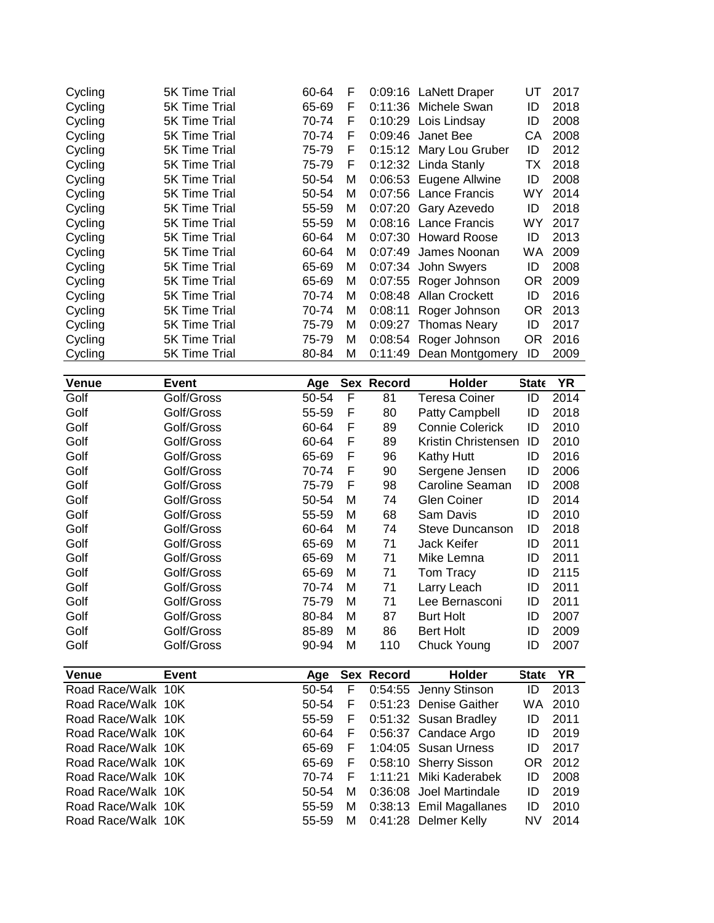| Cycling | 5K Time Trial | 60-64 | F |         | 0:09:16 LaNett Draper   | UT | 2017 |
|---------|---------------|-------|---|---------|-------------------------|----|------|
| Cycling | 5K Time Trial | 65-69 | F |         | 0:11:36 Michele Swan    | ID | 2018 |
| Cycling | 5K Time Trial | 70-74 | F |         | 0:10:29 Lois Lindsay    | ID | 2008 |
| Cycling | 5K Time Trial | 70-74 | F |         | $0.09:46$ Janet Bee     | CА | 2008 |
| Cycling | 5K Time Trial | 75-79 | F |         | 0:15:12 Mary Lou Gruber | ID | 2012 |
| Cycling | 5K Time Trial | 75-79 | F |         | 0:12:32 Linda Stanly    | ТX | 2018 |
| Cycling | 5K Time Trial | 50-54 | м |         | 0:06:53 Eugene Allwine  | ID | 2008 |
| Cycling | 5K Time Trial | 50-54 | м |         | 0:07:56 Lance Francis   | WY | 2014 |
| Cycling | 5K Time Trial | 55-59 | м |         | 0:07:20 Gary Azevedo    | ID | 2018 |
| Cycling | 5K Time Trial | 55-59 | м |         | 0:08:16 Lance Francis   | WY | 2017 |
| Cycling | 5K Time Trial | 60-64 | м |         | 0:07:30 Howard Roose    | ID | 2013 |
| Cycling | 5K Time Trial | 60-64 | М | 0:07:49 | James Noonan            | WA | 2009 |
| Cycling | 5K Time Trial | 65-69 | м |         | 0:07:34 John Swyers     | ID | 2008 |
| Cycling | 5K Time Trial | 65-69 | М |         | 0:07:55 Roger Johnson   | OR | 2009 |
| Cycling | 5K Time Trial | 70-74 | М | 0:08:48 | <b>Allan Crockett</b>   | ID | 2016 |
| Cycling | 5K Time Trial | 70-74 | М | 0:08:11 | Roger Johnson           | OR | 2013 |
| Cycling | 5K Time Trial | 75-79 | м | 0:09:27 | <b>Thomas Neary</b>     | ID | 2017 |
| Cycling | 5K Time Trial | 75-79 | М | 0:08:54 | Roger Johnson           | OR | 2016 |
| Cycling | 5K Time Trial | 80-84 | м | 0:11:49 | Dean Montgomery         | ID | 2009 |

| <b>Venue</b> | Event      | Age   |   | Sex Record | Holder                 | <b>State</b> | YR   |
|--------------|------------|-------|---|------------|------------------------|--------------|------|
| Golf         | Golf/Gross | 50-54 | F | 81         | Teresa Coiner          | ID           | 2014 |
| Golf         | Golf/Gross | 55-59 | F | 80         | Patty Campbell         | ID           | 2018 |
| Golf         | Golf/Gross | 60-64 | F | 89         | <b>Connie Colerick</b> | ID           | 2010 |
| Golf         | Golf/Gross | 60-64 | F | 89         | Kristin Christensen    | ID           | 2010 |
| Golf         | Golf/Gross | 65-69 | F | 96         | <b>Kathy Hutt</b>      | ID           | 2016 |
| Golf         | Golf/Gross | 70-74 | F | 90         | Sergene Jensen         | ID           | 2006 |
| Golf         | Golf/Gross | 75-79 | F | 98         | Caroline Seaman        | ID           | 2008 |
| Golf         | Golf/Gross | 50-54 | М | 74         | <b>Glen Coiner</b>     | ID           | 2014 |
| Golf         | Golf/Gross | 55-59 | м | 68         | Sam Davis              | ID           | 2010 |
| Golf         | Golf/Gross | 60-64 | М | 74         | Steve Duncanson        | ID           | 2018 |
| Golf         | Golf/Gross | 65-69 | м | 71         | <b>Jack Keifer</b>     | ID           | 2011 |
| Golf         | Golf/Gross | 65-69 | М | 71         | Mike Lemna             | ID           | 2011 |
| Golf         | Golf/Gross | 65-69 | M | 71         | Tom Tracy              | ID           | 2115 |
| Golf         | Golf/Gross | 70-74 | м | 71         | Larry Leach            | ID           | 2011 |
| Golf         | Golf/Gross | 75-79 | М | 71         | Lee Bernasconi         | ID           | 2011 |
| Golf         | Golf/Gross | 80-84 | М | 87         | <b>Burt Holt</b>       | ID           | 2007 |
| Golf         | Golf/Gross | 85-89 | М | 86         | Bert Holt              | ID           | 2009 |
| Golf         | Golf/Gross | 90-94 | М | 110        | Chuck Young            | ID           | 2007 |

| <b>Venue</b>       | Event | Aqe   |    | Sex Record | Holder                    | <b>State</b> | YR.     |
|--------------------|-------|-------|----|------------|---------------------------|--------------|---------|
| Road Race/Walk 10K |       | 50-54 |    |            | F 0:54:55 Jenny Stinson   | ID           | 2013    |
| Road Race/Walk 10K |       | 50-54 | F. |            | 0:51:23 Denise Gaither    |              | WA 2010 |
| Road Race/Walk 10K |       | 55-59 |    |            | F 0:51:32 Susan Bradley   | ID           | 2011    |
| Road Race/Walk 10K |       | 60-64 |    |            | F 0:56:37 Candace Argo    | ID           | 2019    |
| Road Race/Walk 10K |       | 65-69 | F. |            | 1:04:05 Susan Urness      | ID           | 2017    |
| Road Race/Walk 10K |       | 65-69 |    |            | F 0:58:10 Sherry Sisson   | OR.          | 2012    |
| Road Race/Walk 10K |       | 70-74 |    |            | F 1:11:21 Miki Kaderabek  | ID           | 2008    |
| Road Race/Walk 10K |       | 50-54 | м  |            | 0:36:08 Joel Martindale   | ID           | 2019    |
| Road Race/Walk 10K |       | 55-59 |    |            | M 0:38:13 Emil Magallanes | ID           | 2010    |
| Road Race/Walk 10K |       | 55-59 | м  |            | 0:41:28 Delmer Kelly      | NV.          | 2014    |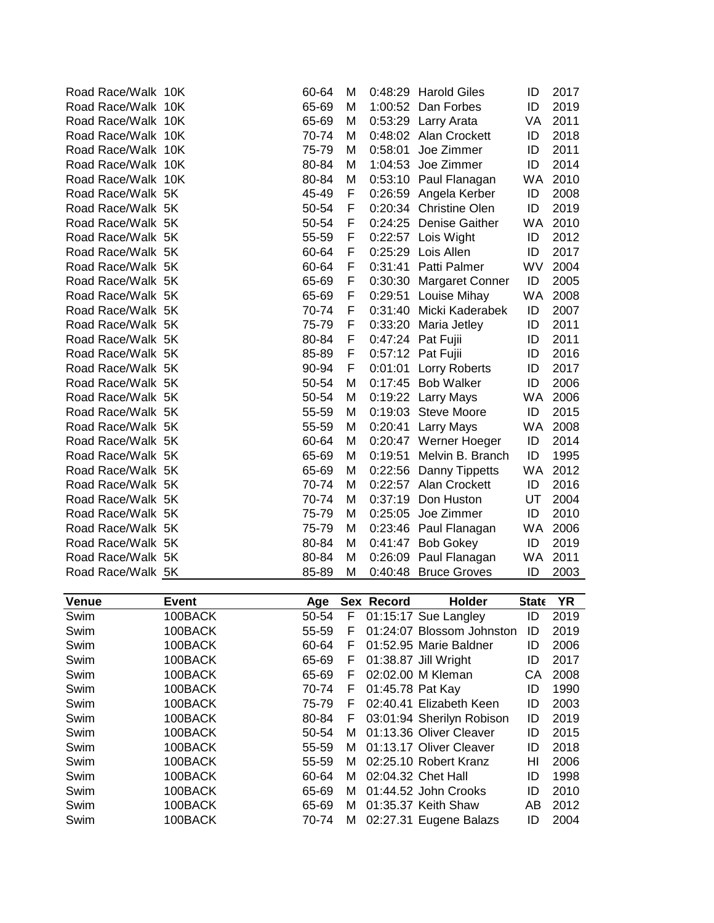| Road Race/Walk 10K | 60-64 | М | 0:48:29 | <b>Harold Giles</b>     | ID        | 2017 |
|--------------------|-------|---|---------|-------------------------|-----------|------|
| Road Race/Walk 10K | 65-69 | М |         | 1:00:52 Dan Forbes      | ID        | 2019 |
| Road Race/Walk 10K | 65-69 | M |         | 0:53:29 Larry Arata     | VA        | 2011 |
| Road Race/Walk 10K | 70-74 | м |         | 0:48:02 Alan Crockett   | ID        | 2018 |
| Road Race/Walk 10K | 75-79 | M | 0:58:01 | Joe Zimmer              | ID        | 2011 |
| Road Race/Walk 10K | 80-84 | M | 1:04:53 | Joe Zimmer              | ID        | 2014 |
| Road Race/Walk 10K | 80-84 | M |         | 0:53:10 Paul Flanagan   | <b>WA</b> | 2010 |
| Road Race/Walk 5K  | 45-49 | F |         | 0:26:59 Angela Kerber   | ID        | 2008 |
| Road Race/Walk 5K  | 50-54 | F |         | 0:20:34 Christine Olen  | ID        | 2019 |
| Road Race/Walk 5K  | 50-54 | F |         | 0:24:25 Denise Gaither  | WA.       | 2010 |
| Road Race/Walk 5K  | 55-59 | F |         | 0:22:57 Lois Wight      | ID        | 2012 |
| Road Race/Walk 5K  | 60-64 | F | 0:25:29 | Lois Allen              | ID        | 2017 |
| Road Race/Walk 5K  | 60-64 | F | 0:31:41 | Patti Palmer            | <b>WV</b> | 2004 |
| Road Race/Walk 5K  | 65-69 | F |         | 0:30:30 Margaret Conner | ID        | 2005 |
| Road Race/Walk 5K  | 65-69 | F |         | 0:29:51 Louise Mihay    | <b>WA</b> | 2008 |
| Road Race/Walk 5K  | 70-74 | F |         | 0:31:40 Micki Kaderabek | ID        | 2007 |
| Road Race/Walk 5K  | 75-79 | F |         | 0:33:20 Maria Jetley    | ID        | 2011 |
| Road Race/Walk 5K  | 80-84 | F |         | 0:47:24 Pat Fujii       | ID        | 2011 |
| Road Race/Walk 5K  | 85-89 | F |         | 0:57:12 Pat Fujii       | ID        | 2016 |
| Road Race/Walk 5K  | 90-94 | F |         | 0:01:01 Lorry Roberts   | ID        | 2017 |
| Road Race/Walk 5K  | 50-54 | M |         | 0:17:45 Bob Walker      | ID        | 2006 |
| Road Race/Walk 5K  | 50-54 | M |         | 0:19:22 Larry Mays      | WA        | 2006 |
| Road Race/Walk 5K  | 55-59 | M |         | 0:19:03 Steve Moore     | ID        | 2015 |
| Road Race/Walk 5K  | 55-59 | M |         | 0:20:41 Larry Mays      | <b>WA</b> | 2008 |
| Road Race/Walk 5K  | 60-64 | M |         | 0:20:47 Werner Hoeger   | ID        | 2014 |
| Road Race/Walk 5K  | 65-69 | M | 0:19:51 | Melvin B. Branch        | ID        | 1995 |
| Road Race/Walk 5K  | 65-69 | M |         | 0:22:56 Danny Tippetts  | WA        | 2012 |
| Road Race/Walk 5K  | 70-74 | M |         | 0:22:57 Alan Crockett   | ID        | 2016 |
| Road Race/Walk 5K  | 70-74 | M |         | 0:37:19 Don Huston      | UT        | 2004 |
| Road Race/Walk 5K  | 75-79 | M |         | 0:25:05 Joe Zimmer      | ID        | 2010 |
| Road Race/Walk 5K  | 75-79 | M |         | 0:23:46 Paul Flanagan   | WA        | 2006 |
| Road Race/Walk 5K  | 80-84 | M | 0:41:47 | <b>Bob Gokey</b>        | ID        | 2019 |
| Road Race/Walk 5K  | 80-84 | M | 0:26:09 | Paul Flanagan           | WA        | 2011 |
| Road Race/Walk 5K  | 85-89 | М |         | 0:40:48 Bruce Groves    | ID        | 2003 |

| <b>Venue</b> | Event   | Age   |    | Sex Record       | <b>Holder</b>             | <b>State</b> | ΥR   |
|--------------|---------|-------|----|------------------|---------------------------|--------------|------|
| Swim         | 100BACK | 50-54 | F. |                  | 01:15:17 Sue Langley      | ID           | 2019 |
| Swim         | 100BACK | 55-59 | F  |                  | 01:24:07 Blossom Johnston | ID           | 2019 |
| Swim         | 100BACK | 60-64 | F  |                  | 01:52.95 Marie Baldner    | ID           | 2006 |
| Swim         | 100BACK | 65-69 | F  |                  | 01:38.87 Jill Wright      | ID           | 2017 |
| Swim         | 100BACK | 65-69 | F  |                  | 02:02.00 M Kleman         | CА           | 2008 |
| Swim         | 100BACK | 70-74 | F  | 01:45.78 Pat Kay |                           | ID           | 1990 |
| Swim         | 100BACK | 75-79 | F  |                  | 02:40.41 Elizabeth Keen   | ID           | 2003 |
| Swim         | 100BACK | 80-84 | F  |                  | 03:01:94 Sherilyn Robison | ID           | 2019 |
| Swim         | 100BACK | 50-54 | м  |                  | 01:13.36 Oliver Cleaver   | ID           | 2015 |
| Swim         | 100BACK | 55-59 | м  |                  | 01:13.17 Oliver Cleaver   | ID           | 2018 |
| Swim         | 100BACK | 55-59 | м  |                  | 02:25.10 Robert Kranz     | HI           | 2006 |
| Swim         | 100BACK | 60-64 | м  |                  | 02:04.32 Chet Hall        | ID           | 1998 |
| Swim         | 100BACK | 65-69 | м  |                  | 01:44.52 John Crooks      | ID           | 2010 |
| Swim         | 100BACK | 65-69 | м  |                  | 01:35.37 Keith Shaw       | AB           | 2012 |
| Swim         | 100BACK | 70-74 |    |                  | M 02:27.31 Eugene Balazs  | ID           | 2004 |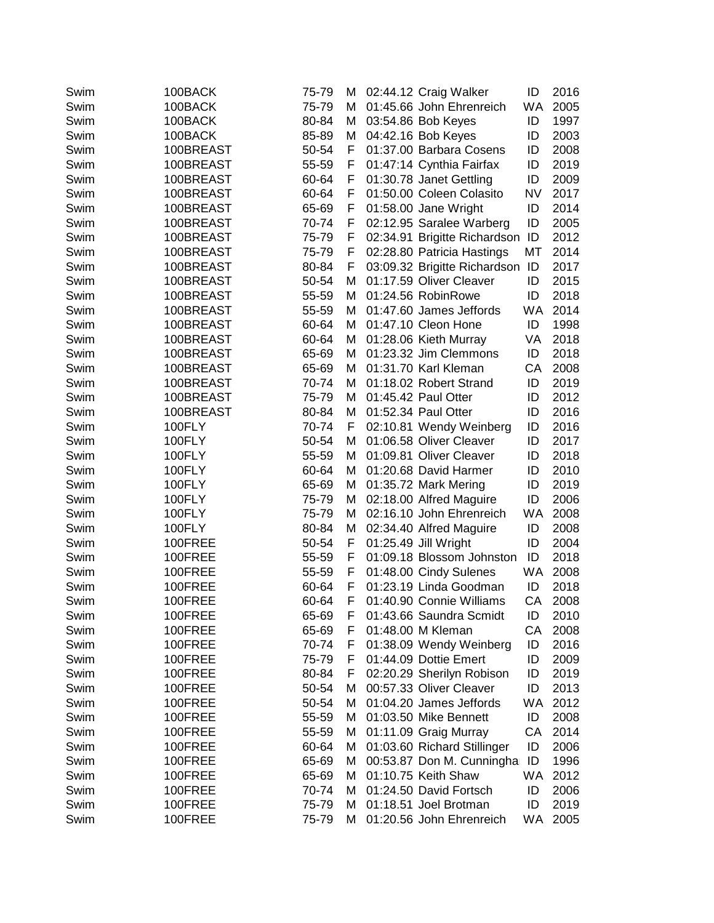| Swim | 100BACK   | 75-79 | M | 02:44.12 Craig Walker           | ID        | 2016 |
|------|-----------|-------|---|---------------------------------|-----------|------|
| Swim | 100BACK   | 75-79 | м | 01:45.66 John Ehrenreich        | WA        | 2005 |
| Swim | 100BACK   | 80-84 | м | 03:54.86 Bob Keyes              | ID        | 1997 |
| Swim | 100BACK   | 85-89 | M | 04:42.16 Bob Keyes              | ID        | 2003 |
| Swim | 100BREAST | 50-54 | F | 01:37.00 Barbara Cosens         | ID        | 2008 |
| Swim | 100BREAST | 55-59 | F | 01:47:14 Cynthia Fairfax        | ID        | 2019 |
| Swim | 100BREAST | 60-64 | F | 01:30.78 Janet Gettling         | ID        | 2009 |
| Swim | 100BREAST | 60-64 | F | 01:50.00 Coleen Colasito        | <b>NV</b> | 2017 |
| Swim | 100BREAST | 65-69 | F | 01:58.00 Jane Wright            | ID        | 2014 |
| Swim | 100BREAST | 70-74 | F | 02:12.95 Saralee Warberg        | ID        | 2005 |
| Swim | 100BREAST | 75-79 | F | 02:34.91 Brigitte Richardson ID |           | 2012 |
| Swim | 100BREAST | 75-79 | F | 02:28.80 Patricia Hastings      | MT        | 2014 |
| Swim | 100BREAST | 80-84 | F | 03:09.32 Brigitte Richardson    | ID        | 2017 |
| Swim | 100BREAST | 50-54 | M | 01:17.59 Oliver Cleaver         | ID        | 2015 |
| Swim | 100BREAST | 55-59 | м | 01:24.56 RobinRowe              | ID        | 2018 |
| Swim | 100BREAST | 55-59 | м | 01:47.60 James Jeffords         | WA        | 2014 |
| Swim | 100BREAST | 60-64 | M | 01:47.10 Cleon Hone             | ID        | 1998 |
| Swim | 100BREAST | 60-64 | M | 01:28.06 Kieth Murray           | VA        | 2018 |
| Swim | 100BREAST | 65-69 | M | 01:23.32 Jim Clemmons           | ID        | 2018 |
| Swim | 100BREAST | 65-69 | M | 01:31.70 Karl Kleman            | CA        | 2008 |
| Swim | 100BREAST | 70-74 | M | 01:18.02 Robert Strand          | ID        | 2019 |
| Swim | 100BREAST | 75-79 | м | 01:45.42 Paul Otter             | ID        | 2012 |
| Swim | 100BREAST | 80-84 | М | 01:52.34 Paul Otter             | ID        | 2016 |
| Swim | 100FLY    | 70-74 | F | 02:10.81 Wendy Weinberg         | ID        | 2016 |
| Swim | 100FLY    | 50-54 | M | 01:06.58 Oliver Cleaver         | ID        | 2017 |
| Swim | 100FLY    | 55-59 | M | 01:09.81 Oliver Cleaver         | ID        | 2018 |
| Swim | 100FLY    | 60-64 | м | 01:20.68 David Harmer           | ID        | 2010 |
| Swim | 100FLY    | 65-69 | м | 01:35.72 Mark Mering            | ID        | 2019 |
| Swim | 100FLY    | 75-79 | M | 02:18.00 Alfred Maguire         | ID        | 2006 |
| Swim | 100FLY    | 75-79 | M | 02:16.10 John Ehrenreich        | WA        | 2008 |
| Swim | 100FLY    | 80-84 | M | 02:34.40 Alfred Maguire         | ID        | 2008 |
| Swim | 100FREE   | 50-54 | F | 01:25.49 Jill Wright            | ID        | 2004 |
| Swim | 100FREE   | 55-59 | F | 01:09.18 Blossom Johnston       | ID        | 2018 |
| Swim | 100FREE   | 55-59 | F | 01:48.00 Cindy Sulenes          | WA        | 2008 |
| Swim | 100FREE   | 60-64 | F | 01:23.19 Linda Goodman          | ID        | 2018 |
| Swim | 100FREE   | 60-64 | F | 01:40.90 Connie Williams        | CA        | 2008 |
| Swim | 100FREE   | 65-69 | F | 01:43.66 Saundra Scmidt         | ID        | 2010 |
| Swim | 100FREE   | 65-69 | F | 01:48.00 M Kleman               | CA        | 2008 |
| Swim | 100FREE   | 70-74 | F | 01:38.09 Wendy Weinberg         | ID        | 2016 |
| Swim | 100FREE   | 75-79 | F | 01:44.09 Dottie Emert           | ID        | 2009 |
| Swim | 100FREE   | 80-84 | F | 02:20.29 Sherilyn Robison       | ID        | 2019 |
| Swim | 100FREE   | 50-54 | м | 00:57.33 Oliver Cleaver         | ID        | 2013 |
| Swim | 100FREE   | 50-54 | м | 01:04.20 James Jeffords         | WA        | 2012 |
| Swim | 100FREE   | 55-59 | M | 01:03.50 Mike Bennett           | ID        | 2008 |
| Swim | 100FREE   | 55-59 | M | 01:11.09 Graig Murray           | CA        | 2014 |
| Swim | 100FREE   | 60-64 | M | 01:03.60 Richard Stillinger     | ID        | 2006 |
| Swim | 100FREE   | 65-69 | M | 00:53.87 Don M. Cunningha       | ID        | 1996 |
| Swim | 100FREE   | 65-69 | м | 01:10.75 Keith Shaw             | WA        | 2012 |
| Swim | 100FREE   | 70-74 | M | 01:24.50 David Fortsch          | ID        | 2006 |
| Swim | 100FREE   | 75-79 | м | 01:18.51 Joel Brotman           | ID        | 2019 |
| Swim | 100FREE   | 75-79 | M | 01:20.56 John Ehrenreich        | <b>WA</b> | 2005 |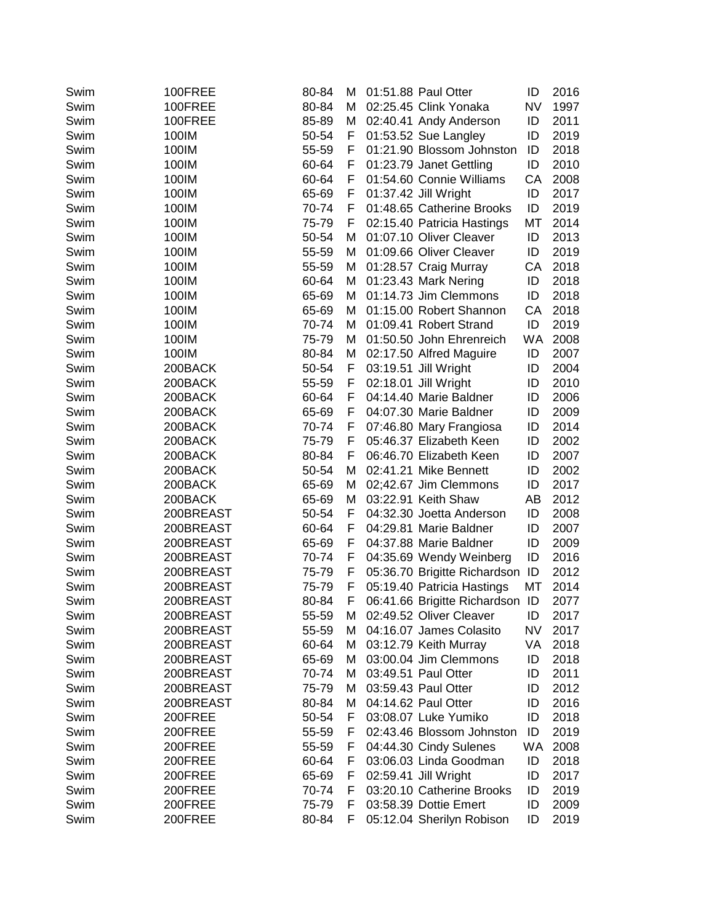| Swim<br>02:25.45 Clink Yonaka<br><b>NV</b><br>100FREE<br>80-84<br>м<br>Swim<br>100FREE<br>85-89<br>02:40.41 Andy Anderson<br>ID<br>м<br>100IM<br>50-54<br>F<br>01:53.52 Sue Langley<br>ID<br>Swim<br>Swim<br>100IM<br>55-59<br>F<br>01:21.90 Blossom Johnston<br>ID<br>100IM<br>60-64<br>01:23.79 Janet Gettling<br>ID<br>Swim<br>F<br>100IM<br>60-64<br>Swim<br>F.<br>01:54.60 Connie Williams<br>СA<br>100IM<br>01:37.42 Jill Wright<br>ID<br>Swim<br>65-69<br>F.<br>100IM<br>70-74<br>01:48.65 Catherine Brooks<br>ID<br>Swim<br>F.<br>02:15.40 Patricia Hastings<br>МT<br>Swim<br>100IM<br>75-79<br>F. | 1997<br>2011<br>2019<br>2018<br>2010<br>2008<br>2017<br>2019 |
|------------------------------------------------------------------------------------------------------------------------------------------------------------------------------------------------------------------------------------------------------------------------------------------------------------------------------------------------------------------------------------------------------------------------------------------------------------------------------------------------------------------------------------------------------------------------------------------------------------|--------------------------------------------------------------|
|                                                                                                                                                                                                                                                                                                                                                                                                                                                                                                                                                                                                            |                                                              |
|                                                                                                                                                                                                                                                                                                                                                                                                                                                                                                                                                                                                            |                                                              |
|                                                                                                                                                                                                                                                                                                                                                                                                                                                                                                                                                                                                            |                                                              |
|                                                                                                                                                                                                                                                                                                                                                                                                                                                                                                                                                                                                            |                                                              |
|                                                                                                                                                                                                                                                                                                                                                                                                                                                                                                                                                                                                            |                                                              |
|                                                                                                                                                                                                                                                                                                                                                                                                                                                                                                                                                                                                            |                                                              |
|                                                                                                                                                                                                                                                                                                                                                                                                                                                                                                                                                                                                            |                                                              |
|                                                                                                                                                                                                                                                                                                                                                                                                                                                                                                                                                                                                            |                                                              |
|                                                                                                                                                                                                                                                                                                                                                                                                                                                                                                                                                                                                            | 2014                                                         |
| 01:07.10 Oliver Cleaver<br>ID<br>Swim<br>100IM<br>50-54<br>м                                                                                                                                                                                                                                                                                                                                                                                                                                                                                                                                               | 2013                                                         |
| 01:09.66 Oliver Cleaver<br>ID<br>Swim<br>100IM<br>55-59<br>м                                                                                                                                                                                                                                                                                                                                                                                                                                                                                                                                               | 2019                                                         |
| 55-59<br>01:28.57 Craig Murray<br>Swim<br>100IM<br>СA<br>М                                                                                                                                                                                                                                                                                                                                                                                                                                                                                                                                                 | 2018                                                         |
| Swim<br>100IM<br>60-64<br>М<br>01:23.43 Mark Nering<br>ID                                                                                                                                                                                                                                                                                                                                                                                                                                                                                                                                                  | 2018                                                         |
| 01:14.73 Jim Clemmons<br>Swim<br>100IM<br>65-69<br>М<br>ID                                                                                                                                                                                                                                                                                                                                                                                                                                                                                                                                                 | 2018                                                         |
| 01:15.00 Robert Shannon<br>CA<br>Swim<br>100IM<br>65-69<br>м                                                                                                                                                                                                                                                                                                                                                                                                                                                                                                                                               | 2018                                                         |
| 100IM<br>01:09.41 Robert Strand<br>ID<br>Swim<br>70-74<br>М                                                                                                                                                                                                                                                                                                                                                                                                                                                                                                                                                | 2019                                                         |
| 100IM<br>01:50.50 John Ehrenreich<br>WA<br>Swim<br>75-79<br>м                                                                                                                                                                                                                                                                                                                                                                                                                                                                                                                                              | 2008                                                         |
| Swim<br>100IM<br>80-84<br>М<br>02:17.50 Alfred Maguire<br>ID                                                                                                                                                                                                                                                                                                                                                                                                                                                                                                                                               | 2007                                                         |
| 50-54<br>F<br>03:19.51 Jill Wright<br>ID<br>Swim<br>200BACK                                                                                                                                                                                                                                                                                                                                                                                                                                                                                                                                                | 2004                                                         |
| F<br>02:18.01 Jill Wright<br>ID<br>Swim<br>200BACK<br>55-59                                                                                                                                                                                                                                                                                                                                                                                                                                                                                                                                                | 2010                                                         |
| 60-64<br>F.<br>04:14.40 Marie Baldner<br>ID<br>Swim<br>200BACK                                                                                                                                                                                                                                                                                                                                                                                                                                                                                                                                             | 2006                                                         |
| 65-69<br>Swim<br>200BACK<br>F.<br>04:07.30 Marie Baldner<br>ID                                                                                                                                                                                                                                                                                                                                                                                                                                                                                                                                             | 2009                                                         |
| 70-74<br>07:46.80 Mary Frangiosa<br>ID<br>Swim<br>200BACK<br>F.                                                                                                                                                                                                                                                                                                                                                                                                                                                                                                                                            | 2014                                                         |
| 75-79<br>05:46.37 Elizabeth Keen<br>ID<br>Swim<br>200BACK<br>F                                                                                                                                                                                                                                                                                                                                                                                                                                                                                                                                             | 2002                                                         |
| 06:46.70 Elizabeth Keen<br>Swim<br>200BACK<br>80-84<br>F<br>ID                                                                                                                                                                                                                                                                                                                                                                                                                                                                                                                                             | 2007                                                         |
| 02:41.21 Mike Bennett<br>Swim<br>200BACK<br>50-54<br>ID<br>м                                                                                                                                                                                                                                                                                                                                                                                                                                                                                                                                               | 2002                                                         |
| 02;42.67 Jim Clemmons<br>Swim<br>200BACK<br>65-69<br>М<br>ID                                                                                                                                                                                                                                                                                                                                                                                                                                                                                                                                               | 2017                                                         |
| Swim<br>200BACK<br>65-69<br>М<br>03:22.91 Keith Shaw<br>AВ                                                                                                                                                                                                                                                                                                                                                                                                                                                                                                                                                 | 2012                                                         |
| Swim<br>200BREAST<br>50-54<br>F<br>04:32.30 Joetta Anderson<br>ID                                                                                                                                                                                                                                                                                                                                                                                                                                                                                                                                          | 2008                                                         |
| 60-64<br>04:29.81 Marie Baldner<br>ID<br>Swim<br>200BREAST<br>F                                                                                                                                                                                                                                                                                                                                                                                                                                                                                                                                            | 2007                                                         |
| Swim<br>200BREAST<br>65-69<br>F<br>04:37.88 Marie Baldner<br>ID                                                                                                                                                                                                                                                                                                                                                                                                                                                                                                                                            | 2009                                                         |
| Swim<br>200BREAST<br>70-74<br>F<br>04:35.69 Wendy Weinberg<br>ID                                                                                                                                                                                                                                                                                                                                                                                                                                                                                                                                           | 2016                                                         |
| F<br>05:36.70 Brigitte Richardson ID<br>Swim<br>200BREAST<br>75-79                                                                                                                                                                                                                                                                                                                                                                                                                                                                                                                                         | 2012                                                         |
| F<br>05:19.40 Patricia Hastings<br>МT<br>Swim<br>200BREAST<br>75-79                                                                                                                                                                                                                                                                                                                                                                                                                                                                                                                                        | 2014                                                         |
| F<br>Swim<br>200BREAST<br>80-84<br>06:41.66 Brigitte Richardson ID                                                                                                                                                                                                                                                                                                                                                                                                                                                                                                                                         | 2077                                                         |
| 02:49.52 Oliver Cleaver<br>ID<br>Swim<br>200BREAST<br>55-59<br>м                                                                                                                                                                                                                                                                                                                                                                                                                                                                                                                                           | 2017                                                         |
| <b>NV</b><br>04:16.07 James Colasito<br>Swim<br>200BREAST<br>55-59<br>М                                                                                                                                                                                                                                                                                                                                                                                                                                                                                                                                    | 2017                                                         |
| 03:12.79 Keith Murray<br>VA<br>Swim<br>200BREAST<br>60-64<br>M                                                                                                                                                                                                                                                                                                                                                                                                                                                                                                                                             | 2018                                                         |
| Swim<br>200BREAST<br>65-69<br>03:00.04 Jim Clemmons<br>ID<br>м                                                                                                                                                                                                                                                                                                                                                                                                                                                                                                                                             | 2018                                                         |
| Swim<br>200BREAST<br>70-74<br>03:49.51 Paul Otter<br>ID<br>м                                                                                                                                                                                                                                                                                                                                                                                                                                                                                                                                               | 2011                                                         |
| 200BREAST<br>Swim<br>75-79<br>03:59.43 Paul Otter<br>ID<br>м                                                                                                                                                                                                                                                                                                                                                                                                                                                                                                                                               | 2012                                                         |
| Swim<br>200BREAST<br>80-84<br>04:14.62 Paul Otter<br>ID<br>M                                                                                                                                                                                                                                                                                                                                                                                                                                                                                                                                               | 2016                                                         |
| Swim<br>200FREE<br>50-54<br>03:08.07 Luke Yumiko<br>ID<br>F                                                                                                                                                                                                                                                                                                                                                                                                                                                                                                                                                | 2018                                                         |
| 02:43.46 Blossom Johnston<br>ID<br>Swim<br>200FREE<br>55-59<br>F                                                                                                                                                                                                                                                                                                                                                                                                                                                                                                                                           | 2019                                                         |
| WA<br>04:44.30 Cindy Sulenes<br>200FREE<br>55-59<br>F<br>Swim                                                                                                                                                                                                                                                                                                                                                                                                                                                                                                                                              | 2008                                                         |
| 03:06.03 Linda Goodman<br>60-64<br>F<br>ID<br>Swim<br>200FREE                                                                                                                                                                                                                                                                                                                                                                                                                                                                                                                                              | 2018                                                         |
| 02:59.41 Jill Wright<br>200FREE<br>65-69<br>F<br>ID<br>Swim                                                                                                                                                                                                                                                                                                                                                                                                                                                                                                                                                | 2017                                                         |
| 03:20.10 Catherine Brooks<br>200FREE<br>70-74<br>ID<br>Swim<br>F                                                                                                                                                                                                                                                                                                                                                                                                                                                                                                                                           | 2019                                                         |
| 03:58.39 Dottie Emert<br>Swim<br>200FREE<br>75-79<br>ID<br>F                                                                                                                                                                                                                                                                                                                                                                                                                                                                                                                                               | 2009                                                         |
| 05:12.04 Sherilyn Robison<br>Swim<br>200FREE<br>80-84<br>ID<br>F                                                                                                                                                                                                                                                                                                                                                                                                                                                                                                                                           | 2019                                                         |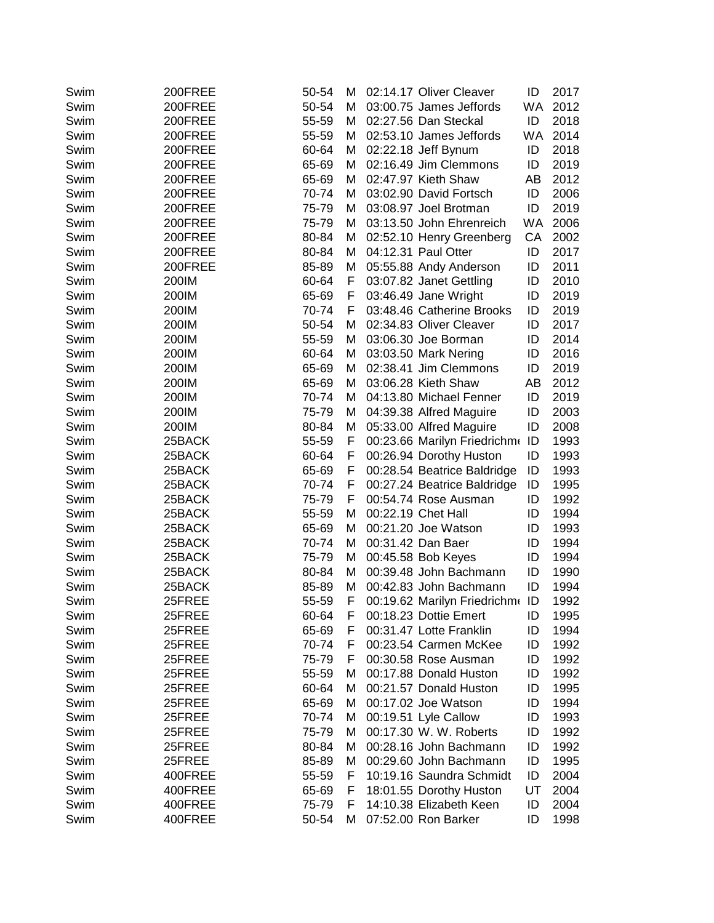| Swim | 200FREE | 50-54 | м | 02:14.17 Oliver Cleaver     | ID        | 2017 |
|------|---------|-------|---|-----------------------------|-----------|------|
| Swim | 200FREE | 50-54 | м | 03:00.75 James Jeffords     | <b>WA</b> | 2012 |
| Swim | 200FREE | 55-59 | м | 02:27.56 Dan Steckal        | ID        | 2018 |
| Swim | 200FREE | 55-59 | M | 02:53.10 James Jeffords     | <b>WA</b> | 2014 |
| Swim | 200FREE | 60-64 | м | 02:22.18 Jeff Bynum         | ID        | 2018 |
| Swim | 200FREE | 65-69 | м | 02:16.49 Jim Clemmons       | ID        | 2019 |
| Swim | 200FREE | 65-69 | м | 02:47.97 Kieth Shaw         | AB        | 2012 |
| Swim | 200FREE | 70-74 | м | 03:02.90 David Fortsch      | ID        | 2006 |
| Swim | 200FREE | 75-79 | М | 03:08.97 Joel Brotman       | ID        | 2019 |
| Swim | 200FREE | 75-79 | м | 03:13.50 John Ehrenreich    | WA.       | 2006 |
| Swim | 200FREE | 80-84 | М | 02:52.10 Henry Greenberg    | CA        | 2002 |
| Swim | 200FREE | 80-84 | M | 04:12.31 Paul Otter         | ID        | 2017 |
| Swim | 200FREE | 85-89 | M | 05:55.88 Andy Anderson      | ID        | 2011 |
| Swim | 200IM   | 60-64 | F | 03:07.82 Janet Gettling     | ID        | 2010 |
| Swim | 200IM   | 65-69 | F | 03:46.49 Jane Wright        | ID        | 2019 |
| Swim | 200IM   | 70-74 | F | 03:48.46 Catherine Brooks   | ID        | 2019 |
|      |         |       |   |                             | ID        |      |
| Swim | 200IM   | 50-54 | м | 02:34.83 Oliver Cleaver     |           | 2017 |
| Swim | 200IM   | 55-59 | м | 03:06.30 Joe Borman         | ID        | 2014 |
| Swim | 200IM   | 60-64 | м | 03:03.50 Mark Nering        | ID        | 2016 |
| Swim | 200IM   | 65-69 | M | 02:38.41 Jim Clemmons       | ID        | 2019 |
| Swim | 200IM   | 65-69 | м | 03:06.28 Kieth Shaw         | AB        | 2012 |
| Swim | 200IM   | 70-74 | м | 04:13.80 Michael Fenner     | ID        | 2019 |
| Swim | 200IM   | 75-79 | М | 04:39.38 Alfred Maguire     | ID        | 2003 |
| Swim | 200IM   | 80-84 | м | 05:33.00 Alfred Maguire     | ID        | 2008 |
| Swim | 25BACK  | 55-59 | F | 00:23.66 Marilyn Friedrichm | ID        | 1993 |
| Swim | 25BACK  | 60-64 | F | 00:26.94 Dorothy Huston     | ID        | 1993 |
| Swim | 25BACK  | 65-69 | F | 00:28.54 Beatrice Baldridge | ID        | 1993 |
| Swim | 25BACK  | 70-74 | F | 00:27.24 Beatrice Baldridge | ID        | 1995 |
| Swim | 25BACK  | 75-79 | F | 00:54.74 Rose Ausman        | ID        | 1992 |
| Swim | 25BACK  | 55-59 | м | 00:22.19 Chet Hall          | ID        | 1994 |
| Swim | 25BACK  | 65-69 | м | 00:21.20 Joe Watson         | ID        | 1993 |
| Swim | 25BACK  | 70-74 | M | 00:31.42 Dan Baer           | ID        | 1994 |
| Swim | 25BACK  | 75-79 | M | 00:45.58 Bob Keyes          | ID        | 1994 |
| Swim | 25BACK  | 80-84 | M | 00:39.48 John Bachmann      | ID        | 1990 |
| Swim | 25BACK  | 85-89 | M | 00:42.83 John Bachmann      | ID        | 1994 |
| Swim | 25FREE  | 55-59 | F | 00:19.62 Marilyn Friedrichm | ID        | 1992 |
| Swim | 25FREE  | 60-64 | F | 00:18.23 Dottie Emert       | ID        | 1995 |
| Swim | 25FREE  | 65-69 | F | 00:31.47 Lotte Franklin     | ID        | 1994 |
| Swim | 25FREE  | 70-74 | F | 00:23.54 Carmen McKee       | ID        | 1992 |
| Swim | 25FREE  | 75-79 | F | 00:30.58 Rose Ausman        | ID        | 1992 |
| Swim | 25FREE  | 55-59 | м | 00:17.88 Donald Huston      | ID        | 1992 |
| Swim | 25FREE  | 60-64 | м | 00:21.57 Donald Huston      | ID        | 1995 |
| Swim | 25FREE  | 65-69 | м | 00:17.02 Joe Watson         | ID        | 1994 |
| Swim | 25FREE  | 70-74 | M | 00:19.51 Lyle Callow        | ID        | 1993 |
| Swim | 25FREE  | 75-79 | M | 00:17.30 W. W. Roberts      | ID        | 1992 |
| Swim | 25FREE  | 80-84 | М | 00:28.16 John Bachmann      | ID        | 1992 |
| Swim | 25FREE  | 85-89 | M | 00:29.60 John Bachmann      | ID        | 1995 |
| Swim | 400FREE | 55-59 | F | 10:19.16 Saundra Schmidt    | ID        | 2004 |
| Swim | 400FREE | 65-69 | F | 18:01.55 Dorothy Huston     | UT        | 2004 |
| Swim | 400FREE | 75-79 | F | 14:10.38 Elizabeth Keen     | ID        | 2004 |
| Swim | 400FREE | 50-54 | M | 07:52.00 Ron Barker         | ID        | 1998 |
|      |         |       |   |                             |           |      |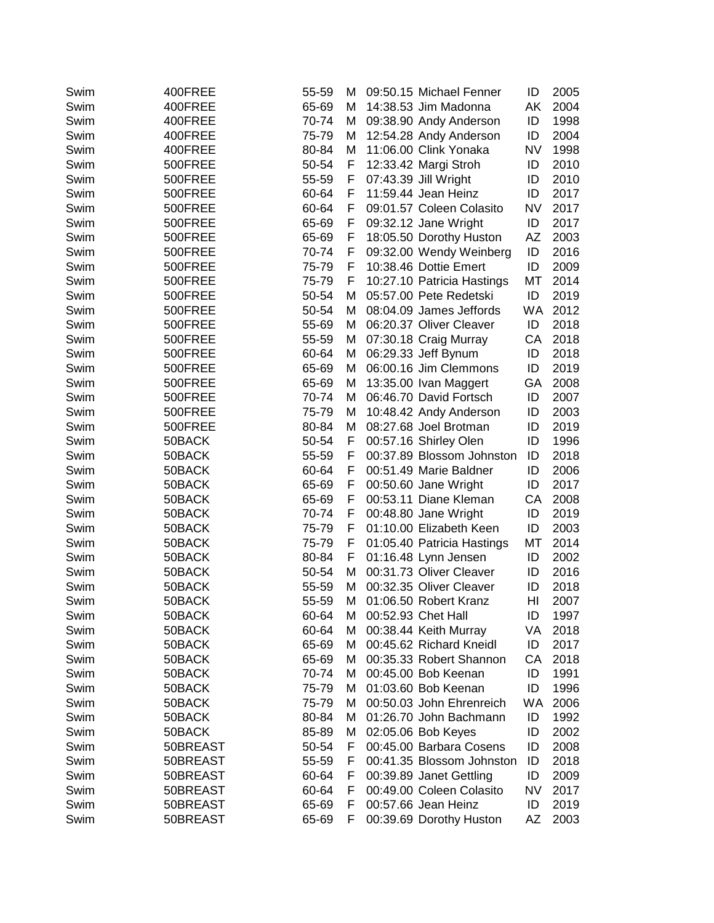| 14:38.53 Jim Madonna<br>AΚ<br>2004<br>Swim<br>400FREE<br>65-69<br>м<br>1998<br>Swim<br>400FREE<br>70-74<br>М<br>09:38.90 Andy Anderson<br>ID<br>2004<br>400FREE<br>75-79<br>М<br>12:54.28 Andy Anderson<br>ID<br>Swim<br>1998<br>400FREE<br>80-84<br>М<br>11:06.00 Clink Yonaka<br>NV<br>Swim<br>50-54<br>2010<br>Swim<br>500FREE<br>F<br>12:33.42 Margi Stroh<br>ID<br>07:43.39 Jill Wright<br>2010<br>Swim<br>500FREE<br>55-59<br>F<br>ID<br>11:59.44 Jean Heinz<br>2017<br>Swim<br>500FREE<br>60-64<br>F.<br>ID<br>09:01.57 Coleen Colasito<br><b>NV</b><br>2017<br>Swim<br>500FREE<br>60-64<br>F<br>F<br>09:32.12 Jane Wright<br>ID<br>2017<br>Swim<br>500FREE<br>65-69<br>65-69<br>F<br>18:05.50 Dorothy Huston<br>AZ<br>2003<br>Swim<br>500FREE<br>F<br>09:32.00 Wendy Weinberg<br>ID<br>2016<br>Swim<br>500FREE<br>70-74<br>ID<br>2009<br>Swim<br>500FREE<br>75-79<br>F<br>10:38.46 Dottie Emert<br>МT<br>2014<br>Swim<br>500FREE<br>75-79<br>F<br>10:27.10 Patricia Hastings<br>Swim<br>500FREE<br>50-54<br>М<br>05:57.00 Pete Redetski<br>ID<br>2019<br>WA<br>2012<br>Swim<br>500FREE<br>50-54<br>08:04.09 James Jeffords<br>м<br>06:20.37 Oliver Cleaver<br>2018<br>Swim<br>500FREE<br>55-69<br>ID<br>м<br>2018<br>Swim<br>500FREE<br>55-59<br>М<br>07:30.18 Craig Murray<br>CA<br>2018<br>Swim<br>500FREE<br>60-64<br>06:29.33 Jeff Bynum<br>ID<br>М<br>06:00.16 Jim Clemmons<br>ID<br>2019<br>Swim<br>500FREE<br>65-69<br>М<br>GA<br>2008<br>Swim<br>500FREE<br>65-69<br>M<br>13:35.00 Ivan Maggert<br>70-74<br>06:46.70 David Fortsch<br>ID<br>2007<br>Swim<br>500FREE<br>М<br>ID<br>2003<br>Swim<br>500FREE<br>75-79<br>М<br>10:48.42 Andy Anderson<br>80-84<br>08:27.68 Joel Brotman<br>ID<br>2019<br>Swim<br>500FREE<br>м<br>50-54<br>00:57.16 Shirley Olen<br>ID<br>1996<br>Swim<br>50BACK<br>F.<br>2018<br>Swim<br>50BACK<br>55-59<br>F<br>00:37.89 Blossom Johnston<br>ID<br>Swim<br>F<br>00:51.49 Marie Baldner<br>2006<br>50BACK<br>60-64<br>ID<br>2017<br>Swim<br>50BACK<br>65-69<br>F<br>00:50.60 Jane Wright<br>ID<br>2008<br>Swim<br>65-69<br>F<br>00:53.11 Diane Kleman<br>СA<br>50BACK<br>2019<br>Swim<br>50BACK<br>70-74<br>F<br>00:48.80 Jane Wright<br>ID<br>ID<br>2003<br>Swim<br>50BACK<br>75-79<br>01:10.00 Elizabeth Keen<br>F<br>2014<br>Swim<br>50BACK<br>75-79<br>01:05.40 Patricia Hastings<br>МT<br>F<br>2002<br>Swim<br>50BACK<br>80-84<br>F<br>01:16.48 Lynn Jensen<br>ID<br>00:31.73 Oliver Cleaver<br>2016<br>Swim<br>50BACK<br>50-54<br>ID<br>м<br>00:32.35 Oliver Cleaver<br>Swim<br>2018<br>50BACK<br>55-59<br>М<br>ID<br>01:06.50 Robert Kranz<br>HI<br>Swim<br>50BACK<br>55-59<br>М<br>2007<br>60-64<br>00:52.93 Chet Hall<br>ID<br>Swim<br>50BACK<br>1997<br>м |
|-----------------------------------------------------------------------------------------------------------------------------------------------------------------------------------------------------------------------------------------------------------------------------------------------------------------------------------------------------------------------------------------------------------------------------------------------------------------------------------------------------------------------------------------------------------------------------------------------------------------------------------------------------------------------------------------------------------------------------------------------------------------------------------------------------------------------------------------------------------------------------------------------------------------------------------------------------------------------------------------------------------------------------------------------------------------------------------------------------------------------------------------------------------------------------------------------------------------------------------------------------------------------------------------------------------------------------------------------------------------------------------------------------------------------------------------------------------------------------------------------------------------------------------------------------------------------------------------------------------------------------------------------------------------------------------------------------------------------------------------------------------------------------------------------------------------------------------------------------------------------------------------------------------------------------------------------------------------------------------------------------------------------------------------------------------------------------------------------------------------------------------------------------------------------------------------------------------------------------------------------------------------------------------------------------------------------------------------------------------------------------------------------------------------------------------------------------------------------------------------------------------------------------------------------------------------------------------------------------------------------------------------------------------------------------------------------------------------|
|                                                                                                                                                                                                                                                                                                                                                                                                                                                                                                                                                                                                                                                                                                                                                                                                                                                                                                                                                                                                                                                                                                                                                                                                                                                                                                                                                                                                                                                                                                                                                                                                                                                                                                                                                                                                                                                                                                                                                                                                                                                                                                                                                                                                                                                                                                                                                                                                                                                                                                                                                                                                                                                                                                                 |
|                                                                                                                                                                                                                                                                                                                                                                                                                                                                                                                                                                                                                                                                                                                                                                                                                                                                                                                                                                                                                                                                                                                                                                                                                                                                                                                                                                                                                                                                                                                                                                                                                                                                                                                                                                                                                                                                                                                                                                                                                                                                                                                                                                                                                                                                                                                                                                                                                                                                                                                                                                                                                                                                                                                 |
|                                                                                                                                                                                                                                                                                                                                                                                                                                                                                                                                                                                                                                                                                                                                                                                                                                                                                                                                                                                                                                                                                                                                                                                                                                                                                                                                                                                                                                                                                                                                                                                                                                                                                                                                                                                                                                                                                                                                                                                                                                                                                                                                                                                                                                                                                                                                                                                                                                                                                                                                                                                                                                                                                                                 |
|                                                                                                                                                                                                                                                                                                                                                                                                                                                                                                                                                                                                                                                                                                                                                                                                                                                                                                                                                                                                                                                                                                                                                                                                                                                                                                                                                                                                                                                                                                                                                                                                                                                                                                                                                                                                                                                                                                                                                                                                                                                                                                                                                                                                                                                                                                                                                                                                                                                                                                                                                                                                                                                                                                                 |
|                                                                                                                                                                                                                                                                                                                                                                                                                                                                                                                                                                                                                                                                                                                                                                                                                                                                                                                                                                                                                                                                                                                                                                                                                                                                                                                                                                                                                                                                                                                                                                                                                                                                                                                                                                                                                                                                                                                                                                                                                                                                                                                                                                                                                                                                                                                                                                                                                                                                                                                                                                                                                                                                                                                 |
|                                                                                                                                                                                                                                                                                                                                                                                                                                                                                                                                                                                                                                                                                                                                                                                                                                                                                                                                                                                                                                                                                                                                                                                                                                                                                                                                                                                                                                                                                                                                                                                                                                                                                                                                                                                                                                                                                                                                                                                                                                                                                                                                                                                                                                                                                                                                                                                                                                                                                                                                                                                                                                                                                                                 |
|                                                                                                                                                                                                                                                                                                                                                                                                                                                                                                                                                                                                                                                                                                                                                                                                                                                                                                                                                                                                                                                                                                                                                                                                                                                                                                                                                                                                                                                                                                                                                                                                                                                                                                                                                                                                                                                                                                                                                                                                                                                                                                                                                                                                                                                                                                                                                                                                                                                                                                                                                                                                                                                                                                                 |
|                                                                                                                                                                                                                                                                                                                                                                                                                                                                                                                                                                                                                                                                                                                                                                                                                                                                                                                                                                                                                                                                                                                                                                                                                                                                                                                                                                                                                                                                                                                                                                                                                                                                                                                                                                                                                                                                                                                                                                                                                                                                                                                                                                                                                                                                                                                                                                                                                                                                                                                                                                                                                                                                                                                 |
|                                                                                                                                                                                                                                                                                                                                                                                                                                                                                                                                                                                                                                                                                                                                                                                                                                                                                                                                                                                                                                                                                                                                                                                                                                                                                                                                                                                                                                                                                                                                                                                                                                                                                                                                                                                                                                                                                                                                                                                                                                                                                                                                                                                                                                                                                                                                                                                                                                                                                                                                                                                                                                                                                                                 |
|                                                                                                                                                                                                                                                                                                                                                                                                                                                                                                                                                                                                                                                                                                                                                                                                                                                                                                                                                                                                                                                                                                                                                                                                                                                                                                                                                                                                                                                                                                                                                                                                                                                                                                                                                                                                                                                                                                                                                                                                                                                                                                                                                                                                                                                                                                                                                                                                                                                                                                                                                                                                                                                                                                                 |
|                                                                                                                                                                                                                                                                                                                                                                                                                                                                                                                                                                                                                                                                                                                                                                                                                                                                                                                                                                                                                                                                                                                                                                                                                                                                                                                                                                                                                                                                                                                                                                                                                                                                                                                                                                                                                                                                                                                                                                                                                                                                                                                                                                                                                                                                                                                                                                                                                                                                                                                                                                                                                                                                                                                 |
|                                                                                                                                                                                                                                                                                                                                                                                                                                                                                                                                                                                                                                                                                                                                                                                                                                                                                                                                                                                                                                                                                                                                                                                                                                                                                                                                                                                                                                                                                                                                                                                                                                                                                                                                                                                                                                                                                                                                                                                                                                                                                                                                                                                                                                                                                                                                                                                                                                                                                                                                                                                                                                                                                                                 |
|                                                                                                                                                                                                                                                                                                                                                                                                                                                                                                                                                                                                                                                                                                                                                                                                                                                                                                                                                                                                                                                                                                                                                                                                                                                                                                                                                                                                                                                                                                                                                                                                                                                                                                                                                                                                                                                                                                                                                                                                                                                                                                                                                                                                                                                                                                                                                                                                                                                                                                                                                                                                                                                                                                                 |
|                                                                                                                                                                                                                                                                                                                                                                                                                                                                                                                                                                                                                                                                                                                                                                                                                                                                                                                                                                                                                                                                                                                                                                                                                                                                                                                                                                                                                                                                                                                                                                                                                                                                                                                                                                                                                                                                                                                                                                                                                                                                                                                                                                                                                                                                                                                                                                                                                                                                                                                                                                                                                                                                                                                 |
|                                                                                                                                                                                                                                                                                                                                                                                                                                                                                                                                                                                                                                                                                                                                                                                                                                                                                                                                                                                                                                                                                                                                                                                                                                                                                                                                                                                                                                                                                                                                                                                                                                                                                                                                                                                                                                                                                                                                                                                                                                                                                                                                                                                                                                                                                                                                                                                                                                                                                                                                                                                                                                                                                                                 |
|                                                                                                                                                                                                                                                                                                                                                                                                                                                                                                                                                                                                                                                                                                                                                                                                                                                                                                                                                                                                                                                                                                                                                                                                                                                                                                                                                                                                                                                                                                                                                                                                                                                                                                                                                                                                                                                                                                                                                                                                                                                                                                                                                                                                                                                                                                                                                                                                                                                                                                                                                                                                                                                                                                                 |
|                                                                                                                                                                                                                                                                                                                                                                                                                                                                                                                                                                                                                                                                                                                                                                                                                                                                                                                                                                                                                                                                                                                                                                                                                                                                                                                                                                                                                                                                                                                                                                                                                                                                                                                                                                                                                                                                                                                                                                                                                                                                                                                                                                                                                                                                                                                                                                                                                                                                                                                                                                                                                                                                                                                 |
|                                                                                                                                                                                                                                                                                                                                                                                                                                                                                                                                                                                                                                                                                                                                                                                                                                                                                                                                                                                                                                                                                                                                                                                                                                                                                                                                                                                                                                                                                                                                                                                                                                                                                                                                                                                                                                                                                                                                                                                                                                                                                                                                                                                                                                                                                                                                                                                                                                                                                                                                                                                                                                                                                                                 |
|                                                                                                                                                                                                                                                                                                                                                                                                                                                                                                                                                                                                                                                                                                                                                                                                                                                                                                                                                                                                                                                                                                                                                                                                                                                                                                                                                                                                                                                                                                                                                                                                                                                                                                                                                                                                                                                                                                                                                                                                                                                                                                                                                                                                                                                                                                                                                                                                                                                                                                                                                                                                                                                                                                                 |
|                                                                                                                                                                                                                                                                                                                                                                                                                                                                                                                                                                                                                                                                                                                                                                                                                                                                                                                                                                                                                                                                                                                                                                                                                                                                                                                                                                                                                                                                                                                                                                                                                                                                                                                                                                                                                                                                                                                                                                                                                                                                                                                                                                                                                                                                                                                                                                                                                                                                                                                                                                                                                                                                                                                 |
|                                                                                                                                                                                                                                                                                                                                                                                                                                                                                                                                                                                                                                                                                                                                                                                                                                                                                                                                                                                                                                                                                                                                                                                                                                                                                                                                                                                                                                                                                                                                                                                                                                                                                                                                                                                                                                                                                                                                                                                                                                                                                                                                                                                                                                                                                                                                                                                                                                                                                                                                                                                                                                                                                                                 |
|                                                                                                                                                                                                                                                                                                                                                                                                                                                                                                                                                                                                                                                                                                                                                                                                                                                                                                                                                                                                                                                                                                                                                                                                                                                                                                                                                                                                                                                                                                                                                                                                                                                                                                                                                                                                                                                                                                                                                                                                                                                                                                                                                                                                                                                                                                                                                                                                                                                                                                                                                                                                                                                                                                                 |
|                                                                                                                                                                                                                                                                                                                                                                                                                                                                                                                                                                                                                                                                                                                                                                                                                                                                                                                                                                                                                                                                                                                                                                                                                                                                                                                                                                                                                                                                                                                                                                                                                                                                                                                                                                                                                                                                                                                                                                                                                                                                                                                                                                                                                                                                                                                                                                                                                                                                                                                                                                                                                                                                                                                 |
|                                                                                                                                                                                                                                                                                                                                                                                                                                                                                                                                                                                                                                                                                                                                                                                                                                                                                                                                                                                                                                                                                                                                                                                                                                                                                                                                                                                                                                                                                                                                                                                                                                                                                                                                                                                                                                                                                                                                                                                                                                                                                                                                                                                                                                                                                                                                                                                                                                                                                                                                                                                                                                                                                                                 |
|                                                                                                                                                                                                                                                                                                                                                                                                                                                                                                                                                                                                                                                                                                                                                                                                                                                                                                                                                                                                                                                                                                                                                                                                                                                                                                                                                                                                                                                                                                                                                                                                                                                                                                                                                                                                                                                                                                                                                                                                                                                                                                                                                                                                                                                                                                                                                                                                                                                                                                                                                                                                                                                                                                                 |
|                                                                                                                                                                                                                                                                                                                                                                                                                                                                                                                                                                                                                                                                                                                                                                                                                                                                                                                                                                                                                                                                                                                                                                                                                                                                                                                                                                                                                                                                                                                                                                                                                                                                                                                                                                                                                                                                                                                                                                                                                                                                                                                                                                                                                                                                                                                                                                                                                                                                                                                                                                                                                                                                                                                 |
|                                                                                                                                                                                                                                                                                                                                                                                                                                                                                                                                                                                                                                                                                                                                                                                                                                                                                                                                                                                                                                                                                                                                                                                                                                                                                                                                                                                                                                                                                                                                                                                                                                                                                                                                                                                                                                                                                                                                                                                                                                                                                                                                                                                                                                                                                                                                                                                                                                                                                                                                                                                                                                                                                                                 |
|                                                                                                                                                                                                                                                                                                                                                                                                                                                                                                                                                                                                                                                                                                                                                                                                                                                                                                                                                                                                                                                                                                                                                                                                                                                                                                                                                                                                                                                                                                                                                                                                                                                                                                                                                                                                                                                                                                                                                                                                                                                                                                                                                                                                                                                                                                                                                                                                                                                                                                                                                                                                                                                                                                                 |
|                                                                                                                                                                                                                                                                                                                                                                                                                                                                                                                                                                                                                                                                                                                                                                                                                                                                                                                                                                                                                                                                                                                                                                                                                                                                                                                                                                                                                                                                                                                                                                                                                                                                                                                                                                                                                                                                                                                                                                                                                                                                                                                                                                                                                                                                                                                                                                                                                                                                                                                                                                                                                                                                                                                 |
|                                                                                                                                                                                                                                                                                                                                                                                                                                                                                                                                                                                                                                                                                                                                                                                                                                                                                                                                                                                                                                                                                                                                                                                                                                                                                                                                                                                                                                                                                                                                                                                                                                                                                                                                                                                                                                                                                                                                                                                                                                                                                                                                                                                                                                                                                                                                                                                                                                                                                                                                                                                                                                                                                                                 |
|                                                                                                                                                                                                                                                                                                                                                                                                                                                                                                                                                                                                                                                                                                                                                                                                                                                                                                                                                                                                                                                                                                                                                                                                                                                                                                                                                                                                                                                                                                                                                                                                                                                                                                                                                                                                                                                                                                                                                                                                                                                                                                                                                                                                                                                                                                                                                                                                                                                                                                                                                                                                                                                                                                                 |
|                                                                                                                                                                                                                                                                                                                                                                                                                                                                                                                                                                                                                                                                                                                                                                                                                                                                                                                                                                                                                                                                                                                                                                                                                                                                                                                                                                                                                                                                                                                                                                                                                                                                                                                                                                                                                                                                                                                                                                                                                                                                                                                                                                                                                                                                                                                                                                                                                                                                                                                                                                                                                                                                                                                 |
|                                                                                                                                                                                                                                                                                                                                                                                                                                                                                                                                                                                                                                                                                                                                                                                                                                                                                                                                                                                                                                                                                                                                                                                                                                                                                                                                                                                                                                                                                                                                                                                                                                                                                                                                                                                                                                                                                                                                                                                                                                                                                                                                                                                                                                                                                                                                                                                                                                                                                                                                                                                                                                                                                                                 |
|                                                                                                                                                                                                                                                                                                                                                                                                                                                                                                                                                                                                                                                                                                                                                                                                                                                                                                                                                                                                                                                                                                                                                                                                                                                                                                                                                                                                                                                                                                                                                                                                                                                                                                                                                                                                                                                                                                                                                                                                                                                                                                                                                                                                                                                                                                                                                                                                                                                                                                                                                                                                                                                                                                                 |
|                                                                                                                                                                                                                                                                                                                                                                                                                                                                                                                                                                                                                                                                                                                                                                                                                                                                                                                                                                                                                                                                                                                                                                                                                                                                                                                                                                                                                                                                                                                                                                                                                                                                                                                                                                                                                                                                                                                                                                                                                                                                                                                                                                                                                                                                                                                                                                                                                                                                                                                                                                                                                                                                                                                 |
|                                                                                                                                                                                                                                                                                                                                                                                                                                                                                                                                                                                                                                                                                                                                                                                                                                                                                                                                                                                                                                                                                                                                                                                                                                                                                                                                                                                                                                                                                                                                                                                                                                                                                                                                                                                                                                                                                                                                                                                                                                                                                                                                                                                                                                                                                                                                                                                                                                                                                                                                                                                                                                                                                                                 |
| 60-64<br>00:38.44 Keith Murray<br>VA<br>Swim<br>50BACK<br>2018<br>м                                                                                                                                                                                                                                                                                                                                                                                                                                                                                                                                                                                                                                                                                                                                                                                                                                                                                                                                                                                                                                                                                                                                                                                                                                                                                                                                                                                                                                                                                                                                                                                                                                                                                                                                                                                                                                                                                                                                                                                                                                                                                                                                                                                                                                                                                                                                                                                                                                                                                                                                                                                                                                             |
| ID<br>Swim<br>50BACK<br>65-69<br>М<br>00:45.62 Richard Kneidl<br>2017                                                                                                                                                                                                                                                                                                                                                                                                                                                                                                                                                                                                                                                                                                                                                                                                                                                                                                                                                                                                                                                                                                                                                                                                                                                                                                                                                                                                                                                                                                                                                                                                                                                                                                                                                                                                                                                                                                                                                                                                                                                                                                                                                                                                                                                                                                                                                                                                                                                                                                                                                                                                                                           |
| Swim<br>65-69<br>00:35.33 Robert Shannon<br>СA<br>2018<br>50BACK<br>м                                                                                                                                                                                                                                                                                                                                                                                                                                                                                                                                                                                                                                                                                                                                                                                                                                                                                                                                                                                                                                                                                                                                                                                                                                                                                                                                                                                                                                                                                                                                                                                                                                                                                                                                                                                                                                                                                                                                                                                                                                                                                                                                                                                                                                                                                                                                                                                                                                                                                                                                                                                                                                           |
| 1991<br>Swim<br>50BACK<br>70-74<br>00:45.00 Bob Keenan<br>ID<br>м                                                                                                                                                                                                                                                                                                                                                                                                                                                                                                                                                                                                                                                                                                                                                                                                                                                                                                                                                                                                                                                                                                                                                                                                                                                                                                                                                                                                                                                                                                                                                                                                                                                                                                                                                                                                                                                                                                                                                                                                                                                                                                                                                                                                                                                                                                                                                                                                                                                                                                                                                                                                                                               |
| 01:03.60 Bob Keenan<br>1996<br>Swim<br>75-79<br>ID<br>50BACK<br>м                                                                                                                                                                                                                                                                                                                                                                                                                                                                                                                                                                                                                                                                                                                                                                                                                                                                                                                                                                                                                                                                                                                                                                                                                                                                                                                                                                                                                                                                                                                                                                                                                                                                                                                                                                                                                                                                                                                                                                                                                                                                                                                                                                                                                                                                                                                                                                                                                                                                                                                                                                                                                                               |
| Swim<br>00:50.03 John Ehrenreich<br>WA<br>2006<br>50BACK<br>75-79<br>м                                                                                                                                                                                                                                                                                                                                                                                                                                                                                                                                                                                                                                                                                                                                                                                                                                                                                                                                                                                                                                                                                                                                                                                                                                                                                                                                                                                                                                                                                                                                                                                                                                                                                                                                                                                                                                                                                                                                                                                                                                                                                                                                                                                                                                                                                                                                                                                                                                                                                                                                                                                                                                          |
| 1992<br>Swim<br>80-84<br>01:26.70 John Bachmann<br>ID<br>50BACK<br>M                                                                                                                                                                                                                                                                                                                                                                                                                                                                                                                                                                                                                                                                                                                                                                                                                                                                                                                                                                                                                                                                                                                                                                                                                                                                                                                                                                                                                                                                                                                                                                                                                                                                                                                                                                                                                                                                                                                                                                                                                                                                                                                                                                                                                                                                                                                                                                                                                                                                                                                                                                                                                                            |
| 02:05.06 Bob Keyes<br>Swim<br>50BACK<br>85-89<br>ID<br>2002<br>М                                                                                                                                                                                                                                                                                                                                                                                                                                                                                                                                                                                                                                                                                                                                                                                                                                                                                                                                                                                                                                                                                                                                                                                                                                                                                                                                                                                                                                                                                                                                                                                                                                                                                                                                                                                                                                                                                                                                                                                                                                                                                                                                                                                                                                                                                                                                                                                                                                                                                                                                                                                                                                                |
| 00:45.00 Barbara Cosens<br>2008<br>Swim<br>50BREAST<br>50-54<br>F<br>ID                                                                                                                                                                                                                                                                                                                                                                                                                                                                                                                                                                                                                                                                                                                                                                                                                                                                                                                                                                                                                                                                                                                                                                                                                                                                                                                                                                                                                                                                                                                                                                                                                                                                                                                                                                                                                                                                                                                                                                                                                                                                                                                                                                                                                                                                                                                                                                                                                                                                                                                                                                                                                                         |
| 00:41.35 Blossom Johnston<br>50BREAST<br>F<br>ID<br>2018<br>Swim<br>55-59                                                                                                                                                                                                                                                                                                                                                                                                                                                                                                                                                                                                                                                                                                                                                                                                                                                                                                                                                                                                                                                                                                                                                                                                                                                                                                                                                                                                                                                                                                                                                                                                                                                                                                                                                                                                                                                                                                                                                                                                                                                                                                                                                                                                                                                                                                                                                                                                                                                                                                                                                                                                                                       |
| 00:39.89 Janet Gettling<br>50BREAST<br>60-64<br>F<br>ID<br>2009<br>Swim                                                                                                                                                                                                                                                                                                                                                                                                                                                                                                                                                                                                                                                                                                                                                                                                                                                                                                                                                                                                                                                                                                                                                                                                                                                                                                                                                                                                                                                                                                                                                                                                                                                                                                                                                                                                                                                                                                                                                                                                                                                                                                                                                                                                                                                                                                                                                                                                                                                                                                                                                                                                                                         |
| 00:49.00 Coleen Colasito<br><b>NV</b><br>50BREAST<br>60-64<br>F<br>2017<br>Swim                                                                                                                                                                                                                                                                                                                                                                                                                                                                                                                                                                                                                                                                                                                                                                                                                                                                                                                                                                                                                                                                                                                                                                                                                                                                                                                                                                                                                                                                                                                                                                                                                                                                                                                                                                                                                                                                                                                                                                                                                                                                                                                                                                                                                                                                                                                                                                                                                                                                                                                                                                                                                                 |
| 2019<br>50BREAST<br>65-69<br>00:57.66 Jean Heinz<br>ID<br>Swim<br>F                                                                                                                                                                                                                                                                                                                                                                                                                                                                                                                                                                                                                                                                                                                                                                                                                                                                                                                                                                                                                                                                                                                                                                                                                                                                                                                                                                                                                                                                                                                                                                                                                                                                                                                                                                                                                                                                                                                                                                                                                                                                                                                                                                                                                                                                                                                                                                                                                                                                                                                                                                                                                                             |
| 00:39.69 Dorothy Huston<br>2003<br>Swim<br>50BREAST<br>65-69<br>ΑZ<br>F                                                                                                                                                                                                                                                                                                                                                                                                                                                                                                                                                                                                                                                                                                                                                                                                                                                                                                                                                                                                                                                                                                                                                                                                                                                                                                                                                                                                                                                                                                                                                                                                                                                                                                                                                                                                                                                                                                                                                                                                                                                                                                                                                                                                                                                                                                                                                                                                                                                                                                                                                                                                                                         |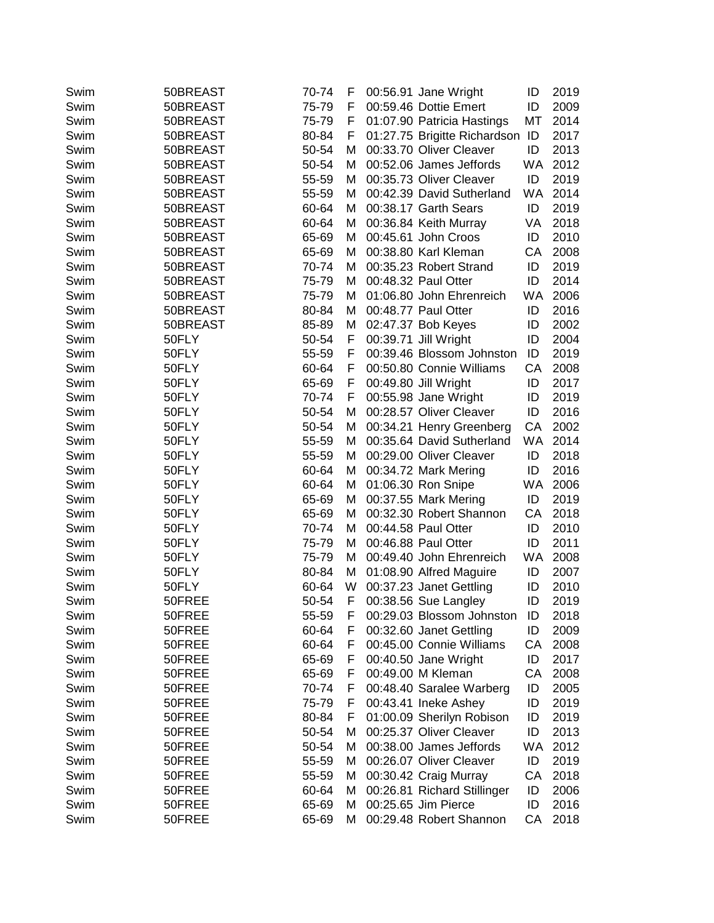| Swim         | 50BREAST         | 70-74 | F      | 00:56.91 Jane Wright                               | ID | 2019 |
|--------------|------------------|-------|--------|----------------------------------------------------|----|------|
| Swim         | 50BREAST         | 75-79 | F      | 00:59.46 Dottie Emert                              | ID | 2009 |
| Swim         | 50BREAST         | 75-79 | F      | 01:07.90 Patricia Hastings                         | МT | 2014 |
| Swim         | 50BREAST         | 80-84 | F      | 01:27.75 Brigitte Richardson ID                    |    | 2017 |
| Swim         | 50BREAST         | 50-54 | м      | 00:33.70 Oliver Cleaver                            | ID | 2013 |
| Swim         | 50BREAST         | 50-54 | M      | 00:52.06 James Jeffords                            | WA | 2012 |
| Swim         | 50BREAST         | 55-59 | M      | 00:35.73 Oliver Cleaver                            | ID | 2019 |
| Swim         | 50BREAST         | 55-59 | M      | 00:42.39 David Sutherland                          | WA | 2014 |
| Swim         | 50BREAST         | 60-64 | М      | 00:38.17 Garth Sears                               | ID | 2019 |
| Swim         | 50BREAST         | 60-64 | M      | 00:36.84 Keith Murray                              | VA | 2018 |
| Swim         | 50BREAST         | 65-69 | M      | 00:45.61 John Croos                                | ID | 2010 |
| Swim         | 50BREAST         | 65-69 | M      | 00:38.80 Karl Kleman                               | CA | 2008 |
| Swim         | 50BREAST         | 70-74 | м      | 00:35.23 Robert Strand                             | ID | 2019 |
| Swim         | 50BREAST         | 75-79 | M      | 00:48.32 Paul Otter                                | ID | 2014 |
| Swim         | 50BREAST         | 75-79 | м      | 01:06.80 John Ehrenreich                           | WA | 2006 |
| Swim         | 50BREAST         | 80-84 | м      | 00:48.77 Paul Otter                                | ID | 2016 |
| Swim         | 50BREAST         | 85-89 | M      | 02:47.37 Bob Keyes                                 | ID | 2002 |
| Swim         | 50FLY            | 50-54 | F      | 00:39.71 Jill Wright                               | ID | 2004 |
| Swim         | 50FLY            | 55-59 | F      | 00:39.46 Blossom Johnston                          | ID | 2019 |
| Swim         | 50FLY            | 60-64 | F      | 00:50.80 Connie Williams                           | CA | 2008 |
| Swim         | 50FLY            | 65-69 | F      | 00:49.80 Jill Wright                               | ID | 2017 |
| Swim         | 50FLY            | 70-74 | F.     | 00:55.98 Jane Wright                               | ID | 2019 |
| Swim         | 50FLY            | 50-54 | М      | 00:28.57 Oliver Cleaver                            | ID | 2016 |
| Swim         | 50FLY            | 50-54 | м      | 00:34.21 Henry Greenberg                           | CA | 2002 |
| Swim         | 50FLY            | 55-59 | M      | 00:35.64 David Sutherland                          | WA | 2014 |
| Swim         | 50FLY            | 55-59 | м      | 00:29.00 Oliver Cleaver                            | ID | 2018 |
| Swim         | 50FLY            | 60-64 | M      | 00:34.72 Mark Mering                               | ID | 2016 |
| Swim         | 50FLY            | 60-64 | M      | 01:06.30 Ron Snipe                                 | WA | 2006 |
| Swim         | 50FLY            | 65-69 | M      | 00:37.55 Mark Mering                               | ID | 2019 |
| Swim         | 50FLY            | 65-69 | м      | 00:32.30 Robert Shannon                            | CA | 2018 |
| Swim         | 50FLY            | 70-74 | м      | 00:44.58 Paul Otter                                | ID | 2010 |
| Swim         | 50FLY            | 75-79 | м      | 00:46.88 Paul Otter                                | ID | 2011 |
| Swim         | 50FLY            | 75-79 | M      | 00:49.40 John Ehrenreich                           | WA | 2008 |
| Swim         | 50FLY            | 80-84 | M      | 01:08.90 Alfred Maguire                            | ID | 2007 |
| Swim         | 50FLY            | 60-64 | W      | 00:37.23 Janet Gettling                            | ID | 2010 |
| Swim         | 50FREE           | 50-54 | F      | 00:38.56 Sue Langley                               | ID | 2019 |
| Swim         | 50FREE           | 55-59 | F      | 00:29.03 Blossom Johnston                          | ID | 2018 |
| Swim         | 50FREE           | 60-64 | F      | 00:32.60 Janet Gettling                            | ID | 2009 |
| Swim         | 50FREE           | 60-64 | F      | 00:45.00 Connie Williams                           | СA | 2008 |
| Swim         | 50FREE           | 65-69 | F      | 00:40.50 Jane Wright                               | ID | 2017 |
| Swim         | 50FREE           | 65-69 | F      | 00:49.00 M Kleman                                  | СA | 2008 |
| Swim         | 50FREE           | 70-74 | F      | 00:48.40 Saralee Warberg                           | ID | 2005 |
| Swim         | 50FREE           | 75-79 | F      | 00:43.41 Ineke Ashey                               | ID | 2019 |
| Swim         | 50FREE           | 80-84 | F      | 01:00.09 Sherilyn Robison                          | ID | 2019 |
| Swim         | 50FREE           | 50-54 | M      | 00:25.37 Oliver Cleaver                            | ID | 2013 |
|              |                  | 50-54 |        | 00:38.00 James Jeffords                            | WA | 2012 |
| Swim<br>Swim | 50FREE<br>50FREE | 55-59 | M<br>M | 00:26.07 Oliver Cleaver                            | ID | 2019 |
|              | 50FREE           | 55-59 |        | 00:30.42 Craig Murray                              | CA | 2018 |
| Swim         | 50FREE           | 60-64 | M      |                                                    | ID | 2006 |
| Swim<br>Swim | 50FREE           | 65-69 | M      | 00:26.81 Richard Stillinger<br>00:25.65 Jim Pierce | ID | 2016 |
| Swim         | 50FREE           | 65-69 | M      | 00:29.48 Robert Shannon                            | СA | 2018 |
|              |                  |       | M      |                                                    |    |      |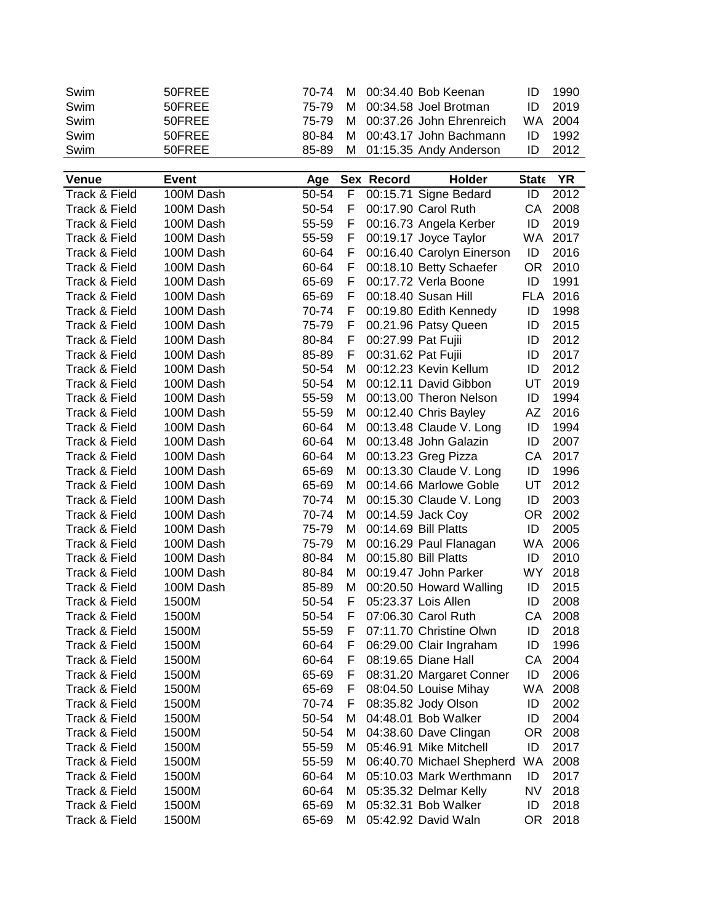| Swim          | 50FREE       | 70-74 | м  |                    | 00:34.40 Bob Keenan       | ID           | 1990      |
|---------------|--------------|-------|----|--------------------|---------------------------|--------------|-----------|
| Swim          | 50FREE       | 75-79 | м  |                    | 00:34.58 Joel Brotman     | ID           | 2019      |
| Swim          | 50FREE       | 75-79 | м  |                    | 00:37.26 John Ehrenreich  | <b>WA</b>    | 2004      |
| Swim          | 50FREE       | 80-84 | м  |                    | 00:43.17 John Bachmann    | ID           | 1992      |
| Swim          | 50FREE       | 85-89 | М  |                    | 01:15.35 Andy Anderson    | ID           | 2012      |
|               |              |       |    |                    |                           |              |           |
| <b>Venue</b>  | <b>Event</b> | Age   |    | Sex Record         | Holder                    | <b>State</b> | <b>YR</b> |
| Track & Field | 100M Dash    | 50-54 | F  |                    | 00:15.71 Signe Bedard     | ID           | 2012      |
| Track & Field | 100M Dash    | 50-54 | F  |                    | 00:17.90 Carol Ruth       | CA           | 2008      |
| Track & Field | 100M Dash    | 55-59 | F  |                    | 00:16.73 Angela Kerber    | ID           | 2019      |
| Track & Field | 100M Dash    | 55-59 | F  |                    | 00:19.17 Joyce Taylor     | WA           | 2017      |
| Track & Field | 100M Dash    | 60-64 | F  |                    | 00:16.40 Carolyn Einerson | ID           | 2016      |
| Track & Field | 100M Dash    | 60-64 | F  |                    | 00:18.10 Betty Schaefer   | <b>OR</b>    | 2010      |
| Track & Field | 100M Dash    | 65-69 | F  |                    | 00:17.72 Verla Boone      | ID           | 1991      |
| Track & Field | 100M Dash    | 65-69 | F. |                    | 00:18.40 Susan Hill       | <b>FLA</b>   | 2016      |
| Track & Field | 100M Dash    | 70-74 | F. |                    | 00:19.80 Edith Kennedy    | ID           | 1998      |
| Track & Field | 100M Dash    | 75-79 | F. |                    | 00.21.96 Patsy Queen      | ID           | 2015      |
| Track & Field | 100M Dash    | 80-84 | F. | 00:27.99 Pat Fujii |                           | ID           | 2012      |
| Track & Field | 100M Dash    | 85-89 | F  | 00:31.62 Pat Fujii |                           | ID           | 2017      |
| Track & Field | 100M Dash    | 50-54 | М  |                    | 00:12.23 Kevin Kellum     | ID           | 2012      |
| Track & Field | 100M Dash    | 50-54 | М  |                    | 00:12.11 David Gibbon     | UT           | 2019      |
|               |              | 55-59 |    |                    |                           |              | 1994      |
| Track & Field | 100M Dash    |       | М  |                    | 00:13.00 Theron Nelson    | ID           |           |
| Track & Field | 100M Dash    | 55-59 | М  |                    | 00:12.40 Chris Bayley     | AZ           | 2016      |
| Track & Field | 100M Dash    | 60-64 | М  |                    | 00:13.48 Claude V. Long   | ID           | 1994      |
| Track & Field | 100M Dash    | 60-64 | М  |                    | 00:13.48 John Galazin     | ID           | 2007      |
| Track & Field | 100M Dash    | 60-64 | М  |                    | 00:13.23 Greg Pizza       | CA           | 2017      |
| Track & Field | 100M Dash    | 65-69 | М  |                    | 00:13.30 Claude V. Long   | ID           | 1996      |
| Track & Field | 100M Dash    | 65-69 | M  |                    | 00:14.66 Marlowe Goble    | UT           | 2012      |
| Track & Field | 100M Dash    | 70-74 | М  |                    | 00:15.30 Claude V. Long   | ID           | 2003      |
| Track & Field | 100M Dash    | 70-74 | М  |                    | 00:14.59 Jack Coy         | 0R           | 2002      |
| Track & Field | 100M Dash    | 75-79 | M  |                    | 00:14.69 Bill Platts      | ID           | 2005      |
| Track & Field | 100M Dash    | 75-79 | М  |                    | 00:16.29 Paul Flanagan    | WA           | 2006      |
| Track & Field | 100M Dash    | 80-84 | M  |                    | 00:15.80 Bill Platts      | ID           | 2010      |
| Track & Field | 100M Dash    | 80-84 | М  |                    | 00:19.47 John Parker      | <b>WY</b>    | 2018      |
| Track & Field | 100M Dash    | 85-89 | М  |                    | 00:20.50 Howard Walling   | ID           | 2015      |
| Track & Field | 1500M        | 50-54 | F. |                    | 05:23.37 Lois Allen       | ID           | 2008      |
| Track & Field | 1500M        | 50-54 | F  |                    | 07:06.30 Carol Ruth       | CA.          | 2008      |
| Track & Field | 1500M        | 55-59 | F  |                    | 07:11.70 Christine Olwn   | ID           | 2018      |
| Track & Field | 1500M        | 60-64 | F. |                    | 06:29.00 Clair Ingraham   | ID           | 1996      |
| Track & Field | 1500M        | 60-64 | F. |                    | 08:19.65 Diane Hall       | CA           | 2004      |
| Track & Field | 1500M        | 65-69 | F  |                    | 08:31.20 Margaret Conner  | ID           | 2006      |
| Track & Field | 1500M        | 65-69 | F. |                    | 08:04.50 Louise Mihay     | WA           | 2008      |
| Track & Field | 1500M        | 70-74 | F. |                    | 08:35.82 Jody Olson       | ID           | 2002      |
| Track & Field | 1500M        | 50-54 | M  |                    | 04:48.01 Bob Walker       | ID           | 2004      |
| Track & Field | 1500M        | 50-54 | М  |                    | 04:38.60 Dave Clingan     | OR           | 2008      |
| Track & Field | 1500M        | 55-59 | M  |                    | 05:46.91 Mike Mitchell    | ID           | 2017      |
| Track & Field | 1500M        | 55-59 | М  |                    | 06:40.70 Michael Shepherd | WA           | 2008      |
| Track & Field | 1500M        | 60-64 | М  |                    | 05:10.03 Mark Werthmann   | ID           | 2017      |
| Track & Field | 1500M        | 60-64 | М  |                    | 05:35.32 Delmar Kelly     | NV           | 2018      |
| Track & Field | 1500M        | 65-69 | М  |                    | 05:32.31 Bob Walker       | ID           | 2018      |
| Track & Field | 1500M        | 65-69 | м  |                    | 05:42.92 David Waln       | OR.          | 2018      |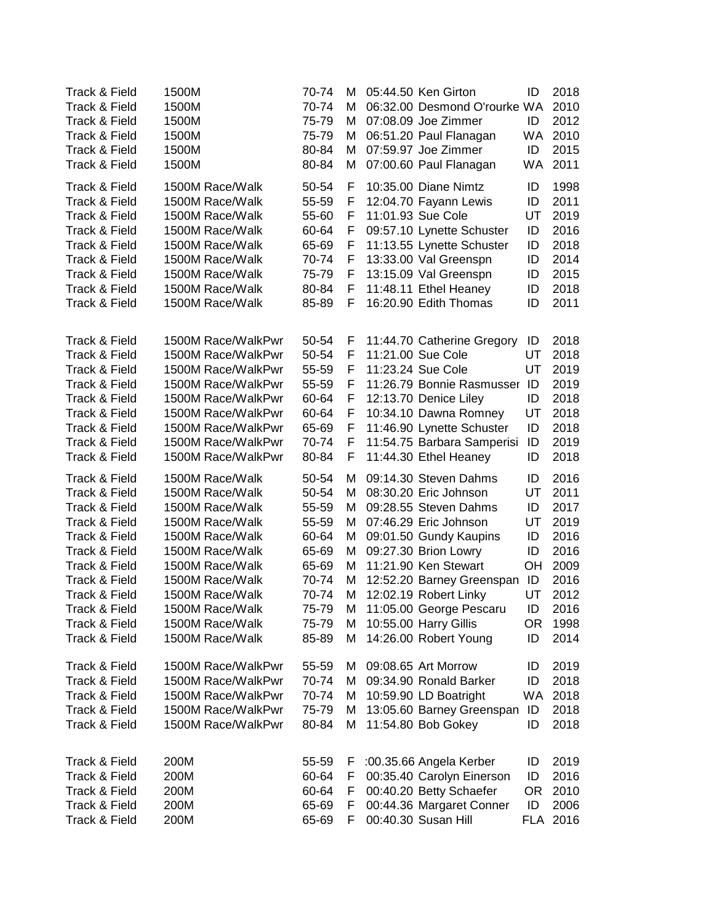| Track & Field<br>Track & Field<br>Track & Field<br>Track & Field<br>Track & Field<br>Track & Field                                                    | 1500M<br>1500M<br>1500M<br>1500M<br>1500M<br>1500M                                                                                                                                                 | 70-74<br>70-74<br>75-79<br>75-79<br>80-84<br>80-84                            | м<br>м<br>М<br>М<br>M<br>M                | 05:44.50 Ken Girton<br>06:32.00 Desmond O'rourke WA<br>07:08.09 Joe Zimmer<br>06:51.20 Paul Flanagan<br>07:59.97 Joe Zimmer<br>07:00.60 Paul Flanagan                                                                                      | ID<br>ID<br><b>WA</b><br>ID<br><b>WA</b>     | 2018<br>2010<br>2012<br>2010<br>2015<br>2011                         |
|-------------------------------------------------------------------------------------------------------------------------------------------------------|----------------------------------------------------------------------------------------------------------------------------------------------------------------------------------------------------|-------------------------------------------------------------------------------|-------------------------------------------|--------------------------------------------------------------------------------------------------------------------------------------------------------------------------------------------------------------------------------------------|----------------------------------------------|----------------------------------------------------------------------|
| Track & Field                                                                                                                                         | 1500M Race/Walk                                                                                                                                                                                    | 50-54                                                                         | F                                         | 10:35.00 Diane Nimtz                                                                                                                                                                                                                       | ID                                           | 1998                                                                 |
| Track & Field                                                                                                                                         | 1500M Race/Walk                                                                                                                                                                                    | 55-59                                                                         | F                                         | 12:04.70 Fayann Lewis                                                                                                                                                                                                                      | ID                                           | 2011                                                                 |
| Track & Field                                                                                                                                         | 1500M Race/Walk                                                                                                                                                                                    | 55-60                                                                         | F                                         | 11:01.93 Sue Cole                                                                                                                                                                                                                          | UT                                           | 2019                                                                 |
| Track & Field                                                                                                                                         | 1500M Race/Walk                                                                                                                                                                                    | 60-64                                                                         | F                                         | 09:57.10 Lynette Schuster                                                                                                                                                                                                                  | ID                                           | 2016                                                                 |
| Track & Field                                                                                                                                         | 1500M Race/Walk                                                                                                                                                                                    | 65-69                                                                         | F                                         | 11:13.55 Lynette Schuster                                                                                                                                                                                                                  | ID                                           | 2018                                                                 |
| Track & Field                                                                                                                                         | 1500M Race/Walk                                                                                                                                                                                    | 70-74                                                                         | F                                         | 13:33.00 Val Greenspn                                                                                                                                                                                                                      | ID                                           | 2014                                                                 |
| Track & Field                                                                                                                                         | 1500M Race/Walk                                                                                                                                                                                    | 75-79                                                                         | F                                         | 13:15.09 Val Greenspn                                                                                                                                                                                                                      | ID                                           | 2015                                                                 |
| Track & Field                                                                                                                                         | 1500M Race/Walk                                                                                                                                                                                    | 80-84                                                                         | F                                         | 11:48.11 Ethel Heaney                                                                                                                                                                                                                      | ID                                           | 2018                                                                 |
| Track & Field                                                                                                                                         | 1500M Race/Walk                                                                                                                                                                                    | 85-89                                                                         | F                                         | 16:20.90 Edith Thomas                                                                                                                                                                                                                      | ID                                           | 2011                                                                 |
| Track & Field<br>Track & Field<br>Track & Field<br>Track & Field<br>Track & Field<br>Track & Field<br>Track & Field<br>Track & Field<br>Track & Field | 1500M Race/WalkPwr<br>1500M Race/WalkPwr<br>1500M Race/WalkPwr<br>1500M Race/WalkPwr<br>1500M Race/WalkPwr<br>1500M Race/WalkPwr<br>1500M Race/WalkPwr<br>1500M Race/WalkPwr<br>1500M Race/WalkPwr | 50-54<br>50-54<br>55-59<br>55-59<br>60-64<br>60-64<br>65-69<br>70-74<br>80-84 | F<br>F<br>F<br>F<br>F<br>F<br>F<br>F<br>F | 11:44.70 Catherine Gregory<br>11:21.00 Sue Cole<br>11:23.24 Sue Cole<br>11:26.79 Bonnie Rasmusser ID<br>12:13.70 Denice Liley<br>10:34.10 Dawna Romney<br>11:46.90 Lynette Schuster<br>11:54.75 Barbara Samperisi<br>11:44.30 Ethel Heaney | ID<br>UT<br>UT<br>ID<br>UT<br>ID<br>ID<br>ID | 2018<br>2018<br>2019<br>2019<br>2018<br>2018<br>2018<br>2019<br>2018 |
| Track & Field                                                                                                                                         | 1500M Race/Walk                                                                                                                                                                                    | 50-54                                                                         | м                                         | 09:14.30 Steven Dahms                                                                                                                                                                                                                      | ID                                           | 2016                                                                 |
| Track & Field                                                                                                                                         | 1500M Race/Walk                                                                                                                                                                                    | 50-54                                                                         | М                                         | 08:30.20 Eric Johnson                                                                                                                                                                                                                      | UT                                           | 2011                                                                 |
| Track & Field                                                                                                                                         | 1500M Race/Walk                                                                                                                                                                                    | 55-59                                                                         | М                                         | 09:28.55 Steven Dahms                                                                                                                                                                                                                      | ID                                           | 2017                                                                 |
| Track & Field                                                                                                                                         | 1500M Race/Walk                                                                                                                                                                                    | 55-59                                                                         | м                                         | 07:46.29 Eric Johnson                                                                                                                                                                                                                      | UT                                           | 2019                                                                 |
| Track & Field                                                                                                                                         | 1500M Race/Walk                                                                                                                                                                                    | 60-64                                                                         | м                                         | 09:01.50 Gundy Kaupins                                                                                                                                                                                                                     | ID                                           | 2016                                                                 |
| Track & Field                                                                                                                                         | 1500M Race/Walk                                                                                                                                                                                    | 65-69                                                                         | M                                         | 09:27.30 Brion Lowry                                                                                                                                                                                                                       | ID                                           | 2016                                                                 |
| Track & Field                                                                                                                                         | 1500M Race/Walk                                                                                                                                                                                    | 65-69                                                                         | M                                         | 11:21.90 Ken Stewart                                                                                                                                                                                                                       | OH                                           | 2009                                                                 |
| Track & Field                                                                                                                                         | 1500M Race/Walk                                                                                                                                                                                    | 70-74                                                                         | M                                         | 12:52.20 Barney Greenspan                                                                                                                                                                                                                  | ID                                           | 2016                                                                 |
| Track & Field                                                                                                                                         | 1500M Race/Walk                                                                                                                                                                                    | 70-74                                                                         | Μ                                         | 12:02.19 Robert Linky                                                                                                                                                                                                                      | UT                                           | 2012                                                                 |
| Track & Field                                                                                                                                         | 1500M Race/Walk                                                                                                                                                                                    | 75-79                                                                         | M                                         | 11:05.00 George Pescaru                                                                                                                                                                                                                    | ID                                           | 2016                                                                 |
| Track & Field                                                                                                                                         | 1500M Race/Walk                                                                                                                                                                                    | 75-79                                                                         | М                                         | 10:55.00 Harry Gillis                                                                                                                                                                                                                      | OR                                           | 1998                                                                 |
| Track & Field                                                                                                                                         | 1500M Race/Walk                                                                                                                                                                                    | 85-89                                                                         | М                                         | 14:26.00 Robert Young                                                                                                                                                                                                                      | ID                                           | 2014                                                                 |
| Track & Field                                                                                                                                         | 1500M Race/WalkPwr                                                                                                                                                                                 | 55-59                                                                         | М                                         | 09:08.65 Art Morrow                                                                                                                                                                                                                        | ID                                           | 2019                                                                 |
| Track & Field                                                                                                                                         | 1500M Race/WalkPwr                                                                                                                                                                                 | 70-74                                                                         | м                                         | 09:34.90 Ronald Barker                                                                                                                                                                                                                     | ID                                           | 2018                                                                 |
| Track & Field                                                                                                                                         | 1500M Race/WalkPwr                                                                                                                                                                                 | 70-74                                                                         | М                                         | 10:59.90 LD Boatright                                                                                                                                                                                                                      | <b>WA</b>                                    | 2018                                                                 |
| Track & Field                                                                                                                                         | 1500M Race/WalkPwr                                                                                                                                                                                 | 75-79                                                                         | М                                         | 13:05.60 Barney Greenspan                                                                                                                                                                                                                  | ID                                           | 2018                                                                 |
| Track & Field                                                                                                                                         | 1500M Race/WalkPwr                                                                                                                                                                                 | 80-84                                                                         | М                                         | 11:54.80 Bob Gokey                                                                                                                                                                                                                         | ID                                           | 2018                                                                 |
| Track & Field<br>Track & Field<br>Track & Field<br>Track & Field<br>Track & Field                                                                     | 200M<br>200M<br>200M<br>200M<br>200M                                                                                                                                                               | 55-59<br>60-64<br>60-64<br>65-69<br>65-69                                     | F<br>F.<br>F<br>F<br>F                    | :00.35.66 Angela Kerber<br>00:35.40 Carolyn Einerson<br>00:40.20 Betty Schaefer<br>00:44.36 Margaret Conner<br>00:40.30 Susan Hill                                                                                                         | ID<br>ID<br>OR.<br>ID                        | 2019<br>2016<br>2010<br>2006<br>FLA 2016                             |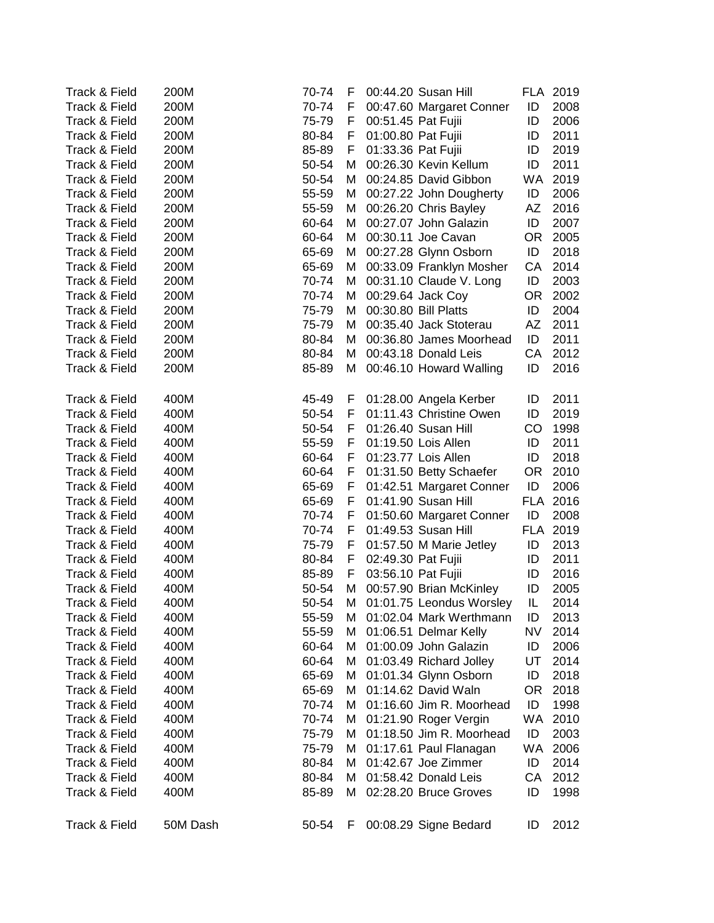| Track & Field | 200M     | 70-74          | F  |                    | 00:44.20 Susan Hill      |           | FLA 2019 |
|---------------|----------|----------------|----|--------------------|--------------------------|-----------|----------|
| Track & Field | 200M     | 70-74          | F  |                    | 00:47.60 Margaret Conner | ID        | 2008     |
| Track & Field | 200M     | 75-79          | F  | 00:51.45 Pat Fujii |                          | ID        | 2006     |
| Track & Field | 200M     | 80-84          | F  | 01:00.80 Pat Fujii |                          | ID        | 2011     |
| Track & Field | 200M     | 85-89          | F. | 01:33.36 Pat Fujii |                          | ID        | 2019     |
| Track & Field | 200M     | 50-54          | м  |                    | 00:26.30 Kevin Kellum    | ID        | 2011     |
| Track & Field | 200M     | 50-54          | M  |                    | 00:24.85 David Gibbon    |           | WA 2019  |
| Track & Field | 200M     | 55-59          | M  |                    | 00:27.22 John Dougherty  | ID        | 2006     |
| Track & Field | 200M     | 55-59          | M  |                    | 00:26.20 Chris Bayley    | AZ        | 2016     |
| Track & Field | 200M     | 60-64          | M  |                    | 00:27.07 John Galazin    | ID        | 2007     |
| Track & Field | 200M     | 60-64          | М  |                    | 00:30.11 Joe Cavan       | OR.       | 2005     |
| Track & Field | 200M     | 65-69          | М  |                    | 00:27.28 Glynn Osborn    | ID        | 2018     |
| Track & Field | 200M     | 65-69          | М  |                    | 00:33.09 Franklyn Mosher | CA        | 2014     |
| Track & Field | 200M     | 70-74          | М  |                    | 00:31.10 Claude V. Long  | ID        | 2003     |
| Track & Field | 200M     | 70-74          | М  |                    | 00:29.64 Jack Coy        | OR.       | 2002     |
| Track & Field | 200M     | 75-79          | М  |                    | 00:30.80 Bill Platts     | ID        | 2004     |
| Track & Field | 200M     | 75-79          | м  |                    | 00:35.40 Jack Stoterau   | AZ        | 2011     |
| Track & Field | 200M     | 80-84          | м  |                    | 00:36.80 James Moorhead  | ID        | 2011     |
| Track & Field | 200M     | 80-84          | м  |                    | 00:43.18 Donald Leis     | CA        | 2012     |
| Track & Field | 200M     | 85-89          | М  |                    | 00:46.10 Howard Walling  | ID        | 2016     |
|               |          |                |    |                    |                          |           |          |
| Track & Field | 400M     | 45-49          | F  |                    | 01:28.00 Angela Kerber   | ID        | 2011     |
| Track & Field | 400M     | 50-54          | F. |                    | 01:11.43 Christine Owen  | ID        | 2019     |
| Track & Field | 400M     | 50-54          | F. |                    | 01:26.40 Susan Hill      | CO        | 1998     |
| Track & Field | 400M     | 55-59          | F  |                    | 01:19.50 Lois Allen      | ID        | 2011     |
| Track & Field | 400M     | 60-64          | F  |                    | 01:23.77 Lois Allen      | ID        | 2018     |
| Track & Field | 400M     | 60-64          | F. |                    | 01:31.50 Betty Schaefer  | OR        | 2010     |
| Track & Field | 400M     | 65-69          | F. |                    | 01:42.51 Margaret Conner | ID        | 2006     |
| Track & Field | 400M     | 65-69          | F. |                    | 01:41.90 Susan Hill      |           | FLA 2016 |
| Track & Field | 400M     | 70-74          | F. |                    | 01:50.60 Margaret Conner | ID        | 2008     |
| Track & Field | 400M     | 70-74          | F. |                    | 01:49.53 Susan Hill      |           | FLA 2019 |
| Track & Field | 400M     | 75-79          | F. |                    | 01:57.50 M Marie Jetley  | ID        | 2013     |
| Track & Field | 400M     | 80-84          | F  | 02:49.30 Pat Fujii |                          | ID        | 2011     |
| Track & Field | 400M     | 85-89          | F. | 03:56.10 Pat Fujii |                          | ID        | 2016     |
| Track & Field | 400M     | 50-54          | М  |                    | 00:57.90 Brian McKinley  | ID        | 2005     |
| Track & Field | 400M     | 50-54          | М  |                    | 01:01.75 Leondus Worsley | IL        | 2014     |
| Track & Field | 400M     |                | М  |                    | 01:02.04 Mark Werthmann  |           | 2013     |
| Track & Field | 400M     | 55-59<br>55-59 | м  |                    | 01:06.51 Delmar Kelly    | ID<br>NV  | 2014     |
| Track & Field | 400M     | 60-64          |    |                    | 01:00.09 John Galazin    | ID        | 2006     |
| Track & Field |          |                | м  |                    |                          | UT        |          |
|               | 400M     | 60-64          | M  |                    | 01:03.49 Richard Jolley  |           | 2014     |
| Track & Field | 400M     | 65-69          | М  |                    | 01:01.34 Glynn Osborn    | ID        | 2018     |
| Track & Field | 400M     | 65-69          | м  |                    | 01:14.62 David Waln      | <b>OR</b> | 2018     |
| Track & Field | 400M     | 70-74          | м  |                    | 01:16.60 Jim R. Moorhead | ID        | 1998     |
| Track & Field | 400M     | 70-74          | м  |                    | 01:21.90 Roger Vergin    | <b>WA</b> | 2010     |
| Track & Field | 400M     | 75-79          | M  |                    | 01:18.50 Jim R. Moorhead | ID        | 2003     |
| Track & Field | 400M     | 75-79          | М  |                    | 01:17.61 Paul Flanagan   | WA        | 2006     |
| Track & Field | 400M     | 80-84          | M  |                    | 01:42.67 Joe Zimmer      | ID        | 2014     |
| Track & Field | 400M     | 80-84          | М  |                    | 01:58.42 Donald Leis     | CA        | 2012     |
| Track & Field | 400M     | 85-89          | М  |                    | 02:28.20 Bruce Groves    | ID        | 1998     |
|               |          |                |    |                    |                          |           |          |
| Track & Field | 50M Dash | 50-54          | F  |                    | 00:08.29 Signe Bedard    | ID        | 2012     |
|               |          |                |    |                    |                          |           |          |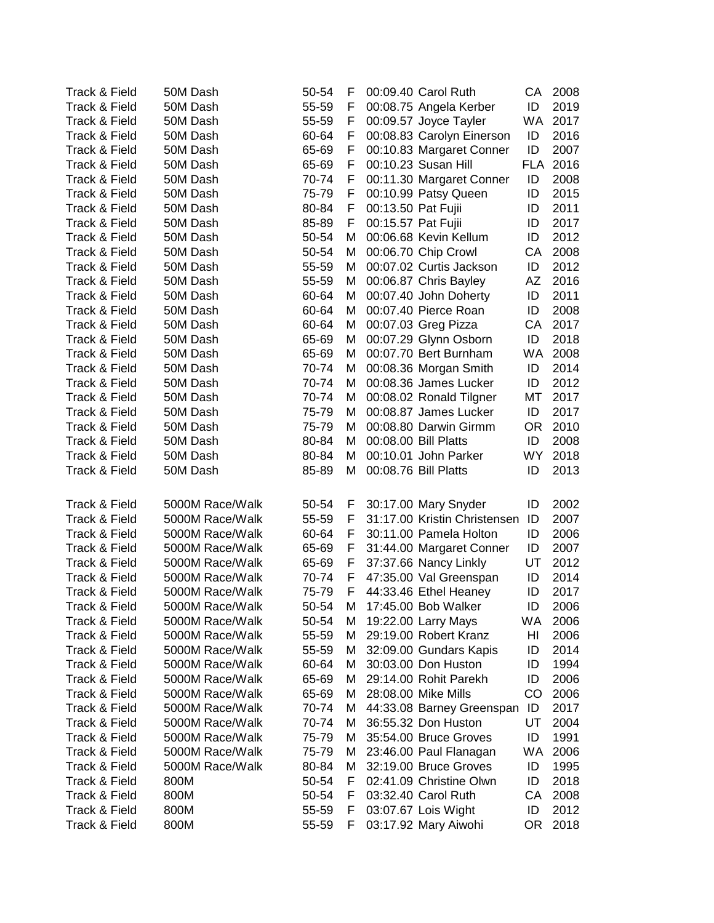| 00:09.40 Carol Ruth<br>ID<br>Track & Field<br>50M Dash<br>F<br>00:08.75 Angela Kerber<br>2019<br>55-59<br>2017<br>Track & Field<br>50M Dash<br>55-59<br>F<br>00:09.57 Joyce Tayler<br>WA.<br>Track & Field<br>2016<br>50M Dash<br>60-64<br>00:08.83 Carolyn Einerson<br>ID<br>F<br>ID<br>2007<br>Track & Field<br>50M Dash<br>65-69<br>00:10.83 Margaret Conner<br>F<br>00:10.23 Susan Hill<br>FLA 2016<br>Track & Field<br>50M Dash<br>65-69<br>F.<br>70-74<br>2008<br>Track & Field<br>50M Dash<br>F.<br>00:11.30 Margaret Conner<br>ID<br>ID<br>2015<br>Track & Field<br>50M Dash<br>75-79<br>F.<br>00:10.99 Patsy Queen<br>2011<br>Track & Field<br>50M Dash<br>80-84<br>F.<br>00:13.50 Pat Fujii<br>ID<br>00:15.57 Pat Fujii<br>2017<br>Track & Field<br>50M Dash<br>85-89<br>F.<br>ID<br>00:06.68 Kevin Kellum<br>ID<br>2012<br>Track & Field<br>50M Dash<br>50-54<br>м<br>CA<br>2008<br>Track & Field<br>50M Dash<br>50-54<br>M<br>00:06.70 Chip Crowl<br>Track & Field<br>00:07.02 Curtis Jackson<br>2012<br>50M Dash<br>55-59<br>M<br>ID<br>00:06.87 Chris Bayley<br>AZ<br>2016<br>Track & Field<br>50M Dash<br>55-59<br>M<br>2011<br>Track & Field<br>50M Dash<br>00:07.40 John Doherty<br>ID<br>60-64<br>м<br>2008<br>Track & Field<br>50M Dash<br>00:07.40 Pierce Roan<br>ID<br>60-64<br>м<br>Track & Field<br>50M Dash<br>00:07.03 Greg Pizza<br>CA<br>2017<br>60-64<br>М<br>00:07.29 Glynn Osborn<br>ID<br>2018<br>Track & Field<br>50M Dash<br>65-69<br>м<br>WA<br>2008<br>Track & Field<br>50M Dash<br>65-69<br>М<br>00:07.70 Bert Burnham<br>Track & Field<br>70-74<br>00:08.36 Morgan Smith<br>ID<br>2014<br>50M Dash<br>М<br>00:08.36 James Lucker<br>2012<br>Track & Field<br>50M Dash<br>70-74<br>М<br>ID<br>МT<br>2017<br>Track & Field<br>50M Dash<br>70-74<br>М<br>00:08.02 Ronald Tilgner<br>ID<br>2017<br>Track & Field<br>50M Dash<br>75-79<br>М<br>00:08.87 James Lucker<br>2010<br>Track & Field<br><b>OR</b><br>50M Dash<br>75-79<br>М<br>00:08.80 Darwin Girmm<br>00:08.00 Bill Platts<br>ID<br>2008<br>Track & Field<br>50M Dash<br>80-84<br>м<br><b>WY</b><br>2018<br>Track & Field<br>50M Dash<br>80-84<br>М<br>00:10.01 John Parker<br>2013<br>Track & Field<br>50M Dash<br>85-89<br>М<br>00:08.76 Bill Platts<br>ID<br>Track & Field<br>5000M Race/Walk<br>50-54<br>F<br>30:17.00 Mary Snyder<br>ID<br>2002<br>31:17.00 Kristin Christensen<br>Track & Field<br>5000M Race/Walk<br>55-59<br>F<br>ID<br>2007<br>2006<br>Track & Field<br>5000M Race/Walk<br>60-64<br>F<br>30:11.00 Pamela Holton<br>ID<br>Track & Field<br>5000M Race/Walk<br>65-69<br>31:44.00 Margaret Conner<br>ID<br>2007<br>F<br>2012<br>Track & Field<br>5000M Race/Walk<br>65-69<br>37:37.66 Nancy Linkly<br>UT<br>F |
|--------------------------------------------------------------------------------------------------------------------------------------------------------------------------------------------------------------------------------------------------------------------------------------------------------------------------------------------------------------------------------------------------------------------------------------------------------------------------------------------------------------------------------------------------------------------------------------------------------------------------------------------------------------------------------------------------------------------------------------------------------------------------------------------------------------------------------------------------------------------------------------------------------------------------------------------------------------------------------------------------------------------------------------------------------------------------------------------------------------------------------------------------------------------------------------------------------------------------------------------------------------------------------------------------------------------------------------------------------------------------------------------------------------------------------------------------------------------------------------------------------------------------------------------------------------------------------------------------------------------------------------------------------------------------------------------------------------------------------------------------------------------------------------------------------------------------------------------------------------------------------------------------------------------------------------------------------------------------------------------------------------------------------------------------------------------------------------------------------------------------------------------------------------------------------------------------------------------------------------------------------------------------------------------------------------------------------------------------------------------------------------------------------------------------------------------------------------------------------------------------------------------------------------------------------------------------------------------------------------------------------------------------------------------------------------------------------------------------------|
|                                                                                                                                                                                                                                                                                                                                                                                                                                                                                                                                                                                                                                                                                                                                                                                                                                                                                                                                                                                                                                                                                                                                                                                                                                                                                                                                                                                                                                                                                                                                                                                                                                                                                                                                                                                                                                                                                                                                                                                                                                                                                                                                                                                                                                                                                                                                                                                                                                                                                                                                                                                                                                                                                                                                |
|                                                                                                                                                                                                                                                                                                                                                                                                                                                                                                                                                                                                                                                                                                                                                                                                                                                                                                                                                                                                                                                                                                                                                                                                                                                                                                                                                                                                                                                                                                                                                                                                                                                                                                                                                                                                                                                                                                                                                                                                                                                                                                                                                                                                                                                                                                                                                                                                                                                                                                                                                                                                                                                                                                                                |
|                                                                                                                                                                                                                                                                                                                                                                                                                                                                                                                                                                                                                                                                                                                                                                                                                                                                                                                                                                                                                                                                                                                                                                                                                                                                                                                                                                                                                                                                                                                                                                                                                                                                                                                                                                                                                                                                                                                                                                                                                                                                                                                                                                                                                                                                                                                                                                                                                                                                                                                                                                                                                                                                                                                                |
|                                                                                                                                                                                                                                                                                                                                                                                                                                                                                                                                                                                                                                                                                                                                                                                                                                                                                                                                                                                                                                                                                                                                                                                                                                                                                                                                                                                                                                                                                                                                                                                                                                                                                                                                                                                                                                                                                                                                                                                                                                                                                                                                                                                                                                                                                                                                                                                                                                                                                                                                                                                                                                                                                                                                |
|                                                                                                                                                                                                                                                                                                                                                                                                                                                                                                                                                                                                                                                                                                                                                                                                                                                                                                                                                                                                                                                                                                                                                                                                                                                                                                                                                                                                                                                                                                                                                                                                                                                                                                                                                                                                                                                                                                                                                                                                                                                                                                                                                                                                                                                                                                                                                                                                                                                                                                                                                                                                                                                                                                                                |
|                                                                                                                                                                                                                                                                                                                                                                                                                                                                                                                                                                                                                                                                                                                                                                                                                                                                                                                                                                                                                                                                                                                                                                                                                                                                                                                                                                                                                                                                                                                                                                                                                                                                                                                                                                                                                                                                                                                                                                                                                                                                                                                                                                                                                                                                                                                                                                                                                                                                                                                                                                                                                                                                                                                                |
|                                                                                                                                                                                                                                                                                                                                                                                                                                                                                                                                                                                                                                                                                                                                                                                                                                                                                                                                                                                                                                                                                                                                                                                                                                                                                                                                                                                                                                                                                                                                                                                                                                                                                                                                                                                                                                                                                                                                                                                                                                                                                                                                                                                                                                                                                                                                                                                                                                                                                                                                                                                                                                                                                                                                |
|                                                                                                                                                                                                                                                                                                                                                                                                                                                                                                                                                                                                                                                                                                                                                                                                                                                                                                                                                                                                                                                                                                                                                                                                                                                                                                                                                                                                                                                                                                                                                                                                                                                                                                                                                                                                                                                                                                                                                                                                                                                                                                                                                                                                                                                                                                                                                                                                                                                                                                                                                                                                                                                                                                                                |
|                                                                                                                                                                                                                                                                                                                                                                                                                                                                                                                                                                                                                                                                                                                                                                                                                                                                                                                                                                                                                                                                                                                                                                                                                                                                                                                                                                                                                                                                                                                                                                                                                                                                                                                                                                                                                                                                                                                                                                                                                                                                                                                                                                                                                                                                                                                                                                                                                                                                                                                                                                                                                                                                                                                                |
|                                                                                                                                                                                                                                                                                                                                                                                                                                                                                                                                                                                                                                                                                                                                                                                                                                                                                                                                                                                                                                                                                                                                                                                                                                                                                                                                                                                                                                                                                                                                                                                                                                                                                                                                                                                                                                                                                                                                                                                                                                                                                                                                                                                                                                                                                                                                                                                                                                                                                                                                                                                                                                                                                                                                |
|                                                                                                                                                                                                                                                                                                                                                                                                                                                                                                                                                                                                                                                                                                                                                                                                                                                                                                                                                                                                                                                                                                                                                                                                                                                                                                                                                                                                                                                                                                                                                                                                                                                                                                                                                                                                                                                                                                                                                                                                                                                                                                                                                                                                                                                                                                                                                                                                                                                                                                                                                                                                                                                                                                                                |
|                                                                                                                                                                                                                                                                                                                                                                                                                                                                                                                                                                                                                                                                                                                                                                                                                                                                                                                                                                                                                                                                                                                                                                                                                                                                                                                                                                                                                                                                                                                                                                                                                                                                                                                                                                                                                                                                                                                                                                                                                                                                                                                                                                                                                                                                                                                                                                                                                                                                                                                                                                                                                                                                                                                                |
|                                                                                                                                                                                                                                                                                                                                                                                                                                                                                                                                                                                                                                                                                                                                                                                                                                                                                                                                                                                                                                                                                                                                                                                                                                                                                                                                                                                                                                                                                                                                                                                                                                                                                                                                                                                                                                                                                                                                                                                                                                                                                                                                                                                                                                                                                                                                                                                                                                                                                                                                                                                                                                                                                                                                |
|                                                                                                                                                                                                                                                                                                                                                                                                                                                                                                                                                                                                                                                                                                                                                                                                                                                                                                                                                                                                                                                                                                                                                                                                                                                                                                                                                                                                                                                                                                                                                                                                                                                                                                                                                                                                                                                                                                                                                                                                                                                                                                                                                                                                                                                                                                                                                                                                                                                                                                                                                                                                                                                                                                                                |
|                                                                                                                                                                                                                                                                                                                                                                                                                                                                                                                                                                                                                                                                                                                                                                                                                                                                                                                                                                                                                                                                                                                                                                                                                                                                                                                                                                                                                                                                                                                                                                                                                                                                                                                                                                                                                                                                                                                                                                                                                                                                                                                                                                                                                                                                                                                                                                                                                                                                                                                                                                                                                                                                                                                                |
|                                                                                                                                                                                                                                                                                                                                                                                                                                                                                                                                                                                                                                                                                                                                                                                                                                                                                                                                                                                                                                                                                                                                                                                                                                                                                                                                                                                                                                                                                                                                                                                                                                                                                                                                                                                                                                                                                                                                                                                                                                                                                                                                                                                                                                                                                                                                                                                                                                                                                                                                                                                                                                                                                                                                |
|                                                                                                                                                                                                                                                                                                                                                                                                                                                                                                                                                                                                                                                                                                                                                                                                                                                                                                                                                                                                                                                                                                                                                                                                                                                                                                                                                                                                                                                                                                                                                                                                                                                                                                                                                                                                                                                                                                                                                                                                                                                                                                                                                                                                                                                                                                                                                                                                                                                                                                                                                                                                                                                                                                                                |
|                                                                                                                                                                                                                                                                                                                                                                                                                                                                                                                                                                                                                                                                                                                                                                                                                                                                                                                                                                                                                                                                                                                                                                                                                                                                                                                                                                                                                                                                                                                                                                                                                                                                                                                                                                                                                                                                                                                                                                                                                                                                                                                                                                                                                                                                                                                                                                                                                                                                                                                                                                                                                                                                                                                                |
|                                                                                                                                                                                                                                                                                                                                                                                                                                                                                                                                                                                                                                                                                                                                                                                                                                                                                                                                                                                                                                                                                                                                                                                                                                                                                                                                                                                                                                                                                                                                                                                                                                                                                                                                                                                                                                                                                                                                                                                                                                                                                                                                                                                                                                                                                                                                                                                                                                                                                                                                                                                                                                                                                                                                |
|                                                                                                                                                                                                                                                                                                                                                                                                                                                                                                                                                                                                                                                                                                                                                                                                                                                                                                                                                                                                                                                                                                                                                                                                                                                                                                                                                                                                                                                                                                                                                                                                                                                                                                                                                                                                                                                                                                                                                                                                                                                                                                                                                                                                                                                                                                                                                                                                                                                                                                                                                                                                                                                                                                                                |
|                                                                                                                                                                                                                                                                                                                                                                                                                                                                                                                                                                                                                                                                                                                                                                                                                                                                                                                                                                                                                                                                                                                                                                                                                                                                                                                                                                                                                                                                                                                                                                                                                                                                                                                                                                                                                                                                                                                                                                                                                                                                                                                                                                                                                                                                                                                                                                                                                                                                                                                                                                                                                                                                                                                                |
|                                                                                                                                                                                                                                                                                                                                                                                                                                                                                                                                                                                                                                                                                                                                                                                                                                                                                                                                                                                                                                                                                                                                                                                                                                                                                                                                                                                                                                                                                                                                                                                                                                                                                                                                                                                                                                                                                                                                                                                                                                                                                                                                                                                                                                                                                                                                                                                                                                                                                                                                                                                                                                                                                                                                |
|                                                                                                                                                                                                                                                                                                                                                                                                                                                                                                                                                                                                                                                                                                                                                                                                                                                                                                                                                                                                                                                                                                                                                                                                                                                                                                                                                                                                                                                                                                                                                                                                                                                                                                                                                                                                                                                                                                                                                                                                                                                                                                                                                                                                                                                                                                                                                                                                                                                                                                                                                                                                                                                                                                                                |
|                                                                                                                                                                                                                                                                                                                                                                                                                                                                                                                                                                                                                                                                                                                                                                                                                                                                                                                                                                                                                                                                                                                                                                                                                                                                                                                                                                                                                                                                                                                                                                                                                                                                                                                                                                                                                                                                                                                                                                                                                                                                                                                                                                                                                                                                                                                                                                                                                                                                                                                                                                                                                                                                                                                                |
|                                                                                                                                                                                                                                                                                                                                                                                                                                                                                                                                                                                                                                                                                                                                                                                                                                                                                                                                                                                                                                                                                                                                                                                                                                                                                                                                                                                                                                                                                                                                                                                                                                                                                                                                                                                                                                                                                                                                                                                                                                                                                                                                                                                                                                                                                                                                                                                                                                                                                                                                                                                                                                                                                                                                |
|                                                                                                                                                                                                                                                                                                                                                                                                                                                                                                                                                                                                                                                                                                                                                                                                                                                                                                                                                                                                                                                                                                                                                                                                                                                                                                                                                                                                                                                                                                                                                                                                                                                                                                                                                                                                                                                                                                                                                                                                                                                                                                                                                                                                                                                                                                                                                                                                                                                                                                                                                                                                                                                                                                                                |
|                                                                                                                                                                                                                                                                                                                                                                                                                                                                                                                                                                                                                                                                                                                                                                                                                                                                                                                                                                                                                                                                                                                                                                                                                                                                                                                                                                                                                                                                                                                                                                                                                                                                                                                                                                                                                                                                                                                                                                                                                                                                                                                                                                                                                                                                                                                                                                                                                                                                                                                                                                                                                                                                                                                                |
|                                                                                                                                                                                                                                                                                                                                                                                                                                                                                                                                                                                                                                                                                                                                                                                                                                                                                                                                                                                                                                                                                                                                                                                                                                                                                                                                                                                                                                                                                                                                                                                                                                                                                                                                                                                                                                                                                                                                                                                                                                                                                                                                                                                                                                                                                                                                                                                                                                                                                                                                                                                                                                                                                                                                |
|                                                                                                                                                                                                                                                                                                                                                                                                                                                                                                                                                                                                                                                                                                                                                                                                                                                                                                                                                                                                                                                                                                                                                                                                                                                                                                                                                                                                                                                                                                                                                                                                                                                                                                                                                                                                                                                                                                                                                                                                                                                                                                                                                                                                                                                                                                                                                                                                                                                                                                                                                                                                                                                                                                                                |
|                                                                                                                                                                                                                                                                                                                                                                                                                                                                                                                                                                                                                                                                                                                                                                                                                                                                                                                                                                                                                                                                                                                                                                                                                                                                                                                                                                                                                                                                                                                                                                                                                                                                                                                                                                                                                                                                                                                                                                                                                                                                                                                                                                                                                                                                                                                                                                                                                                                                                                                                                                                                                                                                                                                                |
|                                                                                                                                                                                                                                                                                                                                                                                                                                                                                                                                                                                                                                                                                                                                                                                                                                                                                                                                                                                                                                                                                                                                                                                                                                                                                                                                                                                                                                                                                                                                                                                                                                                                                                                                                                                                                                                                                                                                                                                                                                                                                                                                                                                                                                                                                                                                                                                                                                                                                                                                                                                                                                                                                                                                |
|                                                                                                                                                                                                                                                                                                                                                                                                                                                                                                                                                                                                                                                                                                                                                                                                                                                                                                                                                                                                                                                                                                                                                                                                                                                                                                                                                                                                                                                                                                                                                                                                                                                                                                                                                                                                                                                                                                                                                                                                                                                                                                                                                                                                                                                                                                                                                                                                                                                                                                                                                                                                                                                                                                                                |
| 5000M Race/Walk<br>47:35.00 Val Greenspan<br>2014<br>Track & Field<br>70-74<br>F<br>ID                                                                                                                                                                                                                                                                                                                                                                                                                                                                                                                                                                                                                                                                                                                                                                                                                                                                                                                                                                                                                                                                                                                                                                                                                                                                                                                                                                                                                                                                                                                                                                                                                                                                                                                                                                                                                                                                                                                                                                                                                                                                                                                                                                                                                                                                                                                                                                                                                                                                                                                                                                                                                                         |
| 5000M Race/Walk<br>F<br>44:33.46 Ethel Heaney<br>2017<br>Track & Field<br>75-79<br>ID                                                                                                                                                                                                                                                                                                                                                                                                                                                                                                                                                                                                                                                                                                                                                                                                                                                                                                                                                                                                                                                                                                                                                                                                                                                                                                                                                                                                                                                                                                                                                                                                                                                                                                                                                                                                                                                                                                                                                                                                                                                                                                                                                                                                                                                                                                                                                                                                                                                                                                                                                                                                                                          |
| 5000M Race/Walk<br>50-54<br>ID<br>2006<br>Track & Field<br>М<br>17:45.00 Bob Walker                                                                                                                                                                                                                                                                                                                                                                                                                                                                                                                                                                                                                                                                                                                                                                                                                                                                                                                                                                                                                                                                                                                                                                                                                                                                                                                                                                                                                                                                                                                                                                                                                                                                                                                                                                                                                                                                                                                                                                                                                                                                                                                                                                                                                                                                                                                                                                                                                                                                                                                                                                                                                                            |
| Track & Field<br>5000M Race/Walk<br>19:22.00 Larry Mays<br><b>WA</b><br>50-54<br>M<br>2006                                                                                                                                                                                                                                                                                                                                                                                                                                                                                                                                                                                                                                                                                                                                                                                                                                                                                                                                                                                                                                                                                                                                                                                                                                                                                                                                                                                                                                                                                                                                                                                                                                                                                                                                                                                                                                                                                                                                                                                                                                                                                                                                                                                                                                                                                                                                                                                                                                                                                                                                                                                                                                     |
| Track & Field<br>5000M Race/Walk<br>29:19.00 Robert Kranz<br>HI<br>2006<br>55-59<br>M                                                                                                                                                                                                                                                                                                                                                                                                                                                                                                                                                                                                                                                                                                                                                                                                                                                                                                                                                                                                                                                                                                                                                                                                                                                                                                                                                                                                                                                                                                                                                                                                                                                                                                                                                                                                                                                                                                                                                                                                                                                                                                                                                                                                                                                                                                                                                                                                                                                                                                                                                                                                                                          |
| Track & Field<br>32:09.00 Gundars Kapis<br>ID<br>2014<br>5000M Race/Walk<br>55-59<br>M                                                                                                                                                                                                                                                                                                                                                                                                                                                                                                                                                                                                                                                                                                                                                                                                                                                                                                                                                                                                                                                                                                                                                                                                                                                                                                                                                                                                                                                                                                                                                                                                                                                                                                                                                                                                                                                                                                                                                                                                                                                                                                                                                                                                                                                                                                                                                                                                                                                                                                                                                                                                                                         |
| 1994<br>Track & Field<br>5000M Race/Walk<br>60-64<br>M<br>30:03.00 Don Huston<br>ID                                                                                                                                                                                                                                                                                                                                                                                                                                                                                                                                                                                                                                                                                                                                                                                                                                                                                                                                                                                                                                                                                                                                                                                                                                                                                                                                                                                                                                                                                                                                                                                                                                                                                                                                                                                                                                                                                                                                                                                                                                                                                                                                                                                                                                                                                                                                                                                                                                                                                                                                                                                                                                            |
| Track & Field<br>5000M Race/Walk<br>29:14.00 Rohit Parekh<br>ID<br>2006<br>65-69<br>м                                                                                                                                                                                                                                                                                                                                                                                                                                                                                                                                                                                                                                                                                                                                                                                                                                                                                                                                                                                                                                                                                                                                                                                                                                                                                                                                                                                                                                                                                                                                                                                                                                                                                                                                                                                                                                                                                                                                                                                                                                                                                                                                                                                                                                                                                                                                                                                                                                                                                                                                                                                                                                          |
| Track & Field<br>28:08.00 Mike Mills<br>CO<br>2006<br>5000M Race/Walk<br>65-69<br>M                                                                                                                                                                                                                                                                                                                                                                                                                                                                                                                                                                                                                                                                                                                                                                                                                                                                                                                                                                                                                                                                                                                                                                                                                                                                                                                                                                                                                                                                                                                                                                                                                                                                                                                                                                                                                                                                                                                                                                                                                                                                                                                                                                                                                                                                                                                                                                                                                                                                                                                                                                                                                                            |
| Track & Field<br>ID<br>5000M Race/Walk<br>70-74<br>M<br>44:33.08 Barney Greenspan<br>2017                                                                                                                                                                                                                                                                                                                                                                                                                                                                                                                                                                                                                                                                                                                                                                                                                                                                                                                                                                                                                                                                                                                                                                                                                                                                                                                                                                                                                                                                                                                                                                                                                                                                                                                                                                                                                                                                                                                                                                                                                                                                                                                                                                                                                                                                                                                                                                                                                                                                                                                                                                                                                                      |
| Track & Field<br>5000M Race/Walk<br>36:55.32 Don Huston<br>UT<br>2004<br>70-74<br>М                                                                                                                                                                                                                                                                                                                                                                                                                                                                                                                                                                                                                                                                                                                                                                                                                                                                                                                                                                                                                                                                                                                                                                                                                                                                                                                                                                                                                                                                                                                                                                                                                                                                                                                                                                                                                                                                                                                                                                                                                                                                                                                                                                                                                                                                                                                                                                                                                                                                                                                                                                                                                                            |
| Track & Field<br>5000M Race/Walk<br>35:54.00 Bruce Groves<br>ID<br>1991<br>75-79<br>М                                                                                                                                                                                                                                                                                                                                                                                                                                                                                                                                                                                                                                                                                                                                                                                                                                                                                                                                                                                                                                                                                                                                                                                                                                                                                                                                                                                                                                                                                                                                                                                                                                                                                                                                                                                                                                                                                                                                                                                                                                                                                                                                                                                                                                                                                                                                                                                                                                                                                                                                                                                                                                          |
| 5000M Race/Walk<br>WA<br>2006<br>Track & Field<br>75-79<br>М<br>23:46.00 Paul Flanagan                                                                                                                                                                                                                                                                                                                                                                                                                                                                                                                                                                                                                                                                                                                                                                                                                                                                                                                                                                                                                                                                                                                                                                                                                                                                                                                                                                                                                                                                                                                                                                                                                                                                                                                                                                                                                                                                                                                                                                                                                                                                                                                                                                                                                                                                                                                                                                                                                                                                                                                                                                                                                                         |
| 5000M Race/Walk<br>32:19.00 Bruce Groves<br>ID<br>1995<br>Track & Field<br>80-84<br>М                                                                                                                                                                                                                                                                                                                                                                                                                                                                                                                                                                                                                                                                                                                                                                                                                                                                                                                                                                                                                                                                                                                                                                                                                                                                                                                                                                                                                                                                                                                                                                                                                                                                                                                                                                                                                                                                                                                                                                                                                                                                                                                                                                                                                                                                                                                                                                                                                                                                                                                                                                                                                                          |
| Track & Field<br>50-54<br>02:41.09 Christine Olwn<br>ID<br>2018<br>800M<br>F.                                                                                                                                                                                                                                                                                                                                                                                                                                                                                                                                                                                                                                                                                                                                                                                                                                                                                                                                                                                                                                                                                                                                                                                                                                                                                                                                                                                                                                                                                                                                                                                                                                                                                                                                                                                                                                                                                                                                                                                                                                                                                                                                                                                                                                                                                                                                                                                                                                                                                                                                                                                                                                                  |
| Track & Field<br>03:32.40 Carol Ruth<br>CA<br>2008<br>800M<br>50-54<br>F.                                                                                                                                                                                                                                                                                                                                                                                                                                                                                                                                                                                                                                                                                                                                                                                                                                                                                                                                                                                                                                                                                                                                                                                                                                                                                                                                                                                                                                                                                                                                                                                                                                                                                                                                                                                                                                                                                                                                                                                                                                                                                                                                                                                                                                                                                                                                                                                                                                                                                                                                                                                                                                                      |
| Track & Field<br>F.<br>03:07.67 Lois Wight<br>ID<br>2012<br>800M<br>55-59                                                                                                                                                                                                                                                                                                                                                                                                                                                                                                                                                                                                                                                                                                                                                                                                                                                                                                                                                                                                                                                                                                                                                                                                                                                                                                                                                                                                                                                                                                                                                                                                                                                                                                                                                                                                                                                                                                                                                                                                                                                                                                                                                                                                                                                                                                                                                                                                                                                                                                                                                                                                                                                      |
| Track & Field<br>2018<br>800M<br>03:17.92 Mary Aiwohi<br>55-59<br>OR.<br>F.                                                                                                                                                                                                                                                                                                                                                                                                                                                                                                                                                                                                                                                                                                                                                                                                                                                                                                                                                                                                                                                                                                                                                                                                                                                                                                                                                                                                                                                                                                                                                                                                                                                                                                                                                                                                                                                                                                                                                                                                                                                                                                                                                                                                                                                                                                                                                                                                                                                                                                                                                                                                                                                    |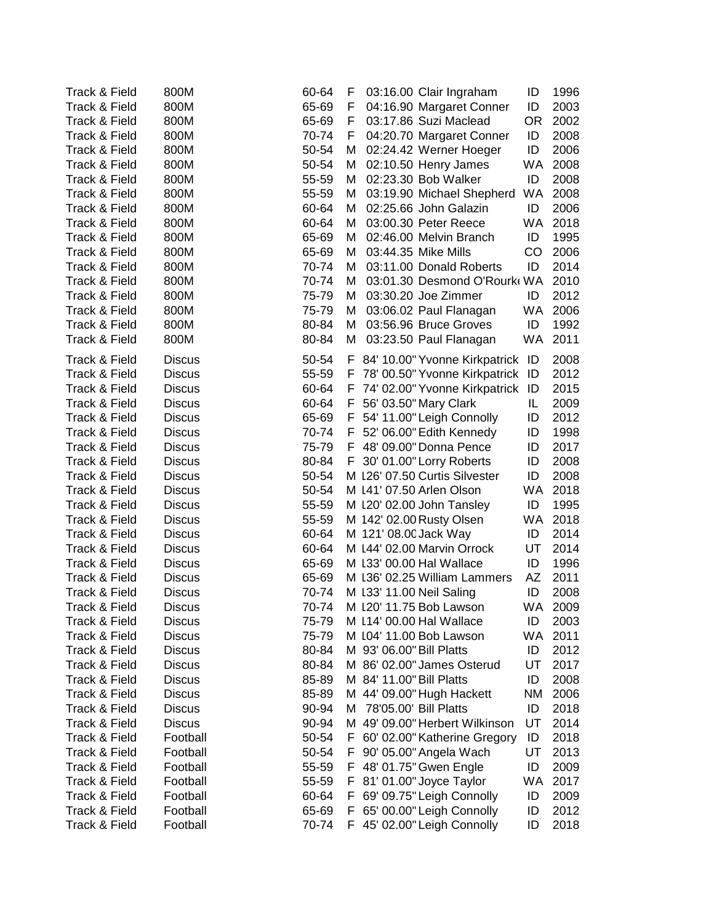| Track & Field | 800M          | 60-64 | F  |                          | 03:16.00 Clair Ingraham         | ID        | 1996    |
|---------------|---------------|-------|----|--------------------------|---------------------------------|-----------|---------|
| Track & Field | 800M          | 65-69 | F  |                          | 04:16.90 Margaret Conner        | ID        | 2003    |
| Track & Field | 800M          | 65-69 | F  |                          | 03:17.86 Suzi Maclead           | OR.       | 2002    |
| Track & Field | 800M          | 70-74 | F  |                          | 04:20.70 Margaret Conner        | ID        | 2008    |
| Track & Field | 800M          | 50-54 | М  |                          | 02:24.42 Werner Hoeger          | ID        | 2006    |
| Track & Field | 800M          | 50-54 | М  |                          | 02:10.50 Henry James            | WA.       | 2008    |
| Track & Field | 800M          | 55-59 | М  |                          | 02:23.30 Bob Walker             | ID        | 2008    |
| Track & Field | 800M          | 55-59 | М  |                          | 03:19.90 Michael Shepherd       | WA.       | 2008    |
| Track & Field | 800M          | 60-64 | м  |                          | 02:25.66 John Galazin           | ID        | 2006    |
| Track & Field | 800M          | 60-64 | м  |                          | 03:00.30 Peter Reece            | <b>WA</b> | 2018    |
| Track & Field | 800M          | 65-69 | м  |                          | 02:46.00 Melvin Branch          | ID        | 1995    |
| Track & Field | 800M          | 65-69 | М  |                          | 03:44.35 Mike Mills             | CO        | 2006    |
| Track & Field | 800M          | 70-74 | М  |                          | 03:11.00 Donald Roberts         | ID        | 2014    |
| Track & Field | 800M          | 70-74 | М  |                          | 03:01.30 Desmond O'Rourk WA     |           | 2010    |
| Track & Field | 800M          | 75-79 | м  |                          | 03:30.20 Joe Zimmer             | ID        | 2012    |
| Track & Field | 800M          | 75-79 | M  |                          | 03:06.02 Paul Flanagan          | <b>WA</b> | 2006    |
| Track & Field | 800M          | 80-84 | М  |                          | 03:56.96 Bruce Groves           | ID        | 1992    |
| Track & Field | 800M          | 80-84 | М  |                          | 03:23.50 Paul Flanagan          | WA.       | 2011    |
|               |               |       |    |                          |                                 |           |         |
| Track & Field | <b>Discus</b> | 50-54 |    |                          | F 84' 10.00" Yvonne Kirkpatrick | ID        | 2008    |
| Track & Field | <b>Discus</b> | 55-59 | F  |                          | 78' 00.50" Yvonne Kirkpatrick   | ID        | 2012    |
| Track & Field | <b>Discus</b> | 60-64 | F  |                          | 74' 02.00" Yvonne Kirkpatrick   | ID        | 2015    |
| Track & Field | <b>Discus</b> | 60-64 | F  |                          | 56' 03.50" Mary Clark           | IL.       | 2009    |
| Track & Field | <b>Discus</b> | 65-69 | F. |                          | 54' 11.00" Leigh Connolly       | ID        | 2012    |
| Track & Field | <b>Discus</b> | 70-74 | F. |                          | 52' 06.00" Edith Kennedy        | ID        | 1998    |
| Track & Field | <b>Discus</b> | 75-79 |    |                          | F 48' 09.00" Donna Pence        | ID        | 2017    |
| Track & Field | <b>Discus</b> | 80-84 |    |                          | F 30' 01.00" Lorry Roberts      | ID        | 2008    |
| Track & Field | <b>Discus</b> | 50-54 |    |                          | M 126' 07.50 Curtis Silvester   | ID        | 2008    |
| Track & Field | <b>Discus</b> | 50-54 |    |                          | M 141' 07.50 Arlen Olson        | <b>WA</b> | 2018    |
| Track & Field | <b>Discus</b> | 55-59 |    |                          | M 120' 02.00 John Tansley       | ID        | 1995    |
| Track & Field | <b>Discus</b> | 55-59 |    |                          | M 142' 02.00 Rusty Olsen        | WA.       | 2018    |
| Track & Field | <b>Discus</b> | 60-64 |    |                          | M 121' 08.00 Jack Way           | ID        | 2014    |
| Track & Field | <b>Discus</b> | 60-64 |    |                          | M 144' 02.00 Marvin Orrock      | UT        | 2014    |
| Track & Field | <b>Discus</b> | 65-69 |    |                          | M 133' 00.00 Hal Wallace        | ID        | 1996    |
| Track & Field | <b>Discus</b> | 65-69 |    |                          | M 136' 02.25 William Lammers    | AZ        | 2011    |
| Track & Field | <b>Discus</b> | 70-74 |    |                          | M 133' 11.00 Neil Saling        | ID        | 2008    |
| Track & Field | <b>Discus</b> | 70-74 |    |                          | M 120' 11.75 Bob Lawson         |           | WA 2009 |
| Track & Field | <b>Discus</b> | 75-79 |    |                          | M 114' 00.00 Hal Wallace        | ID        | 2003    |
| Track & Field | <b>Discus</b> | 75-79 |    |                          | M 104' 11.00 Bob Lawson         | WA.       | 2011    |
| Track & Field | <b>Discus</b> | 80-84 |    | M 93' 06.00" Bill Platts |                                 | ID        | 2012    |
| Track & Field | <b>Discus</b> | 80-84 |    |                          | M 86' 02.00" James Osterud      | UT        | 2017    |
| Track & Field | <b>Discus</b> | 85-89 |    | M 84' 11.00" Bill Platts |                                 | ID        | 2008    |
| Track & Field | <b>Discus</b> | 85-89 |    |                          | M 44' 09.00" Hugh Hackett       | <b>NM</b> | 2006    |
| Track & Field | <b>Discus</b> | 90-94 | М  |                          | 78'05.00' Bill Platts           | ID        | 2018    |
| Track & Field | <b>Discus</b> | 90-94 | М  |                          | 49' 09.00" Herbert Wilkinson    | UT        | 2014    |
| Track & Field | Football      | 50-54 | F  |                          | 60' 02.00" Katherine Gregory    | ID        | 2018    |
| Track & Field | Football      | 50-54 | F  |                          | 90' 05.00" Angela Wach          | UT        | 2013    |
| Track & Field | Football      | 55-59 | F. |                          | 48' 01.75" Gwen Engle           | ID        | 2009    |
| Track & Field | Football      | 55-59 | F. |                          | 81' 01.00" Joyce Taylor         | WA        | 2017    |
| Track & Field | Football      | 60-64 | F. |                          | 69' 09.75" Leigh Connolly       | ID        | 2009    |
| Track & Field | Football      | 65-69 | F. |                          | 65' 00.00" Leigh Connolly       | ID        | 2012    |
| Track & Field | Football      | 70-74 |    |                          | F 45' 02.00" Leigh Connolly     | ID        | 2018    |
|               |               |       |    |                          |                                 |           |         |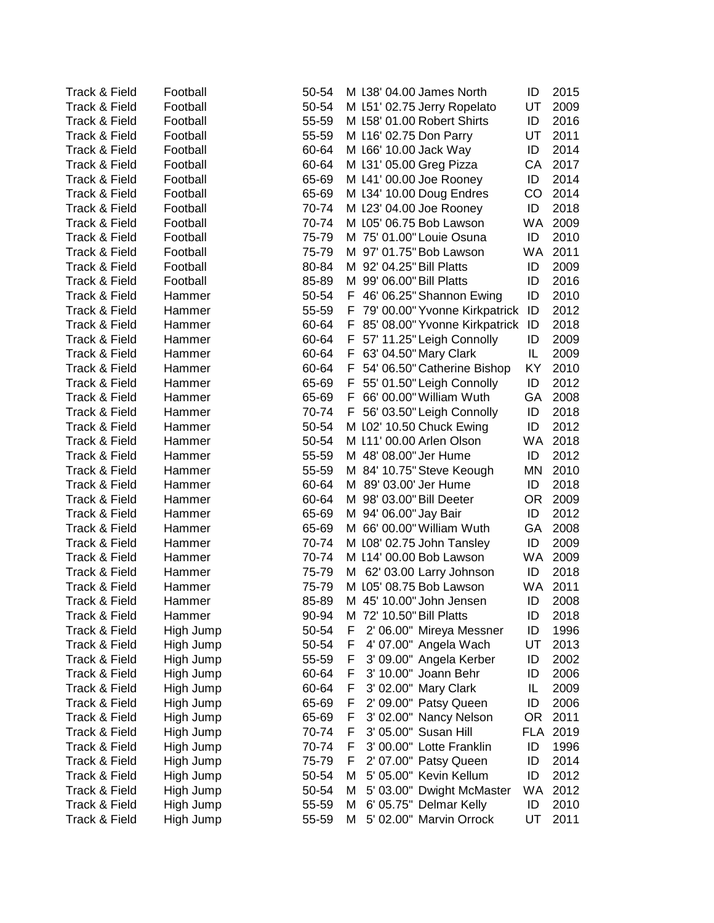| <b>Track &amp; Field</b> | Football  | 50-54 | M 138' 04.00 James North<br>ID           | 2015 |
|--------------------------|-----------|-------|------------------------------------------|------|
| Track & Field            | Football  | 50-54 | M 151' 02.75 Jerry Ropelato<br>UT        | 2009 |
| Track & Field            | Football  | 55-59 | M 158' 01.00 Robert Shirts<br>ID         | 2016 |
| Track & Field            | Football  | 55-59 | M 116' 02.75 Don Parry<br>UT             | 2011 |
| Track & Field            | Football  | 60-64 | M 166' 10.00 Jack Way<br>ID              | 2014 |
| Track & Field            | Football  | 60-64 | M 131' 05.00 Greg Pizza<br>CА            | 2017 |
| Track & Field            | Football  | 65-69 | M 141' 00.00 Joe Rooney<br>ID            | 2014 |
| Track & Field            | Football  | 65-69 | M 134' 10.00 Doug Endres<br>CO           | 2014 |
| Track & Field            | Football  | 70-74 | M 123' 04.00 Joe Rooney<br>ID            | 2018 |
| Track & Field            | Football  | 70-74 | M 105' 06.75 Bob Lawson<br>WA.           | 2009 |
| Track & Field            | Football  | 75-79 | M 75' 01.00" Louie Osuna<br>ID           | 2010 |
| Track & Field            | Football  | 75-79 | 97' 01.75" Bob Lawson<br><b>WA</b><br>м  | 2011 |
| Track & Field            | Football  | 80-84 | 92' 04.25" Bill Platts<br>ID<br>м        | 2009 |
| Track & Field            | Football  | 85-89 | 99' 06.00" Bill Platts<br>ID<br>м        | 2016 |
| Track & Field            | Hammer    | 50-54 | 46' 06.25" Shannon Ewing<br>ID<br>F      | 2010 |
| Track & Field            | Hammer    | 55-59 | 79' 00.00" Yvonne Kirkpatrick<br>ID<br>F | 2012 |
| Track & Field            | Hammer    | 60-64 | 85' 08.00" Yvonne Kirkpatrick<br>ID<br>F | 2018 |
| Track & Field            | Hammer    | 60-64 | F<br>57' 11.25" Leigh Connolly<br>ID     | 2009 |
| Track & Field            | Hammer    | 60-64 | 63' 04.50" Mary Clark<br>IL<br>F         | 2009 |
| Track & Field            | Hammer    | 60-64 | 54' 06.50" Catherine Bishop<br>KY<br>F   | 2010 |
| Track & Field            | Hammer    | 65-69 | ID<br>F.<br>55' 01.50" Leigh Connolly    | 2012 |
| Track & Field            | Hammer    | 65-69 | 66' 00.00" William Wuth<br>F.<br>GA      | 2008 |
| Track & Field            | Hammer    | 70-74 | F 56' 03.50" Leigh Connolly<br>ID        | 2018 |
| Track & Field            | Hammer    | 50-54 | ID<br>M 102' 10.50 Chuck Ewing           | 2012 |
| Track & Field            | Hammer    | 50-54 | M 111' 00.00 Arlen Olson<br><b>WA</b>    | 2018 |
| Track & Field            | Hammer    | 55-59 | M 48' 08.00" Jer Hume<br>ID              | 2012 |
| Track & Field            | Hammer    | 55-59 | M 84' 10.75" Steve Keough<br>ΜN          | 2010 |
| Track & Field            | Hammer    | 60-64 | M 89' 03.00' Jer Hume<br>ID              | 2018 |
| Track & Field            | Hammer    | 60-64 | M 98' 03.00" Bill Deeter<br>OR.          | 2009 |
| Track & Field            | Hammer    | 65-69 | M 94' 06.00" Jay Bair<br>ID              | 2012 |
| Track & Field            | Hammer    | 65-69 | M 66' 00.00" William Wuth<br>GA          | 2008 |
| Track & Field            | Hammer    | 70-74 | M 108' 02.75 John Tansley<br>ID          | 2009 |
| Track & Field            | Hammer    | 70-74 | M 114' 00.00 Bob Lawson<br>WA.           | 2009 |
| Track & Field            | Hammer    | 75-79 | M 62' 03.00 Larry Johnson<br>ID          | 2018 |
| Track & Field            | Hammer    | 75-79 | M 105' 08.75 Bob Lawson<br><b>WA</b>     | 2011 |
| Track & Field            | Hammer    | 85-89 | 45' 10.00" John Jensen<br>М<br>ID        | 2008 |
| Track & Field            | Hammer    | 90-94 | 72' 10.50" Bill Platts<br>ID<br>м        | 2018 |
| Track & Field            | High Jump | 50-54 | ID<br>F<br>2' 06.00" Mireya Messner      | 1996 |
| Track & Field            | High Jump | 50-54 | F<br>4' 07.00" Angela Wach<br>UT         | 2013 |
| Track & Field            | High Jump | 55-59 | F<br>3' 09.00" Angela Kerber<br>ID       | 2002 |
| Track & Field            | High Jump | 60-64 | 3' 10.00" Joann Behr<br>F<br>ID          | 2006 |
| Track & Field            | High Jump | 60-64 | 3' 02.00" Mary Clark<br>IL<br>F          | 2009 |
| Track & Field            | High Jump | 65-69 | 2' 09.00" Patsy Queen<br>ID<br>F         | 2006 |
| Track & Field            | High Jump | 65-69 | F<br>3' 02.00" Nancy Nelson<br>OR.       | 2011 |
| Track & Field            | High Jump | 70-74 | 3' 05.00" Susan Hill<br>F<br><b>FLA</b>  | 2019 |
| Track & Field            | High Jump | 70-74 | 3' 00.00" Lotte Franklin<br>F<br>ID      | 1996 |
| Track & Field            | High Jump | 75-79 | F<br>2' 07.00" Patsy Queen<br>ID         | 2014 |
| Track & Field            | High Jump | 50-54 | 5' 05.00" Kevin Kellum<br>ID<br>M        | 2012 |
| Track & Field            | High Jump | 50-54 | 5' 03.00" Dwight McMaster<br>WA<br>М     | 2012 |
| Track & Field            | High Jump | 55-59 | 6' 05.75" Delmar Kelly<br>М<br>ID        | 2010 |
| Track & Field            | High Jump | 55-59 | 5' 02.00" Marvin Orrock<br>UT<br>М       | 2011 |
|                          |           |       |                                          |      |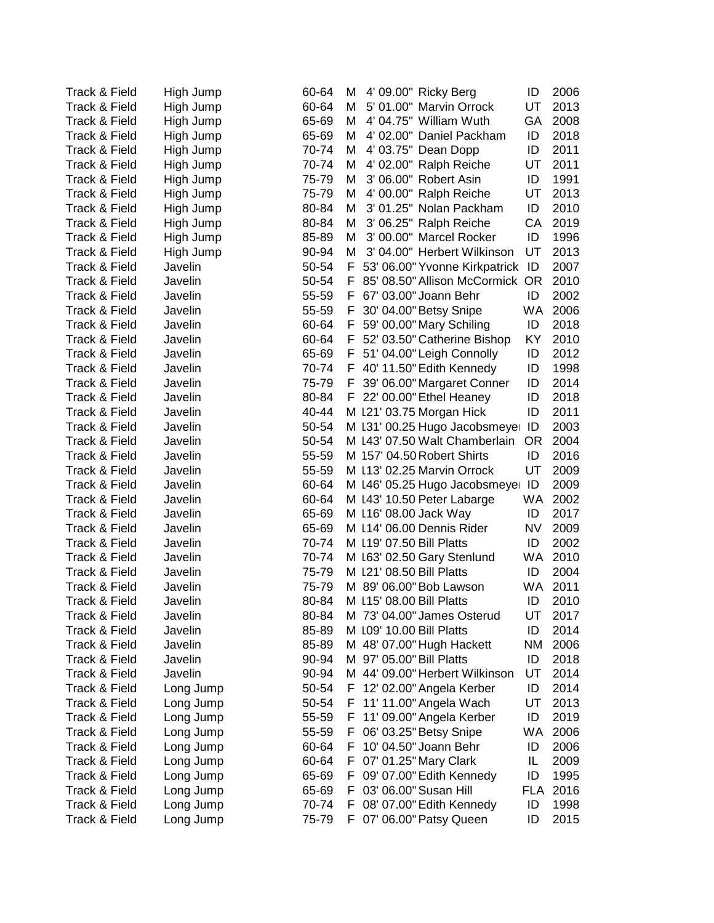| Track & Field            | High Jump | 60-64 | 4' 09.00" Ricky Berg<br>M<br>ID          | 2006 |
|--------------------------|-----------|-------|------------------------------------------|------|
| Track & Field            | High Jump | 60-64 | 5' 01.00" Marvin Orrock<br>UT<br>м       | 2013 |
| Track & Field            | High Jump | 65-69 | 4' 04.75" William Wuth<br>M<br>GA        | 2008 |
| Track & Field            | High Jump | 65-69 | М<br>4' 02.00" Daniel Packham<br>ID      | 2018 |
| Track & Field            | High Jump | 70-74 | 4' 03.75" Dean Dopp<br>ID<br>М           | 2011 |
| Track & Field            | High Jump | 70-74 | 4' 02.00" Ralph Reiche<br>M<br>UT        | 2011 |
| Track & Field            | High Jump | 75-79 | 3' 06.00" Robert Asin<br>M<br>ID         | 1991 |
| Track & Field            | High Jump | 75-79 | 4' 00.00" Ralph Reiche<br>M<br>UT        | 2013 |
| Track & Field            | High Jump | 80-84 | 3' 01.25" Nolan Packham<br>M<br>ID       | 2010 |
| Track & Field            | High Jump | 80-84 | 3' 06.25" Ralph Reiche<br>CA<br>M        | 2019 |
| Track & Field            | High Jump | 85-89 | 3' 00.00" Marcel Rocker<br>ID<br>M       | 1996 |
| Track & Field            | High Jump | 90-94 | 3' 04.00" Herbert Wilkinson<br>M<br>UT   | 2013 |
| Track & Field            | Javelin   | 50-54 | 53' 06.00" Yvonne Kirkpatrick<br>F<br>ID | 2007 |
| Track & Field            | Javelin   | 50-54 | F<br>85' 08.50" Allison McCormick OR     | 2010 |
|                          |           |       |                                          |      |
| Track & Field            | Javelin   | 55-59 | 67' 03.00" Joann Behr<br>ID<br>F         | 2002 |
| Track & Field            | Javelin   | 55-59 | 30' 04.00" Betsy Snipe<br>WA<br>F        | 2006 |
| Track & Field            | Javelin   | 60-64 | 59' 00.00" Mary Schiling<br>ID<br>F      | 2018 |
| Track & Field            | Javelin   | 60-64 | KY<br>52' 03.50" Catherine Bishop<br>F   | 2010 |
| Track & Field            | Javelin   | 65-69 | ID<br>51' 04.00" Leigh Connolly<br>F     | 2012 |
| Track & Field            | Javelin   | 70-74 | 40' 11.50" Edith Kennedy<br>F<br>ID      | 1998 |
| Track & Field            | Javelin   | 75-79 | F<br>39' 06.00" Margaret Conner<br>ID    | 2014 |
| Track & Field            | Javelin   | 80-84 | 22' 00.00" Ethel Heaney<br>F.<br>ID      | 2018 |
| Track & Field            | Javelin   | 40-44 | M 121' 03.75 Morgan Hick<br>ID           | 2011 |
| Track & Field            | Javelin   | 50-54 | M 131' 00.25 Hugo Jacobsmeye<br>ID       | 2003 |
| Track & Field            | Javelin   | 50-54 | M 143' 07.50 Walt Chamberlain<br>0R      | 2004 |
| Track & Field            | Javelin   | 55-59 | M 157' 04.50 Robert Shirts<br>ID         | 2016 |
| Track & Field            | Javelin   | 55-59 | M 113' 02.25 Marvin Orrock<br>UT         | 2009 |
| Track & Field            | Javelin   | 60-64 | M 146' 05.25 Hugo Jacobsmeyer<br>ID      | 2009 |
| Track & Field            | Javelin   | 60-64 | M 143' 10.50 Peter Labarge<br>WA.        | 2002 |
| Track & Field            | Javelin   | 65-69 | M 116' 08.00 Jack Way<br>ID              | 2017 |
| Track & Field            | Javelin   | 65-69 | <b>NV</b><br>M 114' 06.00 Dennis Rider   | 2009 |
| Track & Field            | Javelin   | 70-74 | M 119' 07.50 Bill Platts<br>ID           | 2002 |
| Track & Field            | Javelin   | 70-74 | M 163' 02.50 Gary Stenlund<br>WA.        | 2010 |
| Track & Field            | Javelin   | 75-79 | M 121' 08.50 Bill Platts<br>ID           | 2004 |
| Track & Field            | Javelin   | 75-79 | M 89' 06.00" Bob Lawson<br>WA            | 2011 |
| <b>Track &amp; Field</b> | Javelin   | 80-84 | 115' 08.00 Bill Platts<br>ID<br>м        | 2010 |
| Track & Field            | Javelin   | 80-84 | M 73' 04.00" James Osterud<br>UT         | 2017 |
| Track & Field            | Javelin   | 85-89 | ID<br>M 109' 10.00 Bill Platts           | 2014 |
| Track & Field            | Javelin   | 85-89 | M 48' 07.00" Hugh Hackett<br>ΝM          | 2006 |
| Track & Field            | Javelin   | 90-94 | M 97' 05.00" Bill Platts<br>ID           | 2018 |
| Track & Field            | Javelin   | 90-94 | M 44' 09.00" Herbert Wilkinson<br>UT     | 2014 |
| Track & Field            | Long Jump | 50-54 | 12' 02.00" Angela Kerber<br>ID<br>F      | 2014 |
| Track & Field            | Long Jump | 50-54 | 11' 11.00" Angela Wach<br>UT<br>F        | 2013 |
| Track & Field            | Long Jump | 55-59 | 11' 09.00" Angela Kerber<br>ID<br>F      | 2019 |
| Track & Field            | Long Jump | 55-59 | WA<br>06' 03.25" Betsy Snipe<br>F        | 2006 |
| Track & Field            | Long Jump | 60-64 | 10' 04.50" Joann Behr<br>ID<br>F.        | 2006 |
| Track & Field            | Long Jump | 60-64 | 07' 01.25" Mary Clark<br>IL<br>F.        | 2009 |
| Track & Field            | Long Jump | 65-69 | ID<br>09' 07.00" Edith Kennedy<br>F.     | 1995 |
| Track & Field            | Long Jump | 65-69 | 03' 06.00" Susan Hill<br><b>FLA</b><br>F | 2016 |
| Track & Field            | Long Jump | 70-74 | ID<br>08' 07.00" Edith Kennedy<br>F      | 1998 |
| Track & Field            | Long Jump | 75-79 | 07' 06.00" Patsy Queen<br>ID<br>F.       | 2015 |
|                          |           |       |                                          |      |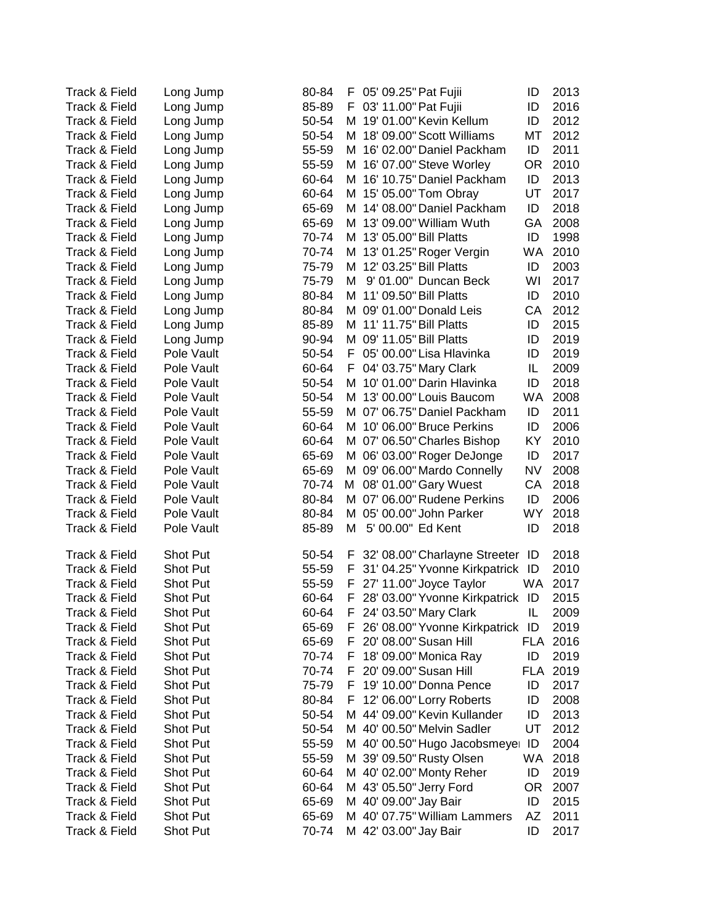| <b>Track &amp; Field</b>       | Long Jump               | 80-84          | F 05' 09.25" Pat Fujii<br>ID             | 2013 |
|--------------------------------|-------------------------|----------------|------------------------------------------|------|
| Track & Field                  | Long Jump               | 85-89          | 03' 11.00" Pat Fujii<br>ID<br>F          | 2016 |
| <b>Track &amp; Field</b>       | Long Jump               | 50-54          | 19' 01.00" Kevin Kellum<br>ID<br>м       | 2012 |
| Track & Field                  | Long Jump               | 50-54          | M 18' 09.00" Scott Williams<br>МT        | 2012 |
| Track & Field                  | Long Jump               | 55-59          | M 16' 02.00" Daniel Packham<br>ID        | 2011 |
| Track & Field                  | Long Jump               | 55-59          | M 16' 07.00" Steve Worley<br><b>OR</b>   | 2010 |
| Track & Field                  | Long Jump               | 60-64          | ID<br>M 16' 10.75" Daniel Packham        | 2013 |
| Track & Field                  | Long Jump               | 60-64          | 15' 05.00" Tom Obray<br>UT<br>M          | 2017 |
| Track & Field                  | Long Jump               | 65-69          | 14' 08.00" Daniel Packham<br>ID<br>м     | 2018 |
| Track & Field                  | Long Jump               | 65-69          | 13' 09.00" William Wuth<br>GA<br>м       | 2008 |
| Track & Field                  | Long Jump               | 70-74          | 13' 05.00" Bill Platts<br>ID<br>м        | 1998 |
| Track & Field                  | Long Jump               | 70-74          | 13' 01.25" Roger Vergin<br>WA<br>м       | 2010 |
| Track & Field                  | Long Jump               | 75-79          | 12' 03.25" Bill Platts<br>ID<br>м        | 2003 |
| Track & Field                  | Long Jump               | 75-79          | 9' 01.00" Duncan Beck<br>WI<br>м         | 2017 |
| Track & Field                  | Long Jump               | 80-84          | 11' 09.50" Bill Platts<br>ID<br>м        | 2010 |
| Track & Field                  | Long Jump               | 80-84          | M 09' 01.00" Donald Leis<br>СA           | 2012 |
| Track & Field                  |                         | 85-89          | M 11' 11.75" Bill Platts<br>ID           | 2015 |
| Track & Field                  | Long Jump               | 90-94          | M 09' 11.05" Bill Platts<br>ID           | 2019 |
| Track & Field                  | Long Jump<br>Pole Vault | 50-54          | 05' 00.00" Lisa Hlavinka<br>ID<br>F.     | 2019 |
|                                |                         |                | IL                                       | 2009 |
| Track & Field                  | Pole Vault              | 60-64          | 04' 03.75" Mary Clark<br>F.<br>ID        |      |
| Track & Field<br>Track & Field | Pole Vault              | 50-54<br>50-54 | 10' 01.00" Darin Hlavinka<br>м<br>WA     | 2018 |
|                                | Pole Vault              |                | 13' 00.00" Louis Baucom<br>м             | 2008 |
| Track & Field                  | Pole Vault              | 55-59          | M 07' 06.75" Daniel Packham<br>ID        | 2011 |
| Track & Field                  | Pole Vault              | 60-64          | 10' 06.00" Bruce Perkins<br>ID<br>M      | 2006 |
| Track & Field                  | Pole Vault              | 60-64          | M 07' 06.50" Charles Bishop<br>KY        | 2010 |
| Track & Field                  | Pole Vault              | 65-69          | M 06' 03.00" Roger DeJonge<br>ID         | 2017 |
| Track & Field                  | Pole Vault              | 65-69          | M 09' 06.00" Mardo Connelly<br><b>NV</b> | 2008 |
| Track & Field                  | Pole Vault              | 70-74          | 08' 01.00" Gary Wuest<br>СA<br>м         | 2018 |
| Track & Field                  | Pole Vault              | 80-84          | M 07' 06.00" Rudene Perkins<br>ID        | 2006 |
| Track & Field                  | Pole Vault              | 80-84          | M 05' 00.00" John Parker<br>WY.          | 2018 |
| Track & Field                  | Pole Vault              | 85-89          | 5' 00.00" Ed Kent<br>ID<br>м             | 2018 |
| Track & Field                  | <b>Shot Put</b>         | 50-54          | 32' 08.00" Charlayne Streeter<br>F<br>ID | 2018 |
| Track & Field                  | Shot Put                | 55-59          | 31' 04.25" Yvonne Kirkpatrick ID<br>F    | 2010 |
| Track & Field                  | <b>Shot Put</b>         | 55-59          | 27' 11.00" Joyce Taylor<br>WA.<br>F      | 2017 |
| Track & Field                  | <b>Shot Put</b>         | 60-64          | 28' 03.00" Yvonne Kirkpatrick ID<br>F    | 2015 |
| Track & Field                  | Shot Put                | 60-64          | 24' 03.50" Mary Clark<br>IL<br>F         | 2009 |
| Track & Field                  | <b>Shot Put</b>         | 65-69          | 26' 08.00" Yvonne Kirkpatrick ID<br>F    | 2019 |
| Track & Field                  | <b>Shot Put</b>         | 65-69          | 20' 08.00" Susan Hill<br>FLA<br>F        | 2016 |
| Track & Field                  | Shot Put                | 70-74          | 18' 09.00" Monica Ray<br>ID<br>F         | 2019 |
| Track & Field                  | <b>Shot Put</b>         | 70-74          | 20' 09.00" Susan Hill<br>FLA 2019<br>F   |      |
| Track & Field                  | <b>Shot Put</b>         | 75-79          | ID<br>F<br>19' 10.00" Donna Pence        | 2017 |
| Track & Field                  | <b>Shot Put</b>         | 80-84          | 12' 06.00" Lorry Roberts<br>ID<br>F      | 2008 |
| Track & Field                  | <b>Shot Put</b>         | 50-54          | 44' 09.00" Kevin Kullander<br>ID<br>M    | 2013 |
| Track & Field                  | <b>Shot Put</b>         | 50-54          | M 40' 00.50" Melvin Sadler<br>UT         | 2012 |
| Track & Field                  | <b>Shot Put</b>         | 55-59          | M 40' 00.50" Hugo Jacobsmeyer<br>ID      | 2004 |
| Track & Field                  | <b>Shot Put</b>         | 55-59          | WA<br>M 39' 09.50" Rusty Olsen           | 2018 |
| Track & Field                  | <b>Shot Put</b>         | 60-64          | M 40' 02.00" Monty Reher<br>ID           | 2019 |
| Track & Field                  | <b>Shot Put</b>         | 60-64          | M 43' 05.50" Jerry Ford<br>0R            | 2007 |
| Track & Field                  | Shot Put                | 65-69          | M 40' 09.00" Jay Bair<br>ID              | 2015 |
| Track & Field                  | Shot Put                | 65-69          | M 40' 07.75" William Lammers<br>AZ       | 2011 |
| Track & Field                  | Shot Put                | 70-74          | M 42' 03.00" Jay Bair<br>ID              | 2017 |
|                                |                         |                |                                          |      |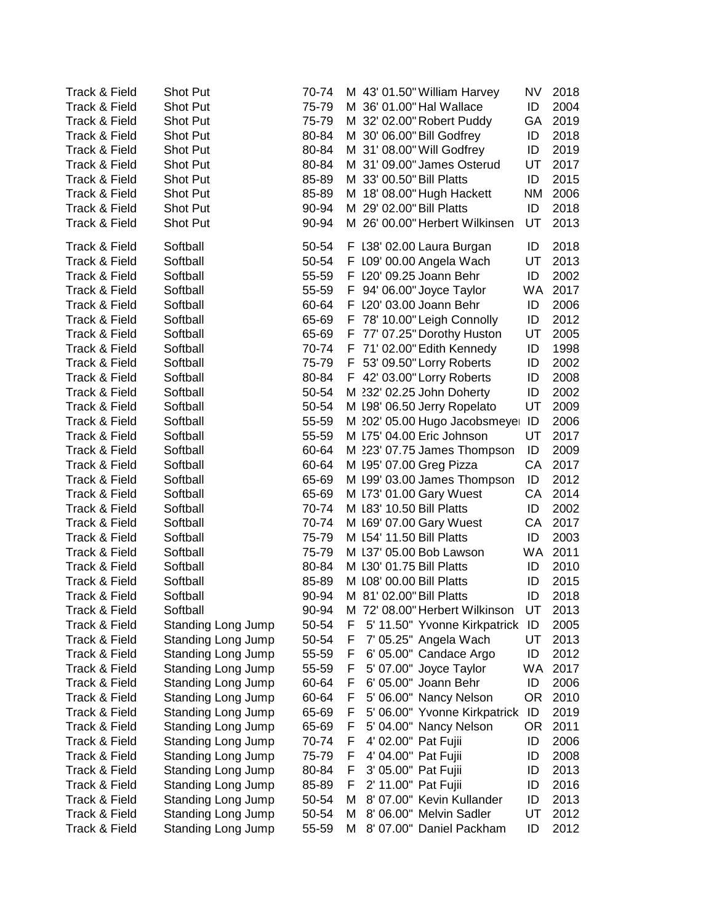| <b>Track &amp; Field</b>       | <b>Shot Put</b>           | 70-74 | M 43' 01.50" William Harvey<br>NV<br>2018                                                  |  |
|--------------------------------|---------------------------|-------|--------------------------------------------------------------------------------------------|--|
| Track & Field                  | <b>Shot Put</b>           | 75-79 | ID<br>M 36' 01.00" Hal Wallace<br>2004                                                     |  |
| Track & Field                  | <b>Shot Put</b>           | 75-79 | M 32' 02.00" Robert Puddy<br>2019<br>GА                                                    |  |
| Track & Field                  | <b>Shot Put</b>           | 80-84 | M 30' 06.00" Bill Godfrey<br>ID<br>2018                                                    |  |
| Track & Field                  | Shot Put                  | 80-84 | M 31' 08.00" Will Godfrey<br>ID<br>2019                                                    |  |
| Track & Field                  | Shot Put                  | 80-84 | M 31' 09.00" James Osterud<br>UT<br>2017                                                   |  |
| Track & Field                  | Shot Put                  | 85-89 | M 33' 00.50" Bill Platts<br>ID<br>2015                                                     |  |
| Track & Field                  | Shot Put                  | 85-89 | M 18' 08.00" Hugh Hackett<br>2006<br>ΝM                                                    |  |
| Track & Field                  | <b>Shot Put</b>           | 90-94 | M 29' 02.00" Bill Platts<br>2018<br>ID                                                     |  |
| Track & Field                  | Shot Put                  | 90-94 | M 26' 00.00" Herbert Wilkinsen<br>UT<br>2013                                               |  |
| Track & Field                  | Softball                  | 50-54 | 2018<br>F 138' 02.00 Laura Burgan<br>ID                                                    |  |
| Track & Field                  | Softball                  | 50-54 | F 109' 00.00 Angela Wach<br>UT<br>2013                                                     |  |
| Track & Field                  | Softball                  | 55-59 | F 120' 09.25 Joann Behr<br>2002<br>ID                                                      |  |
| Track & Field                  | Softball                  | 55-59 | 2017<br>94' 06.00" Joyce Taylor<br>WA.<br>F.                                               |  |
| Track & Field                  | Softball                  | 60-64 | 2006<br>F 120' 03.00 Joann Behr<br>ID                                                      |  |
| Track & Field                  | Softball                  | 65-69 | 78' 10.00" Leigh Connolly<br>ID<br>2012<br>F                                               |  |
| Track & Field                  | Softball                  | 65-69 | F 77' 07.25" Dorothy Huston<br>2005<br>UT                                                  |  |
| Track & Field                  | Softball                  | 70-74 | F 71' 02.00" Edith Kennedy<br>ID<br>1998                                                   |  |
| Track & Field                  | Softball                  | 75-79 | F 53' 09.50" Lorry Roberts<br>ID<br>2002                                                   |  |
| Track & Field                  | Softball                  | 80-84 | 2008<br>F 42' 03.00" Lorry Roberts<br>ID                                                   |  |
| Track & Field                  | Softball                  | 50-54 | ID<br>2002<br>M 232' 02.25 John Doherty                                                    |  |
| Track & Field                  | Softball                  | 50-54 | UT<br>M 198' 06.50 Jerry Ropelato<br>2009                                                  |  |
| Track & Field                  | Softball                  | 55-59 | M 202' 05.00 Hugo Jacobsmeyer<br>ID<br>2006                                                |  |
| Track & Field                  | Softball                  | 55-59 | UT<br>M 175' 04.00 Eric Johnson<br>2017                                                    |  |
| Track & Field                  | Softball                  | 60-64 | ID<br>M 223' 07.75 James Thompson<br>2009                                                  |  |
| Track & Field                  | Softball                  | 60-64 | M 195' 07.00 Greg Pizza<br>CA<br>2017                                                      |  |
| Track & Field                  | Softball                  | 65-69 | ID<br>2012<br>M 199' 03.00 James Thompson                                                  |  |
| Track & Field                  | Softball                  | 65-69 | CA<br>2014<br>M 173' 01.00 Gary Wuest                                                      |  |
| Track & Field                  | Softball                  | 70-74 | 2002<br>M 183' 10.50 Bill Platts<br>ID                                                     |  |
| Track & Field                  | Softball                  | 70-74 | CA<br>2017<br>M 169' 07.00 Gary Wuest                                                      |  |
| Track & Field                  | Softball                  | 75-79 | M 154' 11.50 Bill Platts<br>ID<br>2003                                                     |  |
| Track & Field                  | Softball                  | 75-79 | WA.<br>2011<br>M 137' 05.00 Bob Lawson                                                     |  |
| Track & Field                  | Softball                  | 80-84 | M 130' 01.75 Bill Platts<br>2010<br>ID                                                     |  |
| Track & Field                  | Softball                  | 85-89 | M 108' 00.00 Bill Platts<br>ID<br>2015                                                     |  |
| Track & Field                  | Softball                  | 90-94 | M 81' 02.00" Bill Platts<br>2018<br>ID                                                     |  |
| Track & Field                  | Softball                  | 90-94 | 72' 08.00" Herbert Wilkinson<br>UT<br>2013<br>M                                            |  |
| Track & Field                  | Standing Long Jump        | 50-54 | 5' 11.50" Yvonne Kirkpatrick<br>F<br>ID<br>2005                                            |  |
| Track & Field                  | <b>Standing Long Jump</b> | 50-54 | 7' 05.25" Angela Wach<br>UT<br>2013<br>F                                                   |  |
| Track & Field                  | <b>Standing Long Jump</b> | 55-59 | 6' 05.00" Candace Argo<br>ID<br>2012<br>F                                                  |  |
| Track & Field                  | <b>Standing Long Jump</b> | 55-59 | 5' 07.00" Joyce Taylor<br>WA.<br>2017<br>F                                                 |  |
| Track & Field                  | <b>Standing Long Jump</b> | 60-64 | 6' 05.00" Joann Behr<br>ID<br>2006<br>F                                                    |  |
| Track & Field                  | <b>Standing Long Jump</b> | 60-64 | 5' 06.00" Nancy Nelson<br>0R<br>2010<br>F                                                  |  |
| Track & Field                  | <b>Standing Long Jump</b> | 65-69 | 5' 06.00" Yvonne Kirkpatrick ID<br>2019<br>F                                               |  |
| Track & Field                  | <b>Standing Long Jump</b> | 65-69 | F<br>5' 04.00" Nancy Nelson<br>0R<br>2011                                                  |  |
| Track & Field                  | <b>Standing Long Jump</b> | 70-74 | F<br>4' 02.00" Pat Fujii<br>ID<br>2006                                                     |  |
| Track & Field                  | <b>Standing Long Jump</b> | 75-79 | 4' 04.00" Pat Fujii<br>ID<br>2008<br>F.                                                    |  |
| Track & Field                  | <b>Standing Long Jump</b> | 80-84 | 3' 05.00" Pat Fujii<br>ID<br>2013<br>F                                                     |  |
| Track & Field                  | <b>Standing Long Jump</b> | 85-89 | 2' 11.00" Pat Fujii<br>F<br>ID<br>2016                                                     |  |
| Track & Field<br>Track & Field | <b>Standing Long Jump</b> | 50-54 | 8' 07.00" Kevin Kullander<br>ID<br>2013<br>М<br>8' 06.00" Melvin Sadler<br>UT<br>2012<br>м |  |
|                                | <b>Standing Long Jump</b> | 50-54 |                                                                                            |  |
| Track & Field                  | <b>Standing Long Jump</b> | 55-59 | 2012<br>8' 07.00" Daniel Packham<br>ID<br>м                                                |  |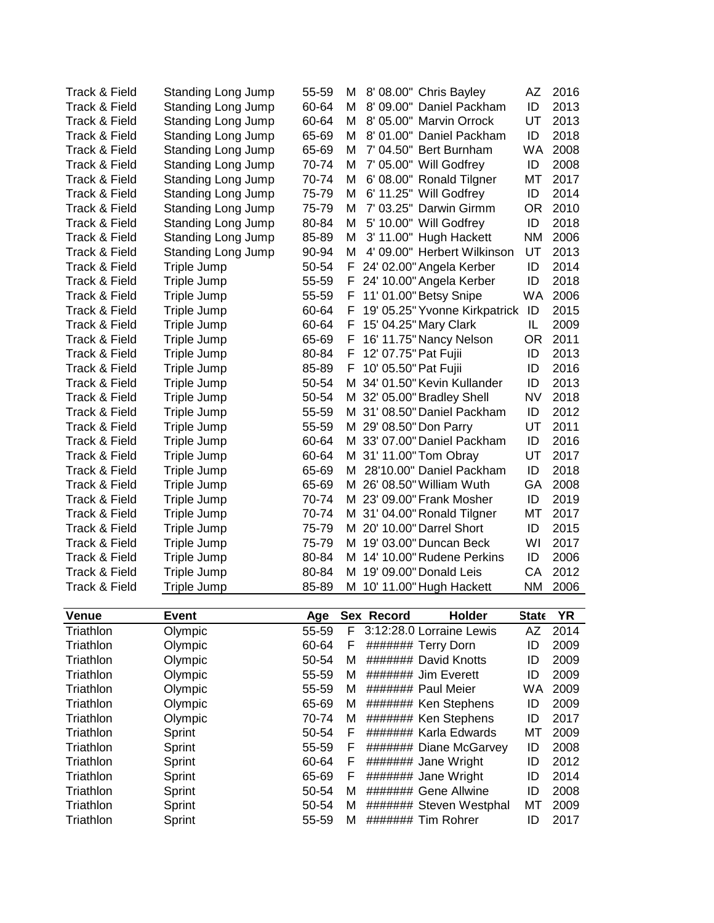| Track & Field | <b>Standing Long Jump</b>        | 55-59          | М             |                      | 8' 08.00" Chris Bayley                                                                               | AZ                | 2016         |
|---------------|----------------------------------|----------------|---------------|----------------------|------------------------------------------------------------------------------------------------------|-------------------|--------------|
| Track & Field | <b>Standing Long Jump</b>        | 60-64          | м             |                      | 8' 09.00" Daniel Packham                                                                             | ID                | 2013         |
| Track & Field | Standing Long Jump               | 60-64          | М             |                      | 8' 05.00" Marvin Orrock                                                                              | UT                | 2013         |
| Track & Field | <b>Standing Long Jump</b>        | 65-69          | М             |                      | 8' 01.00" Daniel Packham                                                                             | ID                | 2018         |
| Track & Field | <b>Standing Long Jump</b>        | 65-69          | M             |                      | 7' 04.50" Bert Burnham                                                                               | <b>WA</b>         | 2008         |
| Track & Field | <b>Standing Long Jump</b>        | 70-74          | М             |                      | 7' 05.00" Will Godfrey                                                                               | ID                | 2008         |
| Track & Field | <b>Standing Long Jump</b>        | 70-74          | M             |                      | 6' 08.00" Ronald Tilgner                                                                             | MT                | 2017         |
| Track & Field | <b>Standing Long Jump</b>        | 75-79          | М             |                      | 6' 11.25" Will Godfrey                                                                               | ID                | 2014         |
| Track & Field | <b>Standing Long Jump</b>        | 75-79          | М             |                      | 7' 03.25" Darwin Girmm                                                                               | <b>OR</b>         | 2010         |
| Track & Field | <b>Standing Long Jump</b>        | 80-84          | м             |                      | 5' 10.00" Will Godfrey                                                                               | ID                | 2018         |
| Track & Field | <b>Standing Long Jump</b>        | 85-89          | M             |                      | 3' 11.00" Hugh Hackett                                                                               | <b>NM</b>         | 2006         |
| Track & Field | Standing Long Jump               | 90-94          | м             |                      | 4' 09.00" Herbert Wilkinson                                                                          | UT                | 2013         |
| Track & Field | Triple Jump                      | 50-54          | F.            |                      | 24' 02.00" Angela Kerber                                                                             | ID                | 2014         |
| Track & Field | Triple Jump                      | 55-59          | F.            |                      | 24' 10.00" Angela Kerber                                                                             | ID                | 2018         |
| Track & Field | Triple Jump                      | 55-59          | F             |                      | 11' 01.00" Betsy Snipe                                                                               | <b>WA</b>         | 2006         |
| Track & Field | Triple Jump                      | 60-64          | F             |                      | 19' 05.25" Yvonne Kirkpatrick                                                                        | ID                | 2015         |
| Track & Field | Triple Jump                      | 60-64          | F             |                      | 15' 04.25" Mary Clark                                                                                | IL                | 2009         |
| Track & Field | Triple Jump                      | 65-69          | F             |                      | 16' 11.75" Nancy Nelson                                                                              | <b>OR</b>         | 2011         |
| Track & Field | Triple Jump                      | 80-84          | F             | 12' 07.75" Pat Fujii |                                                                                                      | ID                | 2013         |
| Track & Field | Triple Jump                      | 85-89          | F             | 10' 05.50" Pat Fujii |                                                                                                      | ID                | 2016         |
| Track & Field | Triple Jump                      | 50-54          |               |                      | M 34' 01.50" Kevin Kullander                                                                         | ID                | 2013         |
| Track & Field | Triple Jump                      | 50-54          |               |                      | M 32' 05.00" Bradley Shell                                                                           | <b>NV</b>         | 2018         |
| Track & Field | Triple Jump                      | 55-59          |               |                      | M 31' 08.50" Daniel Packham                                                                          | ID                | 2012         |
| Track & Field | Triple Jump                      | 55-59          |               |                      | M 29' 08.50" Don Parry                                                                               | UT                | 2011         |
| Track & Field | Triple Jump                      | 60-64          |               |                      | M 33' 07.00" Daniel Packham                                                                          | ID                | 2016         |
| Track & Field | Triple Jump                      | 60-64          |               |                      | M 31' 11.00" Tom Obray                                                                               | UT                | 2017         |
| Track & Field | Triple Jump                      | 65-69          | М             |                      | 28'10.00" Daniel Packham                                                                             | ID                | 2018         |
| Track & Field | Triple Jump                      | 65-69          |               |                      | M 26' 08.50" William Wuth                                                                            | GA                | 2008         |
| Track & Field | Triple Jump                      | 70-74          |               |                      | M 23' 09.00" Frank Mosher                                                                            | ID                | 2019         |
| Track & Field | Triple Jump                      | 70-74          |               |                      | M 31' 04.00" Ronald Tilgner                                                                          | MT                | 2017         |
| Track & Field | Triple Jump                      | 75-79          |               |                      | M 20' 10.00" Darrel Short                                                                            | ID                | 2015         |
| Track & Field | Triple Jump                      | 75-79          | м             |                      | 19' 03.00" Duncan Beck                                                                               | WI                | 2017         |
| Track & Field | Triple Jump                      | 80-84          | м             |                      | 14' 10.00" Rudene Perkins                                                                            | ID                | 2006         |
| Track & Field | Triple Jump                      | 80-84          |               |                      | M 19' 09.00" Donald Leis                                                                             | CA                | 2012         |
| Track & Field | Triple Jump                      | 85-89          |               |                      | M 10' 11.00" Hugh Hackett                                                                            | <b>NM</b>         | 2006         |
|               |                                  |                |               |                      |                                                                                                      |                   |              |
| <b>Venue</b>  | <b>Event</b>                     | Age            |               | Sex Record           | Holder                                                                                               | <b>State</b>      | <b>YR</b>    |
| Triathlon     | Olympic                          | 55-59          | F             |                      | 3:12:28.0 Lorraine Lewis                                                                             | <b>AZ</b>         | 2014         |
| Triathlon     | Olympic                          | 60-64          | F             |                      | ####### Terry Dorn                                                                                   | ID                | 2009         |
| Triathlon     | Olympic                          | 50-54          | М             |                      | ####### David Knotts                                                                                 | ID                | 2009         |
| Triathlon     | Olympic<br>$\bigcap \{x, y, z\}$ | 55-59<br>EE EN | M<br><b>M</b> |                      | ####### Jim Everett<br>$\mu$ $\mu$ $\mu$ $\mu$ $\mu$ $\mu$ $\mu$ $\sigma$ $\sigma$ $\sigma$ $\sigma$ | ID<br><b>ALLA</b> | 2009<br>nnnn |
| Triothlon     |                                  |                |               |                      |                                                                                                      |                   |              |

| Triathlon | Olympic | 50-54<br>м |    | ####### David Knotts    | ID  | 2009 |
|-----------|---------|------------|----|-------------------------|-----|------|
| Triathlon | Olympic | 55-59<br>м |    | ######## Jim Everett    | ID  | 2009 |
| Triathlon | Olympic | м<br>55-59 |    | ####### Paul Meier      | WA. | 2009 |
| Triathlon | Olympic | м<br>65-69 |    | ####### Ken Stephens    | ID  | 2009 |
| Triathlon | Olympic | м<br>70-74 |    | ####### Ken Stephens    | ID  | 2017 |
| Triathlon | Sprint  | 50-54<br>F |    | ####### Karla Edwards   | МT  | 2009 |
| Triathlon | Sprint  | 55-59<br>E |    | ####### Diane McGarvey  | ID  | 2008 |
| Triathlon | Sprint  | 60-64<br>F |    | ####### Jane Wright     | ID  | 2012 |
| Triathlon | Sprint  | 65-69      | F. | ####### Jane Wright     | ID  | 2014 |
| Triathlon | Sprint  | м<br>50-54 |    | ####### Gene Allwine    | ID  | 2008 |
| Triathlon | Sprint  | M<br>50-54 |    | ####### Steven Westphal | МT  | 2009 |
| Triathlon | Sprint  | 55-59<br>м |    | ####### Tim Rohrer      | ID  | 2017 |